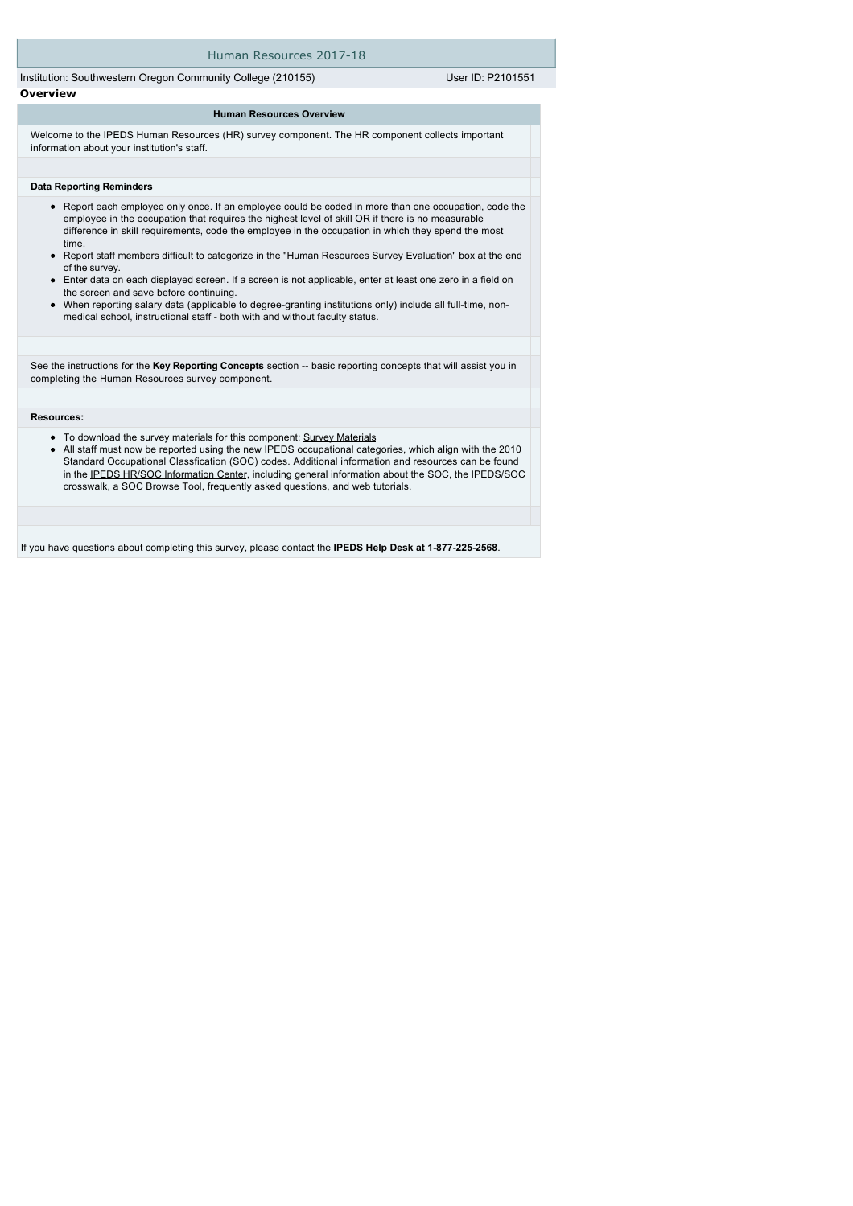#### Human Resources 2017-18

Institution: Southwestern Oregon Community College (210155) User ID: P2101551 **Overview**

#### **Human Resources Overview**

Welcome to the IPEDS Human Resources (HR) survey component. The HR component collects important information about your institution's staff.

#### **Data Reporting Reminders**

- Report each employee only once. If an employee could be coded in more than one occupation, code the employee in the occupation that requires the highest level of skill OR if there is no measurable difference in skill requirements, code the employee in the occupation in which they spend the most time.
- Report staff members difficult to categorize in the "Human Resources Survey Evaluation" box at the end of the survey.
- Enter data on each displayed screen. If a screen is not applicable, enter at least one zero in a field on the screen and save before continuing.
- When reporting salary data (applicable to degree-granting institutions only) include all full-time, nonmedical school, instructional staff - both with and without faculty status.

See the instructions for the Key Reporting Concepts section -- basic reporting concepts that will assist you in completing the Human Resources survey component.

#### **Resources:**

- To download the survey materials for this component: [Survey Materials](https://surveys.nces.ed.gov/ipeds/VisIndex.aspx)
- $\bullet$ All staff must now be reported using the new IPEDS occupational categories, which align with the 2010 Standard Occupational Classfication (SOC) codes. Additional information and resources can be found in the [IPEDS HR/SOC Information Center](http://nces.ed.gov/ipeds/Section/resources_soc), including general information about the SOC, the IPEDS/SOC crosswalk, a SOC Browse Tool, frequently asked questions, and web tutorials.

If you have questions about completing this survey, please contact the **IPEDS Help Desk at 1-877-225-2568**.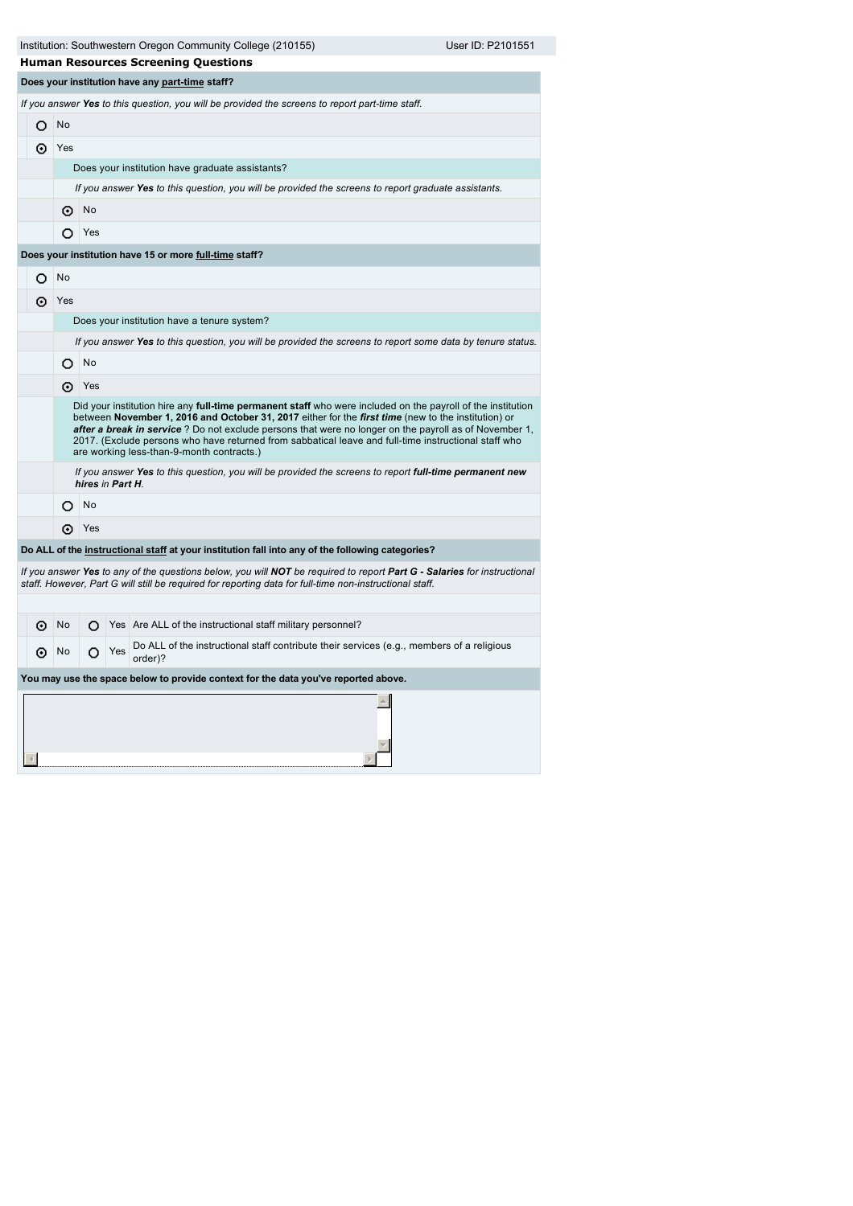|   |     |                  |     | Institution: Southwestern Oregon Community College (210155)<br><b>Human Resources Screening Questions</b>                                                                                                                                                                                                                                                                                                                                                                               | User ID: P2101551 |
|---|-----|------------------|-----|-----------------------------------------------------------------------------------------------------------------------------------------------------------------------------------------------------------------------------------------------------------------------------------------------------------------------------------------------------------------------------------------------------------------------------------------------------------------------------------------|-------------------|
|   |     |                  |     | Does your institution have any part-time staff?                                                                                                                                                                                                                                                                                                                                                                                                                                         |                   |
|   |     |                  |     | If you answer Yes to this question, you will be provided the screens to report part-time staff.                                                                                                                                                                                                                                                                                                                                                                                         |                   |
| O | No  |                  |     |                                                                                                                                                                                                                                                                                                                                                                                                                                                                                         |                   |
| ⊙ | Yes |                  |     |                                                                                                                                                                                                                                                                                                                                                                                                                                                                                         |                   |
|   |     |                  |     | Does your institution have graduate assistants?                                                                                                                                                                                                                                                                                                                                                                                                                                         |                   |
|   |     |                  |     | If you answer Yes to this question, you will be provided the screens to report graduate assistants.                                                                                                                                                                                                                                                                                                                                                                                     |                   |
|   | ⊙   | No               |     |                                                                                                                                                                                                                                                                                                                                                                                                                                                                                         |                   |
|   | O   | Yes              |     |                                                                                                                                                                                                                                                                                                                                                                                                                                                                                         |                   |
|   |     |                  |     | Does your institution have 15 or more full-time staff?                                                                                                                                                                                                                                                                                                                                                                                                                                  |                   |
| O | No  |                  |     |                                                                                                                                                                                                                                                                                                                                                                                                                                                                                         |                   |
| ⊙ | Yes |                  |     |                                                                                                                                                                                                                                                                                                                                                                                                                                                                                         |                   |
|   |     |                  |     | Does your institution have a tenure system?                                                                                                                                                                                                                                                                                                                                                                                                                                             |                   |
|   |     |                  |     | If you answer Yes to this question, you will be provided the screens to report some data by tenure status.                                                                                                                                                                                                                                                                                                                                                                              |                   |
|   | O   | No               |     |                                                                                                                                                                                                                                                                                                                                                                                                                                                                                         |                   |
|   |     | ⊙ Yes            |     |                                                                                                                                                                                                                                                                                                                                                                                                                                                                                         |                   |
|   |     |                  |     | Did your institution hire any full-time permanent staff who were included on the payroll of the institution<br>between November 1, 2016 and October 31, 2017 either for the <i>first time</i> (new to the institution) or<br>after a break in service? Do not exclude persons that were no longer on the payroll as of November 1,<br>2017. (Exclude persons who have returned from sabbatical leave and full-time instructional staff who<br>are working less-than-9-month contracts.) |                   |
|   |     | hires in Part H. |     | If you answer Yes to this question, you will be provided the screens to report full-time permanent new                                                                                                                                                                                                                                                                                                                                                                                  |                   |
|   | O   | <b>No</b>        |     |                                                                                                                                                                                                                                                                                                                                                                                                                                                                                         |                   |
|   | ⊙   | Yes              |     |                                                                                                                                                                                                                                                                                                                                                                                                                                                                                         |                   |
|   |     |                  |     | Do ALL of the instructional staff at your institution fall into any of the following categories?                                                                                                                                                                                                                                                                                                                                                                                        |                   |
|   |     |                  |     | If you answer Yes to any of the questions below, you will NOT be required to report Part G - Salaries for instructional<br>staff. However, Part G will still be required for reporting data for full-time non-instructional staff.                                                                                                                                                                                                                                                      |                   |
|   |     |                  |     |                                                                                                                                                                                                                                                                                                                                                                                                                                                                                         |                   |
| ⊙ | No  | O.               |     | Yes Are ALL of the instructional staff military personnel?                                                                                                                                                                                                                                                                                                                                                                                                                              |                   |
| ⊙ | No  | O                | Yes | Do ALL of the instructional staff contribute their services (e.g., members of a religious<br>order)?                                                                                                                                                                                                                                                                                                                                                                                    |                   |
|   |     |                  |     | You may use the space below to provide context for the data you've reported above.                                                                                                                                                                                                                                                                                                                                                                                                      |                   |
|   |     |                  |     |                                                                                                                                                                                                                                                                                                                                                                                                                                                                                         |                   |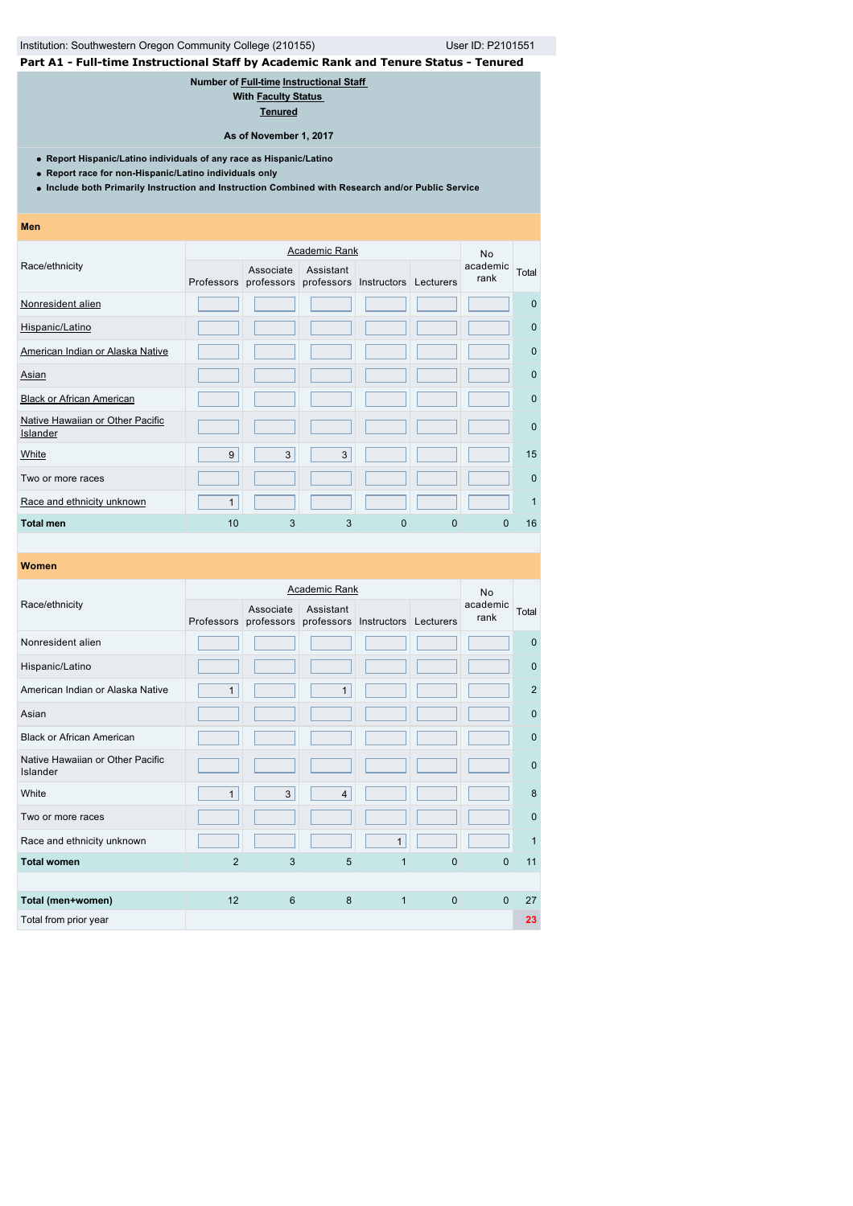# Institution: Southwestern Oregon Community College (210155) User ID: P2101551

# **Part A1 - Full-time Instructional Staff by Academic Rank and Tenure Status - Tenured**

# **Number of [Full-time](javascript:openglossary(257)) [Instructional Staff](javascript:openglossary(996))**

**With [Faculty Status](javascript:openglossary(1009))  [Tenured](javascript:openglossary(639))**

**As of November 1, 2017**

**Report Hispanic/Latino individuals of any race as Hispanic/Latino**

- **Report race for non-Hispanic/Latino individuals only**
- **Include both Primarily Instruction and Instruction Combined with Research and/or Public Service**
- **Men**

|                                              |    |                                                           | Academic Rank |   |             | <b>No</b>        |              |
|----------------------------------------------|----|-----------------------------------------------------------|---------------|---|-------------|------------------|--------------|
| Race/ethnicity                               |    | Associate<br>Professors professors professors Instructors | Assistant     |   | Lecturers   | academic<br>rank | Total        |
| Nonresident alien                            |    |                                                           |               |   |             |                  | $\Omega$     |
| Hispanic/Latino                              |    |                                                           |               |   |             |                  | $\mathbf{0}$ |
| American Indian or Alaska Native             |    |                                                           |               |   |             |                  | $\mathbf{0}$ |
| Asian                                        |    |                                                           |               |   |             |                  | $\mathbf{0}$ |
| <b>Black or African American</b>             |    |                                                           |               |   |             |                  | $\mathbf{0}$ |
| Native Hawaiian or Other Pacific<br>Islander |    |                                                           |               |   |             |                  | $\mathbf{0}$ |
| White                                        | 9  | 3                                                         | 3             |   |             |                  | 15           |
| Two or more races                            |    |                                                           |               |   |             |                  | $\Omega$     |
| Race and ethnicity unknown                   | 1  |                                                           |               |   |             |                  |              |
| <b>Total men</b>                             | 10 | 3                                                         | 3             | 0 | $\mathbf 0$ | 0                | 16           |

|                                              |                |                                    | <b>Academic Rank</b> |                                  |                | <b>No</b>        |                |
|----------------------------------------------|----------------|------------------------------------|----------------------|----------------------------------|----------------|------------------|----------------|
| Race/ethnicity                               |                | Associate<br>Professors professors | Assistant            | professors Instructors Lecturers |                | academic<br>rank | Total          |
| Nonresident alien                            |                |                                    |                      |                                  |                |                  | $\Omega$       |
| Hispanic/Latino                              |                |                                    |                      |                                  |                |                  | $\mathbf{0}$   |
| American Indian or Alaska Native             | $\mathbf{1}$   |                                    | $\mathbf{1}$         |                                  |                |                  | $\overline{2}$ |
| Asian                                        |                |                                    |                      |                                  |                |                  | $\mathbf{0}$   |
| <b>Black or African American</b>             |                |                                    |                      |                                  |                |                  | $\mathbf{0}$   |
| Native Hawaiian or Other Pacific<br>Islander |                |                                    |                      |                                  |                |                  | $\mathbf{0}$   |
| White                                        | $\mathbf{1}$   | 3                                  | $\overline{4}$       |                                  |                |                  | 8              |
| Two or more races                            |                |                                    |                      |                                  |                |                  | $\mathbf{0}$   |
| Race and ethnicity unknown                   |                |                                    |                      | $\mathbf{1}$                     |                |                  | $\mathbf 1$    |
| <b>Total women</b>                           | $\overline{2}$ | 3                                  | 5                    | 1                                | $\overline{0}$ | $\Omega$         | 11             |
|                                              |                |                                    |                      |                                  |                |                  |                |
| Total (men+women)                            | 12             | 6                                  | 8                    | $\mathbf{1}$                     | $\mathbf{0}$   | $\Omega$         | 27             |
| Total from prior year                        |                |                                    |                      |                                  |                |                  | 23             |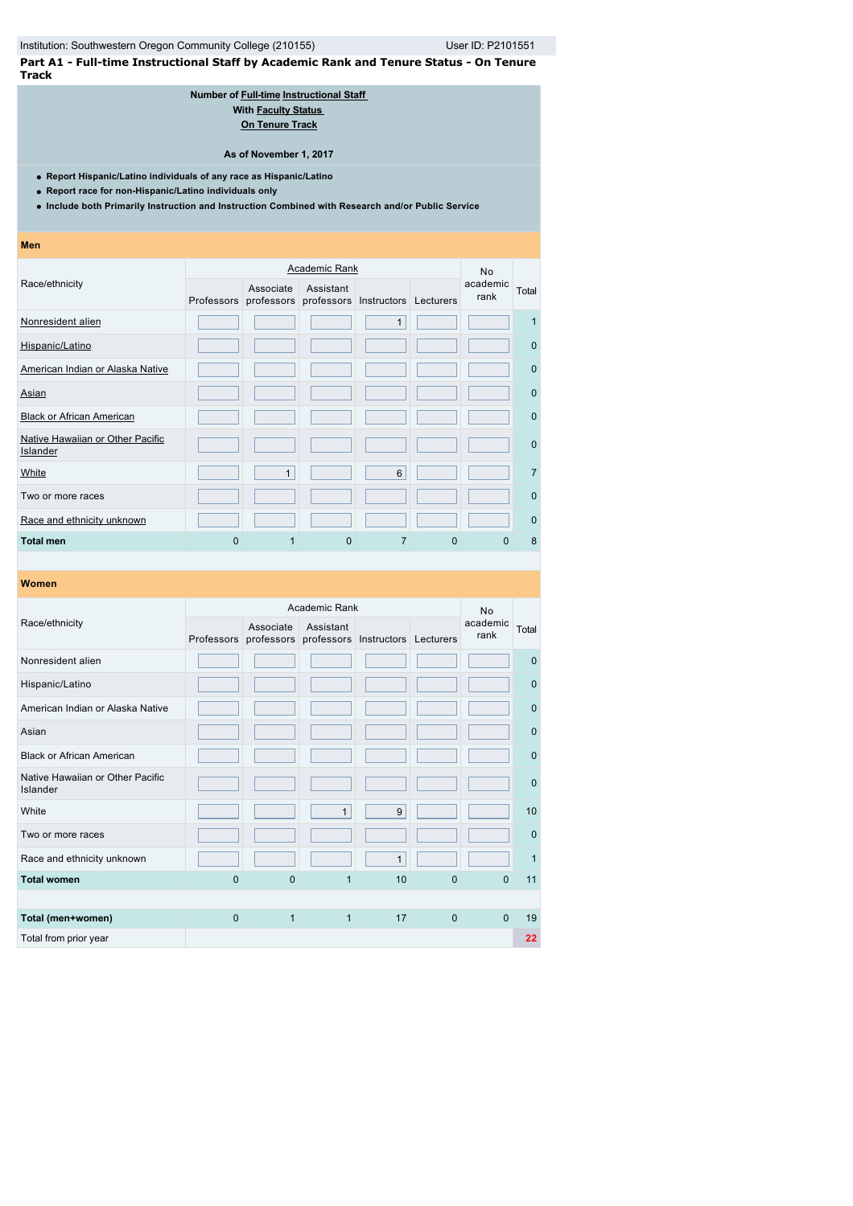**Part A1 - Full-time Instructional Staff by Academic Rank and Tenure Status - On Tenure Track**

#### **Number of [Full-time](javascript:openglossary(257)) [Instructional Staff](javascript:openglossary(996))  With Faculty Status [On Tenure Track](javascript:openglossary(641))**

**As of November 1, 2017**

- **Report Hispanic/Latino individuals of any race as Hispanic/Latino**
- **Report race for non-Hispanic/Latino individuals only**
- **Include both Primarily Instruction and Instruction Combined with Research and/or Public Service**

| <b>Men</b>                                   |   |                                    |           |                                  |   |                  |                |
|----------------------------------------------|---|------------------------------------|-----------|----------------------------------|---|------------------|----------------|
|                                              |   | <b>No</b>                          |           |                                  |   |                  |                |
| Race/ethnicity                               |   | Associate<br>Professors professors | Assistant | professors Instructors Lecturers |   | academic<br>rank | Total          |
| Nonresident alien                            |   |                                    |           | $\mathbf{1}$                     |   |                  | 1              |
| Hispanic/Latino                              |   |                                    |           |                                  |   |                  | $\mathbf 0$    |
| American Indian or Alaska Native             |   |                                    |           |                                  |   |                  | $\mathbf 0$    |
| Asian                                        |   |                                    |           |                                  |   |                  | $\Omega$       |
| <b>Black or African American</b>             |   |                                    |           |                                  |   |                  | $\mathbf 0$    |
| Native Hawaiian or Other Pacific<br>Islander |   |                                    |           |                                  |   |                  | $\mathbf 0$    |
| White                                        |   | $\mathbf{1}$                       |           | $6\phantom{1}6$                  |   |                  | $\overline{7}$ |
| Two or more races                            |   |                                    |           |                                  |   |                  | $\mathbf 0$    |
| Race and ethnicity unknown                   |   |                                    |           |                                  |   |                  | $\mathbf 0$    |
| <b>Total men</b>                             | 0 | 1                                  | $\Omega$  | $\overline{7}$                   | 0 | <sup>0</sup>     | 8              |

# **Women** Race/ethnicity Academic Rank No academic rank Total Professors professors professors Instructors Lecturers Associate Assistant Nonresident alien **1986 beginning and structure of the contract of the contract of the contract of the contract o** Hispanic/Latino 0 American Indian or Alaska Native **0 19 and 19 and 19 and 19 and 19 and 19 and 19 and 19 and 19 and 19 and 19 and 19 and 19 and 19 and 19 and 19 and 19 and 19 and 19 and 19 and 19 and 19 and 19 and 19 and 19 and 19 and 19 a** Asian and the second control of the second control of the second control of the second control of the second c Black or African American **Designation of the Contract of Contract of Contract of Contract or** O Native Hawaiian or Other Pacific<br>Islander Islander<sup>0</sup> White 1 9 10 Two or more races **1986 and 1997 and 1998 and 1997 and 1998 and 1997 and 1998 and 1998 and 1999 and 1999 and 1999 and 1999 and 1999 and 1999 and 1999 and 1999 and 1999 and 1999 and 1999 and 1999 and 1999 and 1999 and 1999** Race and ethnicity unknown 1 1 **Total women** 0 0 0 1 10 0 0 11 **Total (men+women)** 0 1 1 1 17 0 0 19 Total from prior year **22**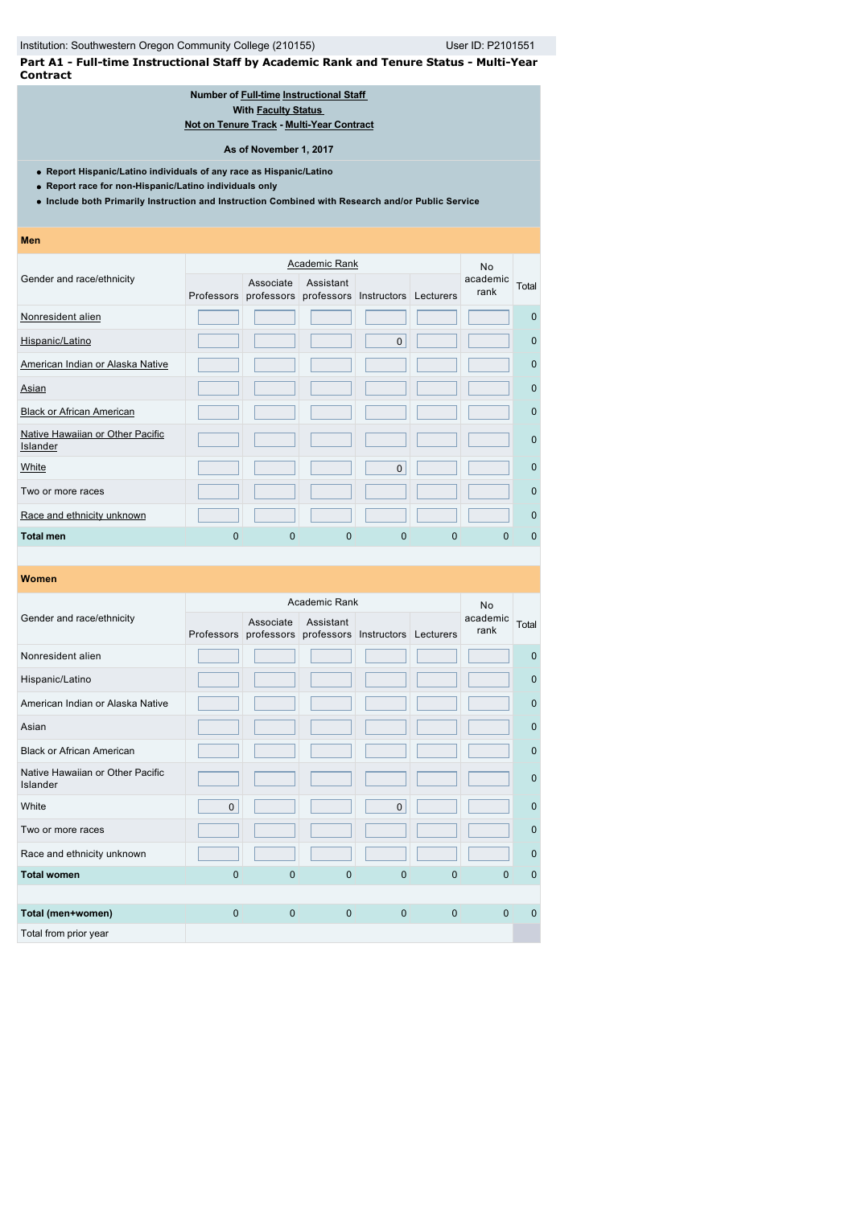**Part A1 - Full-time Instructional Staff by Academic Rank and Tenure Status - Multi-Year Contract**

#### **Number of [Full-time](javascript:openglossary(257)) [Instructional Staff](javascript:openglossary(996))  With [Faculty Status](javascript:openglossary(1009))  [Not on Tenure Track](javascript:openglossary(966)) - [Multi-Year Contract](javascript:openglossary(981))**

**As of November 1, 2017**

**Report Hispanic/Latino individuals of any race as Hispanic/Latino**

**Report race for non-Hispanic/Latino individuals only**

**Include both Primarily Instruction and Instruction Combined with Research and/or Public Service**

**Men**

|                                              |   |                                                           | Academic Rank |              |           | <b>No</b>        |             |
|----------------------------------------------|---|-----------------------------------------------------------|---------------|--------------|-----------|------------------|-------------|
| Gender and race/ethnicity                    |   | Associate<br>Professors professors professors Instructors | Assistant     |              | Lecturers | academic<br>rank | Total       |
| Nonresident alien                            |   |                                                           |               |              |           |                  | $\Omega$    |
| Hispanic/Latino                              |   |                                                           |               | $\mathbf{0}$ |           |                  | $\mathbf 0$ |
| American Indian or Alaska Native             |   |                                                           |               |              |           |                  | $\mathbf 0$ |
| Asian                                        |   |                                                           |               |              |           |                  | $\Omega$    |
| <b>Black or African American</b>             |   |                                                           |               |              |           |                  | $\Omega$    |
| Native Hawaiian or Other Pacific<br>Islander |   |                                                           |               |              |           |                  | $\Omega$    |
| White                                        |   |                                                           |               | $\mathbf{0}$ |           |                  | $\Omega$    |
| Two or more races                            |   |                                                           |               |              |           |                  | $\mathbf 0$ |
| Race and ethnicity unknown                   |   |                                                           |               |              |           |                  | $\mathbf 0$ |
| Total men                                    | O | 0                                                         | 0             | 0            | 0         | O                | $\Omega$    |

|                                              |              |                                                                     | Academic Rank |              |          | <b>No</b>        |              |
|----------------------------------------------|--------------|---------------------------------------------------------------------|---------------|--------------|----------|------------------|--------------|
| Gender and race/ethnicity                    |              | Associate<br>Professors professors professors Instructors Lecturers | Assistant     |              |          | academic<br>rank | Total        |
| Nonresident alien                            |              |                                                                     |               |              |          |                  | $\mathbf{0}$ |
| Hispanic/Latino                              |              |                                                                     |               |              |          |                  | $\mathbf 0$  |
| American Indian or Alaska Native             |              |                                                                     |               |              |          |                  | $\mathbf 0$  |
| Asian                                        |              |                                                                     |               |              |          |                  | $\mathbf{0}$ |
| <b>Black or African American</b>             |              |                                                                     |               |              |          |                  | $\mathbf{0}$ |
| Native Hawaiian or Other Pacific<br>Islander |              |                                                                     |               |              |          |                  | $\mathbf{0}$ |
| White                                        | $\mathbf 0$  |                                                                     |               | $\pmb{0}$    |          |                  | $\mathbf{0}$ |
| Two or more races                            |              |                                                                     |               |              |          |                  | $\Omega$     |
| Race and ethnicity unknown                   |              |                                                                     |               |              |          |                  | $\mathbf{0}$ |
| <b>Total women</b>                           | $\mathbf{0}$ | $\overline{0}$                                                      | $\mathbf{0}$  | 0            | 0        | $\Omega$         | $\mathbf 0$  |
|                                              |              |                                                                     |               |              |          |                  |              |
| Total (men+women)                            | $\Omega$     | $\mathbf{0}$                                                        | $\mathbf{0}$  | $\mathbf{0}$ | $\Omega$ | $\Omega$         | $\Omega$     |
| Total from prior year                        |              |                                                                     |               |              |          |                  |              |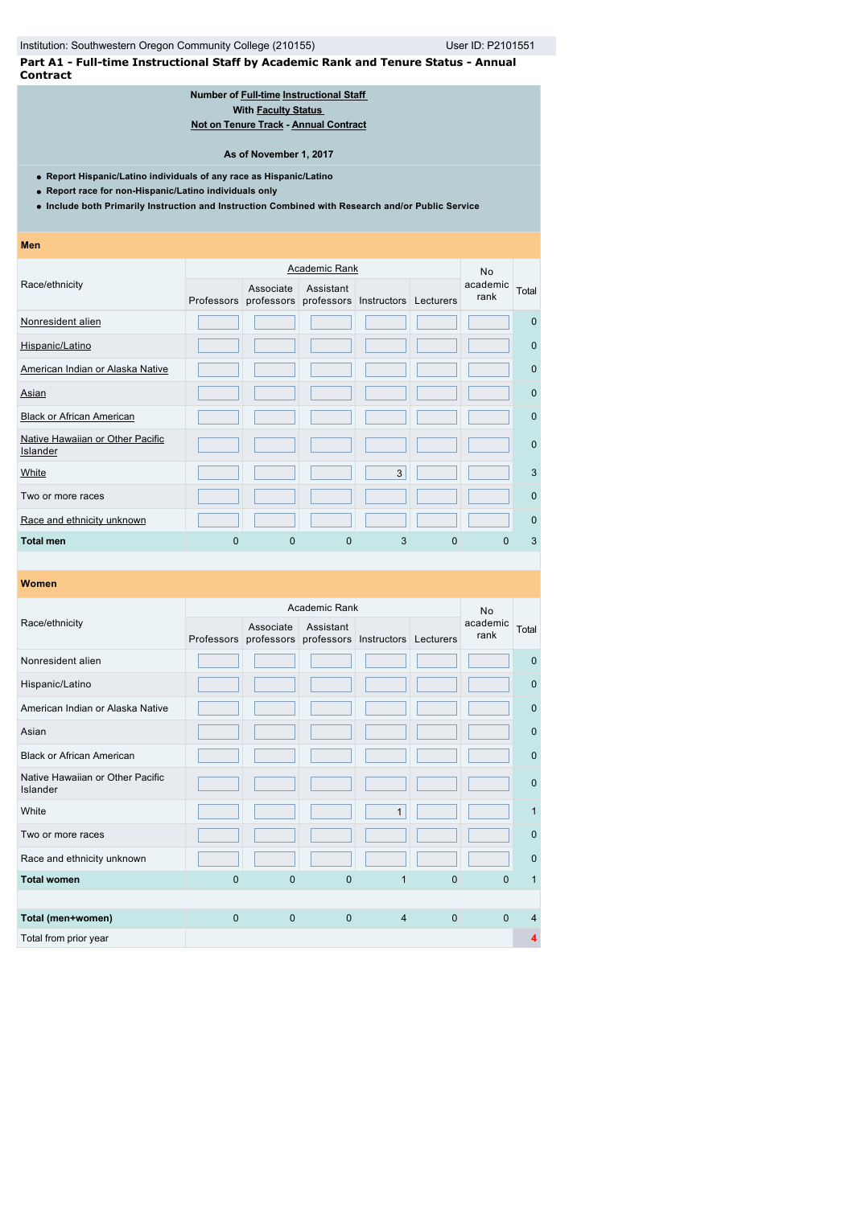**Part A1 - Full-time Instructional Staff by Academic Rank and Tenure Status - Annual Contract**

### **Number of [Full-time](javascript:openglossary(257)) [Instructional Staff](javascript:openglossary(996))  With [Faculty Status](javascript:openglossary(1009))  [Not on Tenure Track](javascript:openglossary(966)) - [Annual Contract](javascript:openglossary(979))**

#### **As of November 1, 2017**

- **Report Hispanic/Latino individuals of any race as Hispanic/Latino**
- **Report race for non-Hispanic/Latino individuals only**
- **Include both Primarily Instruction and Instruction Combined with Research and/or Public Service**

| Men                                          |          |                                    |           |                                  |          |                  |             |
|----------------------------------------------|----------|------------------------------------|-----------|----------------------------------|----------|------------------|-------------|
|                                              |          |                                    | <b>No</b> |                                  |          |                  |             |
| Race/ethnicity                               |          | Associate<br>Professors professors | Assistant | professors Instructors Lecturers |          | academic<br>rank | Total       |
| Nonresident alien                            |          |                                    |           |                                  |          |                  | $\Omega$    |
| Hispanic/Latino                              |          |                                    |           |                                  |          |                  | $\mathbf 0$ |
| American Indian or Alaska Native             |          |                                    |           |                                  |          |                  | $\Omega$    |
| Asian                                        |          |                                    |           |                                  |          |                  | $\Omega$    |
| <b>Black or African American</b>             |          |                                    |           |                                  |          |                  | $\mathbf 0$ |
| Native Hawaiian or Other Pacific<br>Islander |          |                                    |           |                                  |          |                  | $\mathbf 0$ |
| White                                        |          |                                    |           | 3                                |          |                  | 3           |
| Two or more races                            |          |                                    |           |                                  |          |                  | $\mathbf 0$ |
| Race and ethnicity unknown                   |          |                                    |           |                                  |          |                  | $\mathbf 0$ |
| <b>Total men</b>                             | $\Omega$ | $\Omega$                           | $\Omega$  | 3                                | $\Omega$ | <sup>0</sup>     | 3           |

| Women                                        |              |                         |               |                                  |             |                  |              |
|----------------------------------------------|--------------|-------------------------|---------------|----------------------------------|-------------|------------------|--------------|
|                                              |              |                         | Academic Rank |                                  |             | <b>No</b>        |              |
| Race/ethnicity                               | Professors   | Associate<br>professors | Assistant     | professors Instructors Lecturers |             | academic<br>rank | Total        |
| Nonresident alien                            |              |                         |               |                                  |             |                  | $\mathbf 0$  |
| Hispanic/Latino                              |              |                         |               |                                  |             |                  | $\mathbf{0}$ |
| American Indian or Alaska Native             |              |                         |               |                                  |             |                  | $\mathbf{0}$ |
| Asian                                        |              |                         |               |                                  |             |                  | $\Omega$     |
| <b>Black or African American</b>             |              |                         |               |                                  |             |                  | $\mathbf 0$  |
| Native Hawaiian or Other Pacific<br>Islander |              |                         |               |                                  |             |                  | $\mathbf 0$  |
| White                                        |              |                         |               | $\mathbf{1}$                     |             |                  | $\mathbf{1}$ |
| Two or more races                            |              |                         |               |                                  |             |                  | $\mathbf{0}$ |
| Race and ethnicity unknown                   |              |                         |               |                                  |             |                  | $\Omega$     |
| <b>Total women</b>                           | $\mathbf{0}$ | $\Omega$                | $\Omega$      | 1                                | $\mathbf 0$ | $\Omega$         | 1            |
|                                              |              |                         |               |                                  |             |                  |              |
| Total (men+women)                            | $\mathbf{0}$ | $\mathbf{0}$            | $\mathbf{0}$  | $\overline{4}$                   | $\mathbf 0$ | $\Omega$         | 4            |
| Total from prior year                        |              |                         |               |                                  |             |                  | 4            |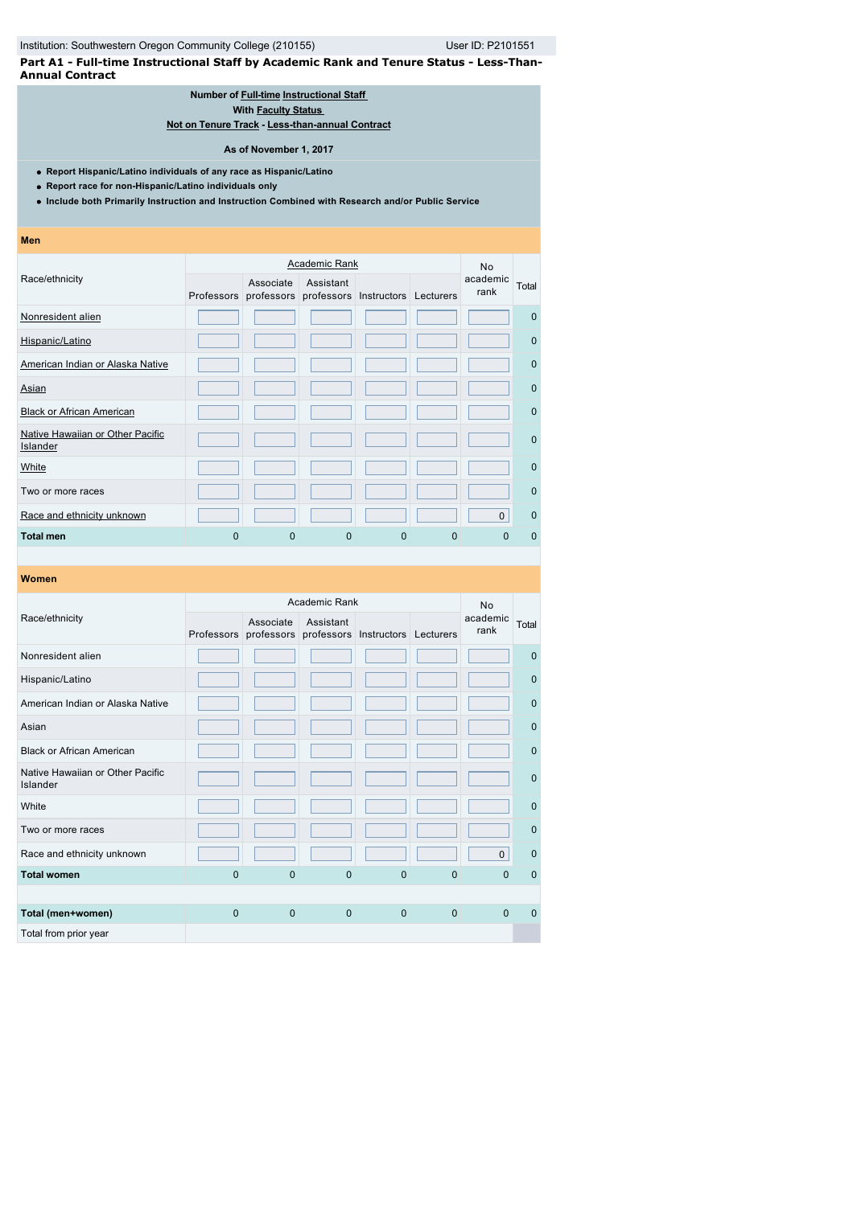**Part A1 - Full-time Instructional Staff by Academic Rank and Tenure Status - Less-Than-Annual Contract**

### **Number of [Full-time](javascript:openglossary(257)) [Instructional Staff](javascript:openglossary(996))  With [Faculty Status](javascript:openglossary(1009))**

**[Not on Tenure Track](javascript:openglossary(966)) - [Less-than-annual Contract](javascript:openglossary(980))**

**As of November 1, 2017**

- **Report Hispanic/Latino individuals of any race as Hispanic/Latino**
- **Report race for non-Hispanic/Latino individuals only**
- **Include both Primarily Instruction and Instruction Combined with Research and/or Public Service**
- **Men**

|                                              |   |                                                           | <b>Academic Rank</b> |   |           | <b>No</b>        |             |
|----------------------------------------------|---|-----------------------------------------------------------|----------------------|---|-----------|------------------|-------------|
| Race/ethnicity                               |   | Associate<br>Professors professors professors Instructors | Assistant            |   | Lecturers | academic<br>rank | Total       |
| Nonresident alien                            |   |                                                           |                      |   |           |                  | $\mathbf 0$ |
| Hispanic/Latino                              |   |                                                           |                      |   |           |                  | $\mathbf 0$ |
| American Indian or Alaska Native             |   |                                                           |                      |   |           |                  | $\mathbf 0$ |
| Asian                                        |   |                                                           |                      |   |           |                  | $\mathbf 0$ |
| <b>Black or African American</b>             |   |                                                           |                      |   |           |                  | $\mathbf 0$ |
| Native Hawaiian or Other Pacific<br>Islander |   |                                                           |                      |   |           |                  | $\mathbf 0$ |
| White                                        |   |                                                           |                      |   |           |                  | $\mathbf 0$ |
| Two or more races                            |   |                                                           |                      |   |           |                  | $\mathbf 0$ |
| Race and ethnicity unknown                   |   |                                                           |                      |   |           | 0                | $\mathbf 0$ |
| <b>Total men</b>                             | 0 | 0                                                         | 0                    | 0 | 0         | O                | $\Omega$    |

|                                              |                |                         | Academic Rank |                                  |              | <b>No</b>        |              |
|----------------------------------------------|----------------|-------------------------|---------------|----------------------------------|--------------|------------------|--------------|
| Race/ethnicity                               | Professors     | Associate<br>professors | Assistant     | professors Instructors Lecturers |              | academic<br>rank | Total        |
| Nonresident alien                            |                |                         |               |                                  |              |                  | $\Omega$     |
| Hispanic/Latino                              |                |                         |               |                                  |              |                  | $\mathbf 0$  |
| American Indian or Alaska Native             |                |                         |               |                                  |              |                  | $\mathbf 0$  |
| Asian                                        |                |                         |               |                                  |              |                  | $\mathbf 0$  |
| <b>Black or African American</b>             |                |                         |               |                                  |              |                  | $\mathbf 0$  |
| Native Hawaiian or Other Pacific<br>Islander |                |                         |               |                                  |              |                  | $\mathbf{0}$ |
| White                                        |                |                         |               |                                  |              |                  | $\mathbf{0}$ |
| Two or more races                            |                |                         |               |                                  |              |                  | $\mathbf{0}$ |
| Race and ethnicity unknown                   |                |                         |               |                                  |              | $\mathbf 0$      | $\mathbf{0}$ |
| <b>Total women</b>                           | $\overline{0}$ | $\mathbf{0}$            | $\mathbf{0}$  | $\mathbf{0}$                     | $\mathbf{0}$ | $\Omega$         | $\mathbf 0$  |
|                                              |                |                         |               |                                  |              |                  |              |
| Total (men+women)                            | $\Omega$       | $\mathbf{0}$            | $\mathbf{0}$  | $\mathbf{0}$                     | $\mathbf{0}$ | $\Omega$         | $\Omega$     |
| Total from prior year                        |                |                         |               |                                  |              |                  |              |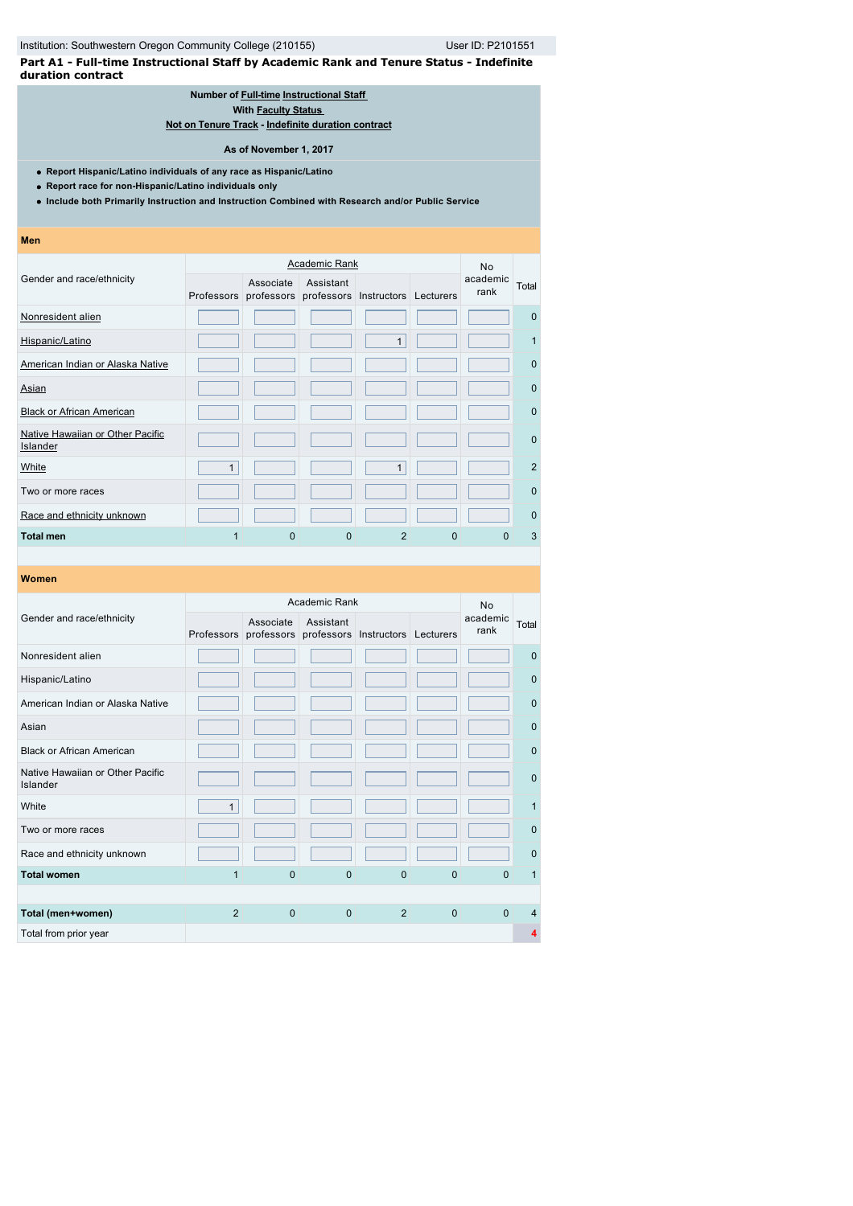**Part A1 - Full-time Instructional Staff by Academic Rank and Tenure Status - Indefinite duration contract**

# **Number of [Full-time](javascript:openglossary(257)) [Instructional Staff](javascript:openglossary(996))**

**With [Faculty Status](javascript:openglossary(1009))** 

**[Not on Tenure Track](javascript:openglossary(966)) - [Indefinite duration contract](javascript:openglossary(1075))**

#### **As of November 1, 2017**

**Report Hispanic/Latino individuals of any race as Hispanic/Latino**

**Report race for non-Hispanic/Latino individuals only**

**Include both Primarily Instruction and Instruction Combined with Research and/or Public Service**

**Men**

|                                                     |              |                                    | <b>Academic Rank</b> |                        |           | <b>No</b>        |             |
|-----------------------------------------------------|--------------|------------------------------------|----------------------|------------------------|-----------|------------------|-------------|
| Gender and race/ethnicity                           |              | Associate<br>Professors professors | Assistant            | professors Instructors | Lecturers | academic<br>rank | Total       |
| Nonresident alien                                   |              |                                    |                      |                        |           |                  | $\mathbf 0$ |
| Hispanic/Latino                                     |              |                                    |                      | $\mathbf{1}$           |           |                  | 1           |
| American Indian or Alaska Native                    |              |                                    |                      |                        |           |                  | $\mathbf 0$ |
| Asian                                               |              |                                    |                      |                        |           |                  | $\mathbf 0$ |
| <b>Black or African American</b>                    |              |                                    |                      |                        |           |                  | $\Omega$    |
| Native Hawaiian or Other Pacific<br><b>Islander</b> |              |                                    |                      |                        |           |                  | $\Omega$    |
| White                                               | $\mathbf{1}$ |                                    |                      | 1                      |           |                  | 2           |
| Two or more races                                   |              |                                    |                      |                        |           |                  | $\Omega$    |
| Race and ethnicity unknown                          |              |                                    |                      |                        |           |                  | $\Omega$    |
| Total men                                           |              | $\Omega$                           | 0                    | 2                      | 0         | O                | 3           |

|                                              |              |                                    | Academic Rank |                                  |              | <b>No</b>        |              |
|----------------------------------------------|--------------|------------------------------------|---------------|----------------------------------|--------------|------------------|--------------|
| Gender and race/ethnicity                    |              | Associate<br>Professors professors | Assistant     | professors Instructors Lecturers |              | academic<br>rank | Total        |
| Nonresident alien                            |              |                                    |               |                                  |              |                  | $\Omega$     |
| Hispanic/Latino                              |              |                                    |               |                                  |              |                  | $\mathbf 0$  |
| American Indian or Alaska Native             |              |                                    |               |                                  |              |                  | $\mathbf 0$  |
| Asian                                        |              |                                    |               |                                  |              |                  | $\mathbf 0$  |
| <b>Black or African American</b>             |              |                                    |               |                                  |              |                  | $\mathbf 0$  |
| Native Hawaiian or Other Pacific<br>Islander |              |                                    |               |                                  |              |                  | $\mathbf{0}$ |
| White                                        | $\mathbf{1}$ |                                    |               |                                  |              |                  | 1            |
| Two or more races                            |              |                                    |               |                                  |              |                  | $\Omega$     |
| Race and ethnicity unknown                   |              |                                    |               |                                  |              |                  | $\mathbf{0}$ |
| <b>Total women</b>                           | 1            | $\overline{0}$                     | $\mathbf{0}$  | $\mathbf{0}$                     | $\mathbf{0}$ | $\Omega$         | 1            |
|                                              |              |                                    |               |                                  |              |                  |              |
| Total (men+women)                            | 2            | $\mathbf{0}$                       | $\mathbf{0}$  | 2                                | $\mathbf{0}$ | $\Omega$         | 4            |
| Total from prior year                        |              |                                    |               |                                  |              |                  | 4            |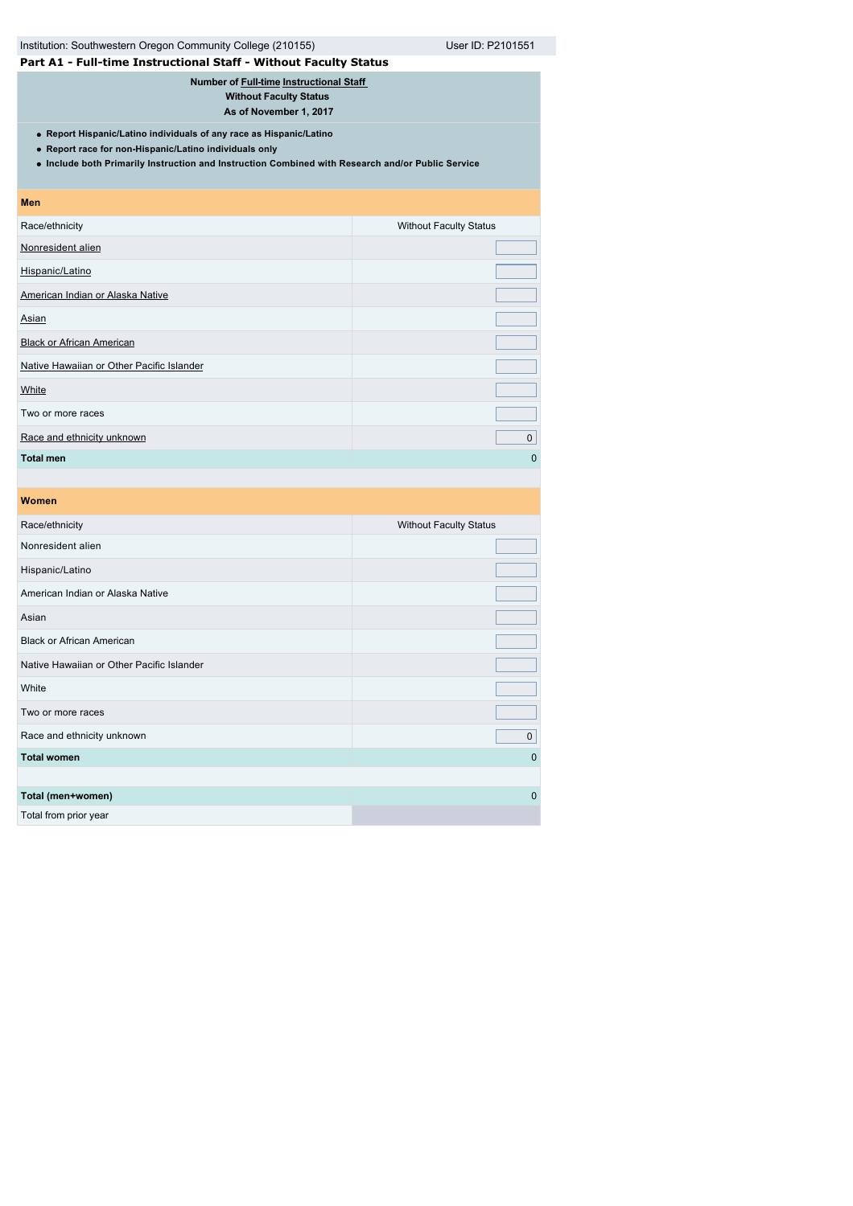| Institution: Southwestern Oregon Community College (210155)<br>User ID: P2101551                                                                                                                                                   |                               |  |  |  |
|------------------------------------------------------------------------------------------------------------------------------------------------------------------------------------------------------------------------------------|-------------------------------|--|--|--|
| Part A1 - Full-time Instructional Staff - Without Faculty Status                                                                                                                                                                   |                               |  |  |  |
| Number of Full-time Instructional Staff<br><b>Without Faculty Status</b><br>As of November 1, 2017                                                                                                                                 |                               |  |  |  |
| • Report Hispanic/Latino individuals of any race as Hispanic/Latino<br>• Report race for non-Hispanic/Latino individuals only<br>. Include both Primarily Instruction and Instruction Combined with Research and/or Public Service |                               |  |  |  |
| <b>Men</b>                                                                                                                                                                                                                         |                               |  |  |  |
| Race/ethnicity                                                                                                                                                                                                                     | <b>Without Faculty Status</b> |  |  |  |
| Nonresident alien                                                                                                                                                                                                                  |                               |  |  |  |
| Hispanic/Latino                                                                                                                                                                                                                    |                               |  |  |  |
| American Indian or Alaska Native                                                                                                                                                                                                   |                               |  |  |  |
| Asian                                                                                                                                                                                                                              |                               |  |  |  |
| <b>Black or African American</b>                                                                                                                                                                                                   |                               |  |  |  |
| Native Hawaiian or Other Pacific Islander                                                                                                                                                                                          |                               |  |  |  |
| White                                                                                                                                                                                                                              |                               |  |  |  |

Two or more races [Race and ethnicity unknown](javascript:openglossary(543)) **comparison** control to the control of the control of the control of the control of the control of the control of the control of the control of the control of the control of the control of the co **Total men** 0

| <b>Women</b>                              |                               |
|-------------------------------------------|-------------------------------|
| Race/ethnicity                            | <b>Without Faculty Status</b> |
| Nonresident alien                         |                               |
| Hispanic/Latino                           |                               |
| American Indian or Alaska Native          |                               |
| Asian                                     |                               |
| <b>Black or African American</b>          |                               |
| Native Hawaiian or Other Pacific Islander |                               |
| White                                     |                               |
| Two or more races                         |                               |
| Race and ethnicity unknown                | $\pmb{0}$                     |
| <b>Total women</b>                        | $\mathbf{0}$                  |
|                                           |                               |
| Total (men+women)                         | $\mathbf{0}$                  |
| Total from prior year                     |                               |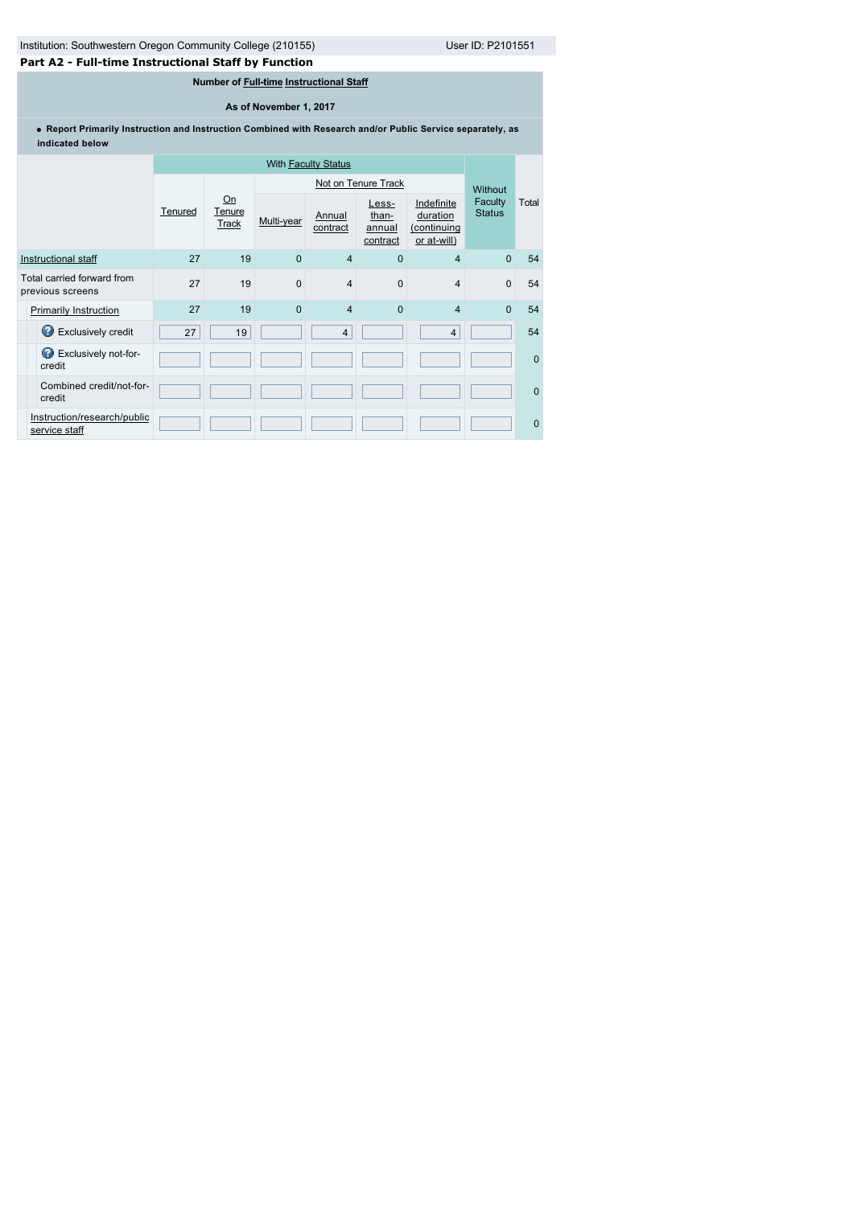# **Part A2 - Full-time Instructional Staff by Function**

# **Number of [Full-time](javascript:openglossary(257)) [Instructional Staff](javascript:openglossary(996))**

# **As of November 1, 2017**

**Report Primarily Instruction and Instruction Combined with Research and/or Public Service separately, as indicated below**

|                                                | <b>With Faculty Status</b> |                              |            |                    |                                      |                                                      |                          |              |
|------------------------------------------------|----------------------------|------------------------------|------------|--------------------|--------------------------------------|------------------------------------------------------|--------------------------|--------------|
|                                                |                            |                              |            |                    | Not on Tenure Track                  |                                                      | <b>Without</b>           |              |
|                                                | Tenured                    | Qn<br>Tenure<br><b>Track</b> | Multi-year | Annual<br>contract | Less-<br>than-<br>annual<br>contract | Indefinite<br>duration<br>(continuing<br>or at-will) | Faculty<br><b>Status</b> | Total        |
| Instructional staff                            | 27                         | 19                           | $\Omega$   | $\overline{4}$     | $\mathbf{0}$                         | $\overline{4}$                                       | $\mathbf{0}$             | 54           |
| Total carried forward from<br>previous screens | 27                         | 19                           | 0          | $\overline{4}$     | $\mathbf 0$                          | $\overline{4}$                                       | $\mathbf{0}$             | 54           |
| <b>Primarily Instruction</b>                   | 27                         | 19                           | $\Omega$   | $\overline{4}$     | $\mathbf{0}$                         | $\overline{4}$                                       | $\Omega$                 | 54           |
| Exclusively credit                             | 27                         | 19                           |            | $\overline{4}$     |                                      | $\overline{4}$                                       |                          | 54           |
| Exclusively not-for-<br>credit                 |                            |                              |            |                    |                                      |                                                      |                          | $\Omega$     |
| Combined credit/not-for-<br>credit             |                            |                              |            |                    |                                      |                                                      |                          | $\mathbf{0}$ |
| Instruction/research/public<br>service staff   |                            |                              |            |                    |                                      |                                                      |                          | $\mathbf{0}$ |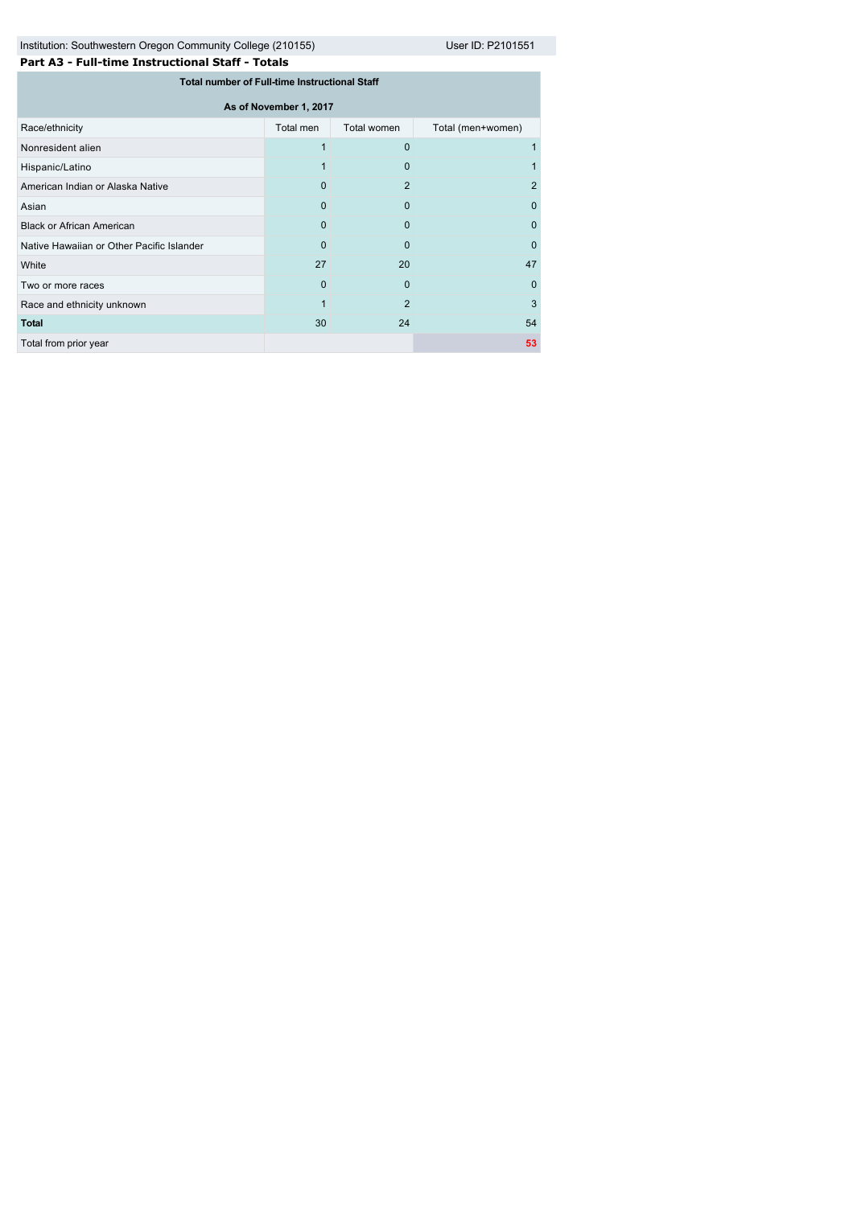Institution: Southwestern Oregon Community College (210155) User ID: P2101551

| Part A3 - Full-time Instructional Staff - Totals |  |
|--------------------------------------------------|--|
|--------------------------------------------------|--|

| <b>Total number of Full-time Instructional Staff</b> |                |                |                   |  |  |  |
|------------------------------------------------------|----------------|----------------|-------------------|--|--|--|
| As of November 1, 2017                               |                |                |                   |  |  |  |
| Race/ethnicity                                       | Total men      | Total women    | Total (men+women) |  |  |  |
| Nonresident alien                                    |                | 0              |                   |  |  |  |
| Hispanic/Latino                                      |                | 0              |                   |  |  |  |
| American Indian or Alaska Native                     | $\Omega$       | $\overline{2}$ | $\overline{2}$    |  |  |  |
| Asian                                                | 0              | 0              | 0                 |  |  |  |
| <b>Black or African American</b>                     | $\Omega$       | $\Omega$       | 0                 |  |  |  |
| Native Hawaiian or Other Pacific Islander            | 0              | 0              | 0                 |  |  |  |
| White                                                | 27             | 20             | 47                |  |  |  |
| Two or more races                                    | $\overline{0}$ | $\overline{0}$ | 0                 |  |  |  |
| Race and ethnicity unknown                           | 1              | $\overline{2}$ | 3                 |  |  |  |
| <b>Total</b>                                         | 30             | 24             | 54                |  |  |  |
| Total from prior year                                |                |                | 53                |  |  |  |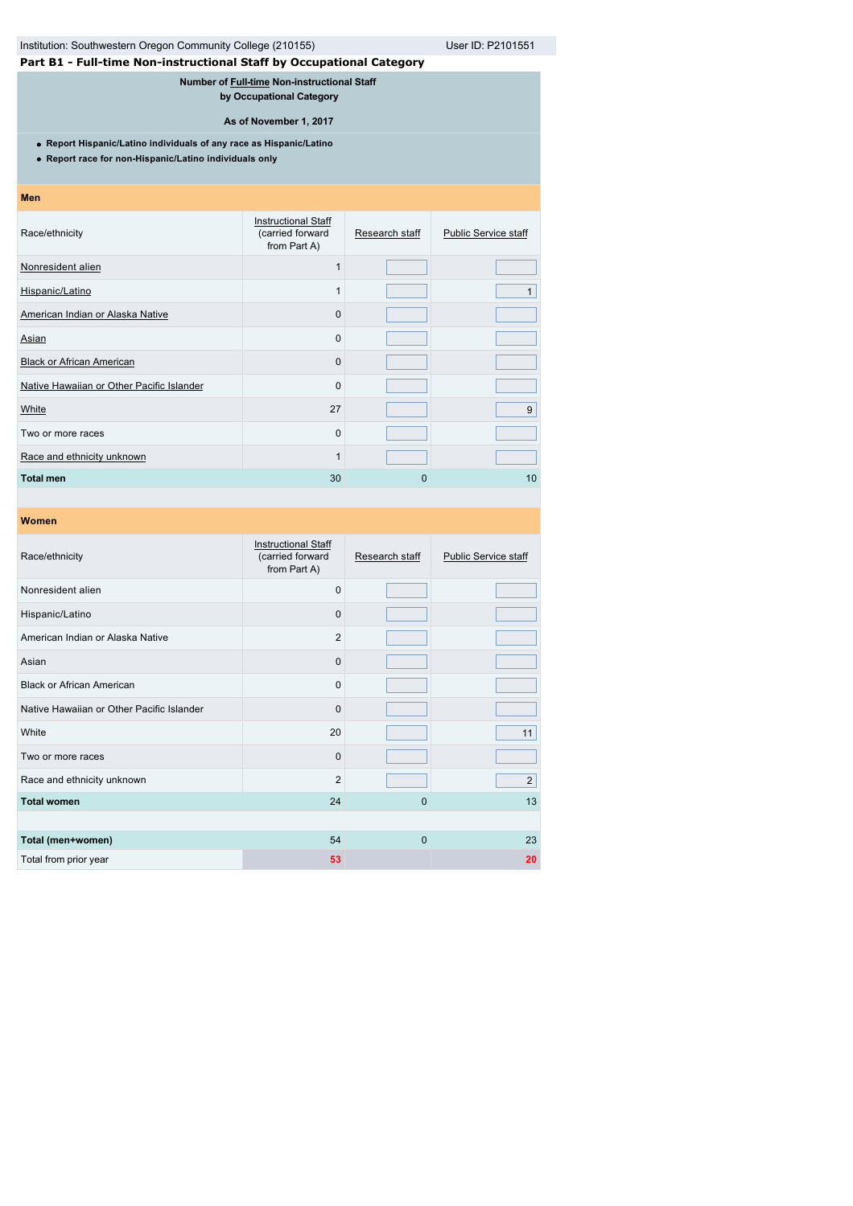# Institution: Southwestern Oregon Community College (210155) User ID: P2101551

# **Part B1 - Full-time Non-instructional Staff by Occupational Category**

**Number of [Full-time](javascript:openglossary(257)) Non-instructional Staff** 

**by Occupational Category**

### **As of November 1, 2017**

**Report Hispanic/Latino individuals of any race as Hispanic/Latino**

**Report race for non-Hispanic/Latino individuals only**

#### **Men**

| <b>Instructional Staff</b><br>(carried forward<br>from Part A) | Research staff | <b>Public Service staff</b> |
|----------------------------------------------------------------|----------------|-----------------------------|
| 1                                                              |                |                             |
| 1                                                              |                | 1                           |
| 0                                                              |                |                             |
| 0                                                              |                |                             |
| 0                                                              |                |                             |
| 0                                                              |                |                             |
| 27                                                             |                | 9                           |
| 0                                                              |                |                             |
| 1                                                              |                |                             |
| 30                                                             | 0              | 10                          |
|                                                                |                |                             |

| Race/ethnicity                            | <b>Instructional Staff</b><br>(carried forward<br>from Part A) | Research staff | <b>Public Service staff</b> |
|-------------------------------------------|----------------------------------------------------------------|----------------|-----------------------------|
| Nonresident alien                         | $\Omega$                                                       |                |                             |
| Hispanic/Latino                           | $\Omega$                                                       |                |                             |
| American Indian or Alaska Native          | $\overline{2}$                                                 |                |                             |
| Asian                                     | $\Omega$                                                       |                |                             |
| <b>Black or African American</b>          | $\Omega$                                                       |                |                             |
| Native Hawaiian or Other Pacific Islander | $\Omega$                                                       |                |                             |
| White                                     | 20                                                             |                | 11                          |
| Two or more races                         | $\mathbf 0$                                                    |                |                             |
| Race and ethnicity unknown                | $\overline{2}$                                                 |                | $\overline{2}$              |
| <b>Total women</b>                        | 24                                                             | 0              | 13                          |
|                                           |                                                                |                |                             |
| Total (men+women)                         | 54                                                             | 0              | 23                          |
| Total from prior year                     | 53                                                             |                | 20                          |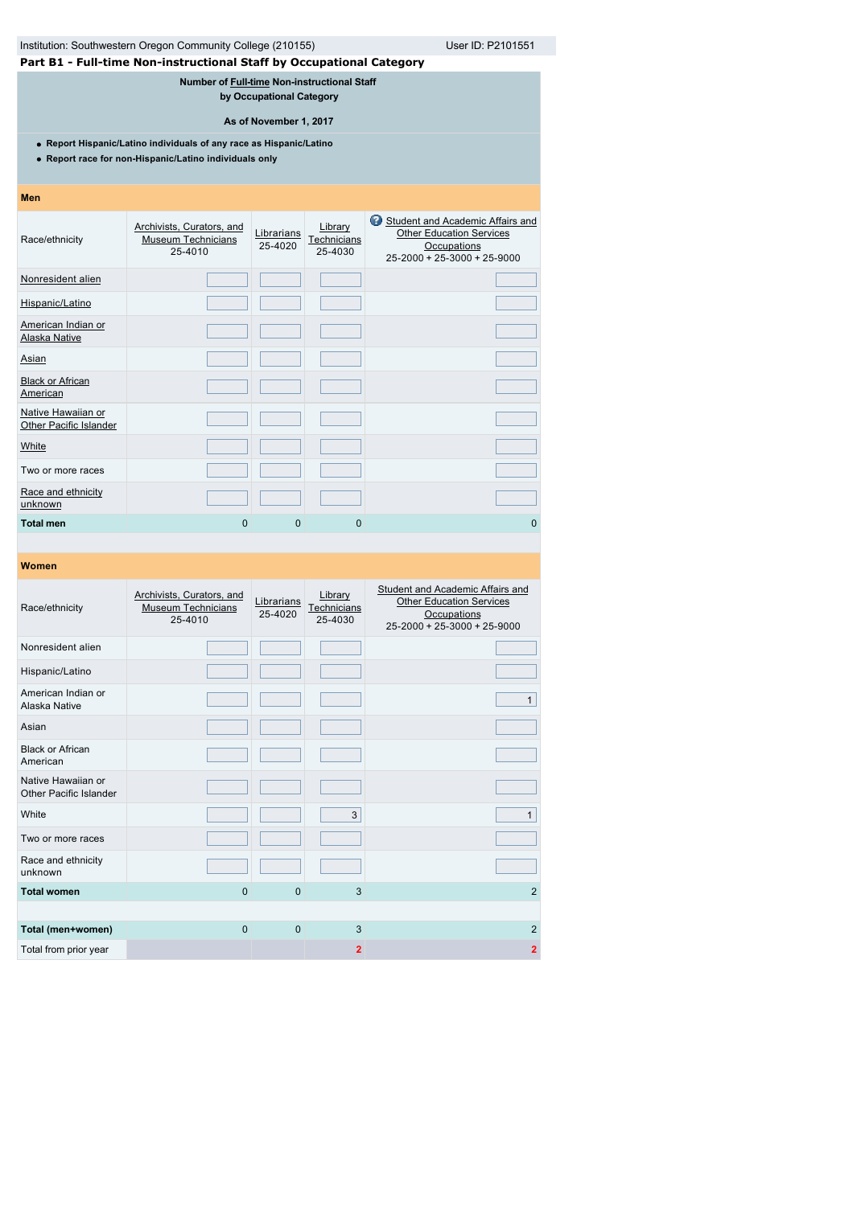| User ID: P2101551<br>Institution: Southwestern Oregon Community College (210155)                                              |                                                                      |                       |                                   |                                                                                                                           |  |  |  |
|-------------------------------------------------------------------------------------------------------------------------------|----------------------------------------------------------------------|-----------------------|-----------------------------------|---------------------------------------------------------------------------------------------------------------------------|--|--|--|
|                                                                                                                               | Part B1 - Full-time Non-instructional Staff by Occupational Category |                       |                                   |                                                                                                                           |  |  |  |
| Number of Full-time Non-instructional Staff<br>by Occupational Category                                                       |                                                                      |                       |                                   |                                                                                                                           |  |  |  |
| As of November 1, 2017                                                                                                        |                                                                      |                       |                                   |                                                                                                                           |  |  |  |
| • Report Hispanic/Latino individuals of any race as Hispanic/Latino<br>• Report race for non-Hispanic/Latino individuals only |                                                                      |                       |                                   |                                                                                                                           |  |  |  |
| Men                                                                                                                           |                                                                      |                       |                                   |                                                                                                                           |  |  |  |
| Race/ethnicity                                                                                                                | Archivists, Curators, and<br><b>Museum Technicians</b><br>25-4010    | Librarians<br>25-4020 | Library<br>Technicians<br>25-4030 | Student and Academic Affairs and<br><b>Other Education Services</b><br>Occupations<br>$25 - 2000 + 25 - 3000 + 25 - 9000$ |  |  |  |
| Nonresident alien                                                                                                             |                                                                      |                       |                                   |                                                                                                                           |  |  |  |
| Hispanic/Latino                                                                                                               |                                                                      |                       |                                   |                                                                                                                           |  |  |  |
| American Indian or<br>Alaska Native                                                                                           |                                                                      |                       |                                   |                                                                                                                           |  |  |  |
| Asian                                                                                                                         |                                                                      |                       |                                   |                                                                                                                           |  |  |  |
| <b>Black or African</b><br>American                                                                                           |                                                                      |                       |                                   |                                                                                                                           |  |  |  |
| Native Hawaiian or<br><b>Other Pacific Islander</b>                                                                           |                                                                      |                       |                                   |                                                                                                                           |  |  |  |
| White                                                                                                                         |                                                                      |                       |                                   |                                                                                                                           |  |  |  |
| Two or more races                                                                                                             |                                                                      |                       |                                   |                                                                                                                           |  |  |  |
| Race and ethnicity<br>unknown                                                                                                 |                                                                      |                       |                                   |                                                                                                                           |  |  |  |
| <b>Total men</b>                                                                                                              | $\Omega$                                                             | $\Omega$              | 0                                 | $\Omega$                                                                                                                  |  |  |  |

| Race/ethnicity                               | Archivists, Curators, and<br><b>Museum Technicians</b><br>25-4010 | Librarians<br>25-4020 | Library<br>Technicians<br>25-4030 | Student and Academic Affairs and<br><b>Other Education Services</b><br>Occupations<br>$25 - 2000 + 25 - 3000 + 25 - 9000$ |
|----------------------------------------------|-------------------------------------------------------------------|-----------------------|-----------------------------------|---------------------------------------------------------------------------------------------------------------------------|
| Nonresident alien                            |                                                                   |                       |                                   |                                                                                                                           |
| Hispanic/Latino                              |                                                                   |                       |                                   |                                                                                                                           |
| American Indian or<br>Alaska Native          |                                                                   |                       |                                   | $\mathbf{1}$                                                                                                              |
| Asian                                        |                                                                   |                       |                                   |                                                                                                                           |
| <b>Black or African</b><br>American          |                                                                   |                       |                                   |                                                                                                                           |
| Native Hawaiian or<br>Other Pacific Islander |                                                                   |                       |                                   |                                                                                                                           |
| White                                        |                                                                   |                       | 3                                 | $\mathbf{1}$                                                                                                              |
| Two or more races                            |                                                                   |                       |                                   |                                                                                                                           |
| Race and ethnicity<br>unknown                |                                                                   |                       |                                   |                                                                                                                           |
| <b>Total women</b>                           | $\mathbf 0$                                                       | 0                     | 3                                 | $\overline{2}$                                                                                                            |
|                                              |                                                                   |                       |                                   |                                                                                                                           |
| Total (men+women)                            | $\mathbf 0$                                                       | $\mathbf{0}$          | 3                                 | $\overline{2}$                                                                                                            |
| Total from prior year                        |                                                                   |                       | $\overline{2}$                    | $\overline{2}$                                                                                                            |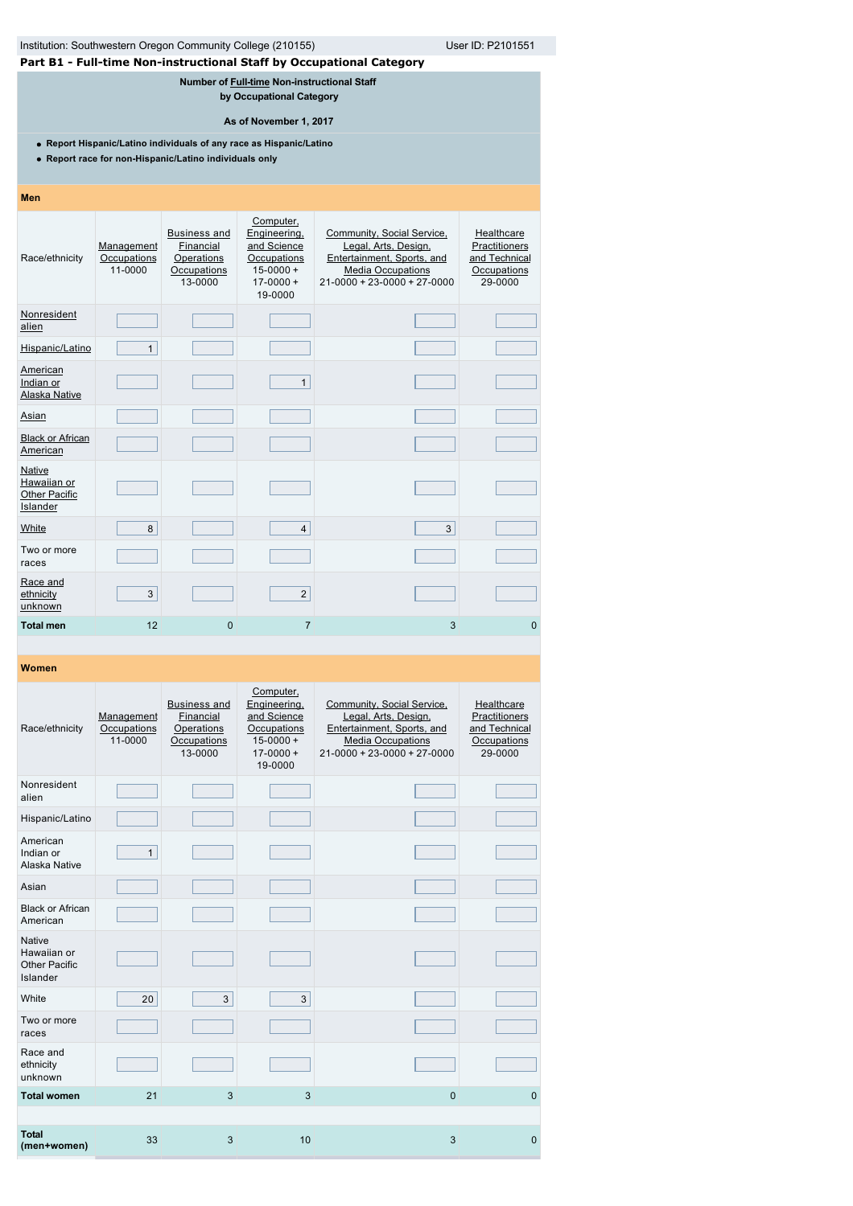| User ID: P2101551<br>Part B1 - Full-time Non-instructional Staff by Occupational Category<br>Number of Full-time Non-instructional Staff<br>by Occupational Category<br>As of November 1, 2017<br>• Report Hispanic/Latino individuals of any race as Hispanic/Latino<br>• Report race for non-Hispanic/Latino individuals only<br>Men<br>Computer,<br>Engineering,<br><b>Business and</b><br>Community, Social Service,<br>Healthcare<br>Financial<br>and Science<br>Legal, Arts, Design,<br>Practitioners<br>Management<br>Race/ethnicity<br>Occupations<br>Operations<br>Occupations<br>Entertainment, Sports, and<br>and Technical<br>11-0000<br>Occupations<br>$15 - 0000 +$<br><b>Media Occupations</b><br>Occupations<br>$21-0000 + 23-0000 + 27-0000$<br>29-0000<br>13-0000<br>$17 - 0000 +$<br>19-0000<br>Nonresident<br>alien<br>Hispanic/Latino<br>$\mathbf{1}$<br>American<br>$\mathbf{1}$<br>Indian or<br>Alaska Native<br>Asian<br><b>Black or African</b><br>American<br>Native<br>Hawaiian or<br>8<br>3<br>$\overline{4}$<br>Two or more<br>races<br>3<br>$\overline{2}$<br>ethnicity<br>unknown<br>12<br><b>Total men</b><br>$\Omega$<br>$\overline{7}$<br>3<br>$\Omega$ |                                                             |  |  |  |  |  |  |  |  |
|-------------------------------------------------------------------------------------------------------------------------------------------------------------------------------------------------------------------------------------------------------------------------------------------------------------------------------------------------------------------------------------------------------------------------------------------------------------------------------------------------------------------------------------------------------------------------------------------------------------------------------------------------------------------------------------------------------------------------------------------------------------------------------------------------------------------------------------------------------------------------------------------------------------------------------------------------------------------------------------------------------------------------------------------------------------------------------------------------------------------------------------------------------------------------------------------|-------------------------------------------------------------|--|--|--|--|--|--|--|--|
|                                                                                                                                                                                                                                                                                                                                                                                                                                                                                                                                                                                                                                                                                                                                                                                                                                                                                                                                                                                                                                                                                                                                                                                           | Institution: Southwestern Oregon Community College (210155) |  |  |  |  |  |  |  |  |
|                                                                                                                                                                                                                                                                                                                                                                                                                                                                                                                                                                                                                                                                                                                                                                                                                                                                                                                                                                                                                                                                                                                                                                                           |                                                             |  |  |  |  |  |  |  |  |
|                                                                                                                                                                                                                                                                                                                                                                                                                                                                                                                                                                                                                                                                                                                                                                                                                                                                                                                                                                                                                                                                                                                                                                                           |                                                             |  |  |  |  |  |  |  |  |
|                                                                                                                                                                                                                                                                                                                                                                                                                                                                                                                                                                                                                                                                                                                                                                                                                                                                                                                                                                                                                                                                                                                                                                                           |                                                             |  |  |  |  |  |  |  |  |
|                                                                                                                                                                                                                                                                                                                                                                                                                                                                                                                                                                                                                                                                                                                                                                                                                                                                                                                                                                                                                                                                                                                                                                                           |                                                             |  |  |  |  |  |  |  |  |
|                                                                                                                                                                                                                                                                                                                                                                                                                                                                                                                                                                                                                                                                                                                                                                                                                                                                                                                                                                                                                                                                                                                                                                                           |                                                             |  |  |  |  |  |  |  |  |
|                                                                                                                                                                                                                                                                                                                                                                                                                                                                                                                                                                                                                                                                                                                                                                                                                                                                                                                                                                                                                                                                                                                                                                                           |                                                             |  |  |  |  |  |  |  |  |
|                                                                                                                                                                                                                                                                                                                                                                                                                                                                                                                                                                                                                                                                                                                                                                                                                                                                                                                                                                                                                                                                                                                                                                                           |                                                             |  |  |  |  |  |  |  |  |
|                                                                                                                                                                                                                                                                                                                                                                                                                                                                                                                                                                                                                                                                                                                                                                                                                                                                                                                                                                                                                                                                                                                                                                                           |                                                             |  |  |  |  |  |  |  |  |
|                                                                                                                                                                                                                                                                                                                                                                                                                                                                                                                                                                                                                                                                                                                                                                                                                                                                                                                                                                                                                                                                                                                                                                                           |                                                             |  |  |  |  |  |  |  |  |
|                                                                                                                                                                                                                                                                                                                                                                                                                                                                                                                                                                                                                                                                                                                                                                                                                                                                                                                                                                                                                                                                                                                                                                                           |                                                             |  |  |  |  |  |  |  |  |
|                                                                                                                                                                                                                                                                                                                                                                                                                                                                                                                                                                                                                                                                                                                                                                                                                                                                                                                                                                                                                                                                                                                                                                                           |                                                             |  |  |  |  |  |  |  |  |
|                                                                                                                                                                                                                                                                                                                                                                                                                                                                                                                                                                                                                                                                                                                                                                                                                                                                                                                                                                                                                                                                                                                                                                                           | <b>Other Pacific</b><br>Islander                            |  |  |  |  |  |  |  |  |
|                                                                                                                                                                                                                                                                                                                                                                                                                                                                                                                                                                                                                                                                                                                                                                                                                                                                                                                                                                                                                                                                                                                                                                                           | White                                                       |  |  |  |  |  |  |  |  |
|                                                                                                                                                                                                                                                                                                                                                                                                                                                                                                                                                                                                                                                                                                                                                                                                                                                                                                                                                                                                                                                                                                                                                                                           |                                                             |  |  |  |  |  |  |  |  |
|                                                                                                                                                                                                                                                                                                                                                                                                                                                                                                                                                                                                                                                                                                                                                                                                                                                                                                                                                                                                                                                                                                                                                                                           | Race and                                                    |  |  |  |  |  |  |  |  |
|                                                                                                                                                                                                                                                                                                                                                                                                                                                                                                                                                                                                                                                                                                                                                                                                                                                                                                                                                                                                                                                                                                                                                                                           |                                                             |  |  |  |  |  |  |  |  |

| Race/ethnicity                                            | Management<br>Occupations<br>11-0000 | <b>Business and</b><br>Financial<br>Operations<br>Occupations<br>13-0000 | Computer,<br>Engineering,<br>and Science<br>Occupations<br>$15 - 0000 +$<br>$17 - 0000 +$<br>19-0000 | Community, Social Service,<br>Legal, Arts, Design,<br>Entertainment, Sports, and<br><b>Media Occupations</b><br>$21 - 0000 + 23 - 0000 + 27 - 0000$ | Healthcare<br>Practitioners<br>and Technical<br>Occupations<br>29-0000 |
|-----------------------------------------------------------|--------------------------------------|--------------------------------------------------------------------------|------------------------------------------------------------------------------------------------------|-----------------------------------------------------------------------------------------------------------------------------------------------------|------------------------------------------------------------------------|
| Nonresident<br>alien                                      |                                      |                                                                          |                                                                                                      |                                                                                                                                                     |                                                                        |
| Hispanic/Latino                                           |                                      |                                                                          |                                                                                                      |                                                                                                                                                     |                                                                        |
| American<br>Indian or<br>Alaska Native                    | $\mathbf{1}$                         |                                                                          |                                                                                                      |                                                                                                                                                     |                                                                        |
| Asian                                                     |                                      |                                                                          |                                                                                                      |                                                                                                                                                     |                                                                        |
| <b>Black or African</b><br>American                       |                                      |                                                                          |                                                                                                      |                                                                                                                                                     |                                                                        |
| <b>Native</b><br>Hawaiian or<br>Other Pacific<br>Islander |                                      |                                                                          |                                                                                                      |                                                                                                                                                     |                                                                        |
| White                                                     | 20                                   | 3                                                                        | 3                                                                                                    |                                                                                                                                                     |                                                                        |
| Two or more<br>races                                      |                                      |                                                                          |                                                                                                      |                                                                                                                                                     |                                                                        |
| Race and<br>ethnicity<br>unknown                          |                                      |                                                                          |                                                                                                      |                                                                                                                                                     |                                                                        |
| <b>Total women</b>                                        | 21                                   | 3                                                                        | 3                                                                                                    | $\mathbf{0}$                                                                                                                                        | $\mathbf{0}$                                                           |
|                                                           |                                      |                                                                          |                                                                                                      |                                                                                                                                                     |                                                                        |
| <b>Total</b><br>(men+women)                               | 33                                   | 3                                                                        | 10                                                                                                   | 3                                                                                                                                                   | $\Omega$                                                               |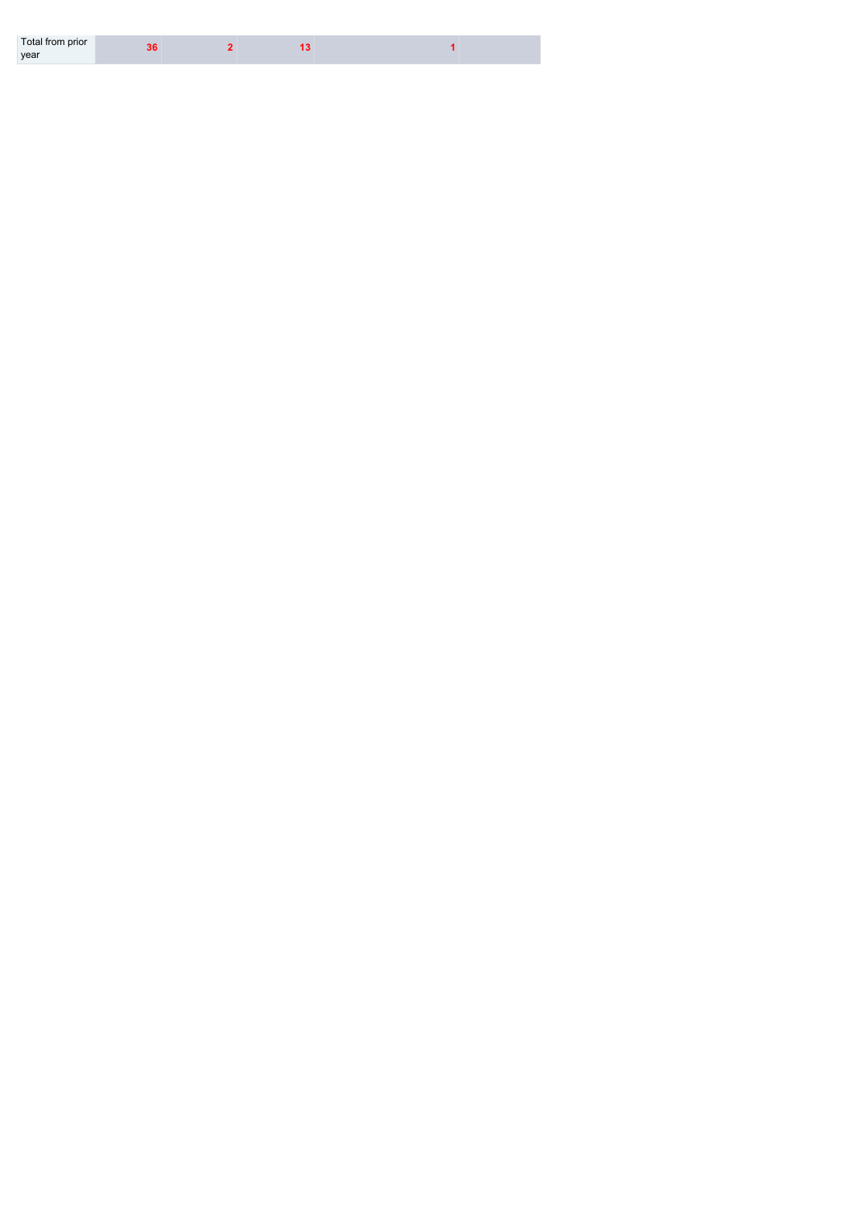| year | Total from prior |  |  |  |  |
|------|------------------|--|--|--|--|
|------|------------------|--|--|--|--|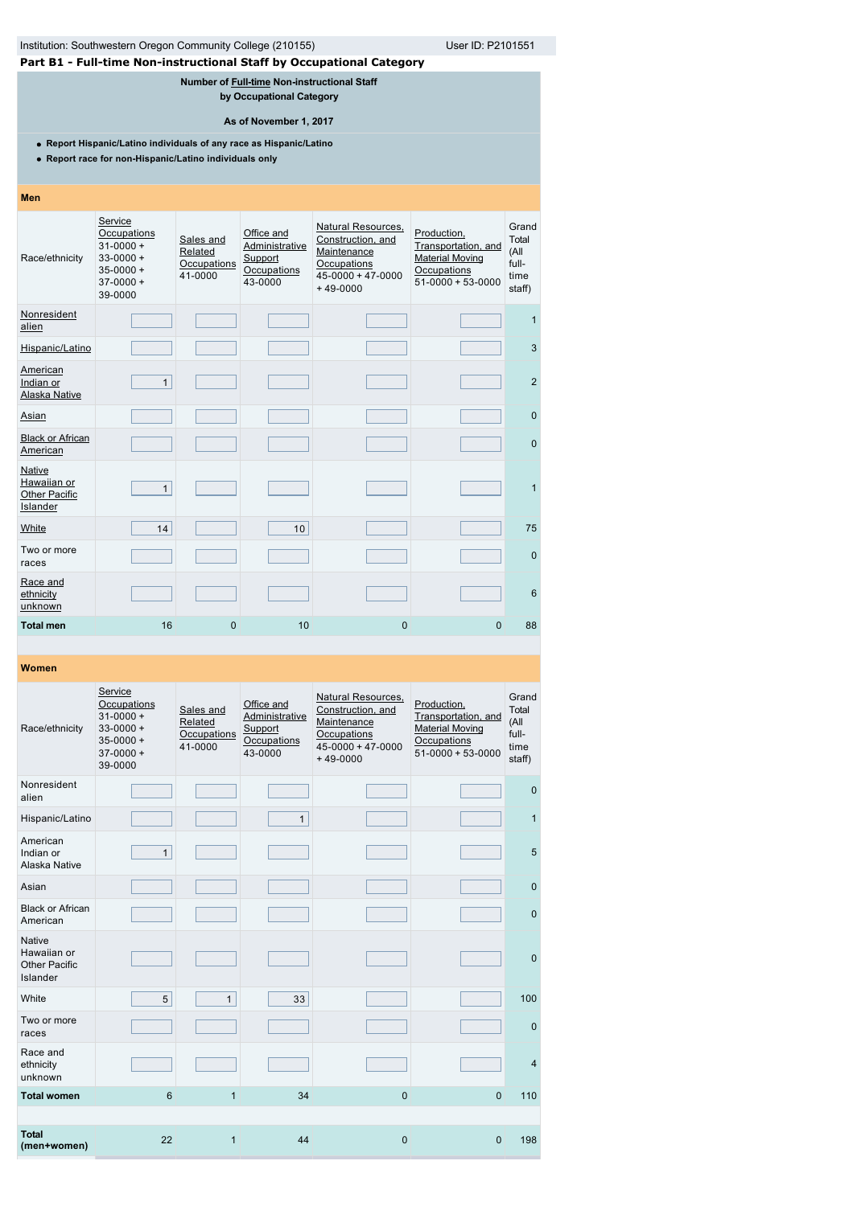| Institution: Southwestern Oregon Community College (210155)<br>User ID: P2101551<br>Part B1 - Full-time Non-instructional Staff by Occupational Category |                                                                                                                               |                                                |                                                                                                   |                                                                                                                |                                                                                                  |                                                   |  |  |  |  |
|----------------------------------------------------------------------------------------------------------------------------------------------------------|-------------------------------------------------------------------------------------------------------------------------------|------------------------------------------------|---------------------------------------------------------------------------------------------------|----------------------------------------------------------------------------------------------------------------|--------------------------------------------------------------------------------------------------|---------------------------------------------------|--|--|--|--|
|                                                                                                                                                          |                                                                                                                               |                                                |                                                                                                   |                                                                                                                |                                                                                                  |                                                   |  |  |  |  |
|                                                                                                                                                          |                                                                                                                               |                                                | Number of Full-time Non-instructional Staff<br>by Occupational Category<br>As of November 1, 2017 |                                                                                                                |                                                                                                  |                                                   |  |  |  |  |
|                                                                                                                                                          | • Report Hispanic/Latino individuals of any race as Hispanic/Latino<br>• Report race for non-Hispanic/Latino individuals only |                                                |                                                                                                   |                                                                                                                |                                                                                                  |                                                   |  |  |  |  |
| Men                                                                                                                                                      |                                                                                                                               |                                                |                                                                                                   |                                                                                                                |                                                                                                  |                                                   |  |  |  |  |
| Race/ethnicity                                                                                                                                           | Service<br>Occupations<br>$31 - 0000 +$<br>$33 - 0000 +$<br>$35 - 0000 +$<br>$37-0000 +$<br>39-0000                           | Sales and<br>Related<br>Occupations<br>41-0000 | Office and<br>Administrative<br>Support<br>Occupations<br>43-0000                                 | Natural Resources,<br>Construction, and<br>Maintenance<br>Occupations<br>$45 - 0000 + 47 - 0000$<br>$+49-0000$ | Production,<br>Transportation, and<br><b>Material Moving</b><br>Occupations<br>$51-0000+53-0000$ | Grand<br>Total<br>(All<br>full-<br>time<br>staff) |  |  |  |  |
| Nonresident<br>alien                                                                                                                                     |                                                                                                                               |                                                |                                                                                                   |                                                                                                                |                                                                                                  | 1                                                 |  |  |  |  |
| Hispanic/Latino                                                                                                                                          |                                                                                                                               |                                                |                                                                                                   |                                                                                                                |                                                                                                  | 3                                                 |  |  |  |  |
| American<br>Indian or<br><b>Alaska Native</b>                                                                                                            | $\mathbf{1}$                                                                                                                  |                                                |                                                                                                   |                                                                                                                |                                                                                                  | 2                                                 |  |  |  |  |
| Asian                                                                                                                                                    |                                                                                                                               |                                                |                                                                                                   |                                                                                                                |                                                                                                  | $\mathbf{0}$                                      |  |  |  |  |
| <b>Black or African</b><br>American                                                                                                                      |                                                                                                                               |                                                |                                                                                                   |                                                                                                                |                                                                                                  | $\mathbf{0}$                                      |  |  |  |  |
| <b>Native</b><br>Hawaiian or<br><b>Other Pacific</b><br>Islander                                                                                         | $\mathbf{1}$                                                                                                                  |                                                |                                                                                                   |                                                                                                                |                                                                                                  | $\mathbf{1}$                                      |  |  |  |  |
| White                                                                                                                                                    | 14                                                                                                                            |                                                | 10 <sup>1</sup>                                                                                   |                                                                                                                |                                                                                                  | 75                                                |  |  |  |  |
| Two or more<br>races                                                                                                                                     |                                                                                                                               |                                                |                                                                                                   |                                                                                                                |                                                                                                  | $\mathbf{0}$                                      |  |  |  |  |
| Race and<br>ethnicity<br>unknown                                                                                                                         |                                                                                                                               |                                                |                                                                                                   |                                                                                                                |                                                                                                  | 6                                                 |  |  |  |  |
| <b>Total men</b>                                                                                                                                         | 16                                                                                                                            | 0                                              | 10                                                                                                | 0                                                                                                              | $\Omega$                                                                                         | 88                                                |  |  |  |  |

| Race/ethnicity                                                   | Service<br>Occupations<br>$31 - 0000 +$<br>$33 - 0000 +$<br>$35 - 0000 +$<br>$37-0000+$<br>39-0000 | Sales and<br>Related<br>Occupations<br>41-0000 | Office and<br>Administrative<br>Support<br>Occupations<br>43-0000 | Natural Resources,<br>Construction, and<br>Maintenance<br>Occupations<br>$45 - 0000 + 47 - 0000$<br>$+49-0000$ | Production,<br>Transportation, and<br><b>Material Moving</b><br>Occupations<br>$51-0000 + 53-0000$ | Grand<br>Total<br>(All<br>full-<br>time<br>staff) |
|------------------------------------------------------------------|----------------------------------------------------------------------------------------------------|------------------------------------------------|-------------------------------------------------------------------|----------------------------------------------------------------------------------------------------------------|----------------------------------------------------------------------------------------------------|---------------------------------------------------|
| Nonresident<br>alien                                             |                                                                                                    |                                                |                                                                   |                                                                                                                |                                                                                                    | $\mathbf 0$                                       |
| Hispanic/Latino                                                  |                                                                                                    |                                                | $\mathbf{1}$                                                      |                                                                                                                |                                                                                                    | $\mathbf{1}$                                      |
| American<br>Indian or<br>Alaska Native                           | $\mathbf{1}$                                                                                       |                                                |                                                                   |                                                                                                                |                                                                                                    | 5                                                 |
| Asian                                                            |                                                                                                    |                                                |                                                                   |                                                                                                                |                                                                                                    | $\mathbf 0$                                       |
| <b>Black or African</b><br>American                              |                                                                                                    |                                                |                                                                   |                                                                                                                |                                                                                                    | $\mathbf 0$                                       |
| <b>Native</b><br>Hawaiian or<br><b>Other Pacific</b><br>Islander |                                                                                                    |                                                |                                                                   |                                                                                                                |                                                                                                    | $\mathbf 0$                                       |
| White                                                            | 5                                                                                                  | $\mathbf{1}$                                   | 33                                                                |                                                                                                                |                                                                                                    | 100                                               |
| Two or more<br>races                                             |                                                                                                    |                                                |                                                                   |                                                                                                                |                                                                                                    | $\mathbf 0$                                       |
| Race and<br>ethnicity<br>unknown                                 |                                                                                                    |                                                |                                                                   |                                                                                                                |                                                                                                    | $\overline{4}$                                    |
| <b>Total women</b>                                               | 6                                                                                                  | $\mathbf{1}$                                   | 34                                                                | $\overline{0}$                                                                                                 | $\mathbf{0}$                                                                                       | 110                                               |
|                                                                  |                                                                                                    |                                                |                                                                   |                                                                                                                |                                                                                                    |                                                   |
| <b>Total</b><br>(men+women)                                      | 22                                                                                                 | $\mathbf{1}$                                   | 44                                                                | $\overline{0}$                                                                                                 | $\Omega$                                                                                           | 198                                               |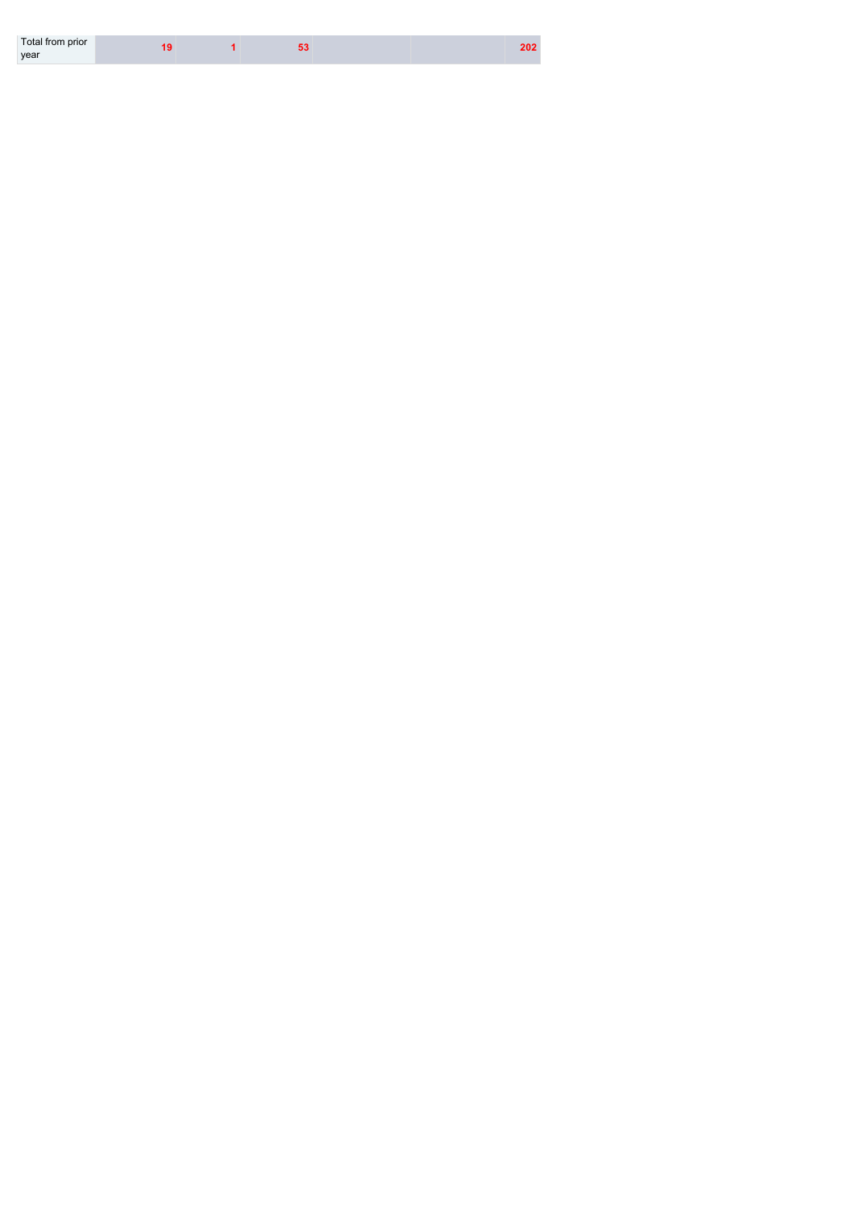| Total from prior |  |  | 202 |
|------------------|--|--|-----|
| year             |  |  |     |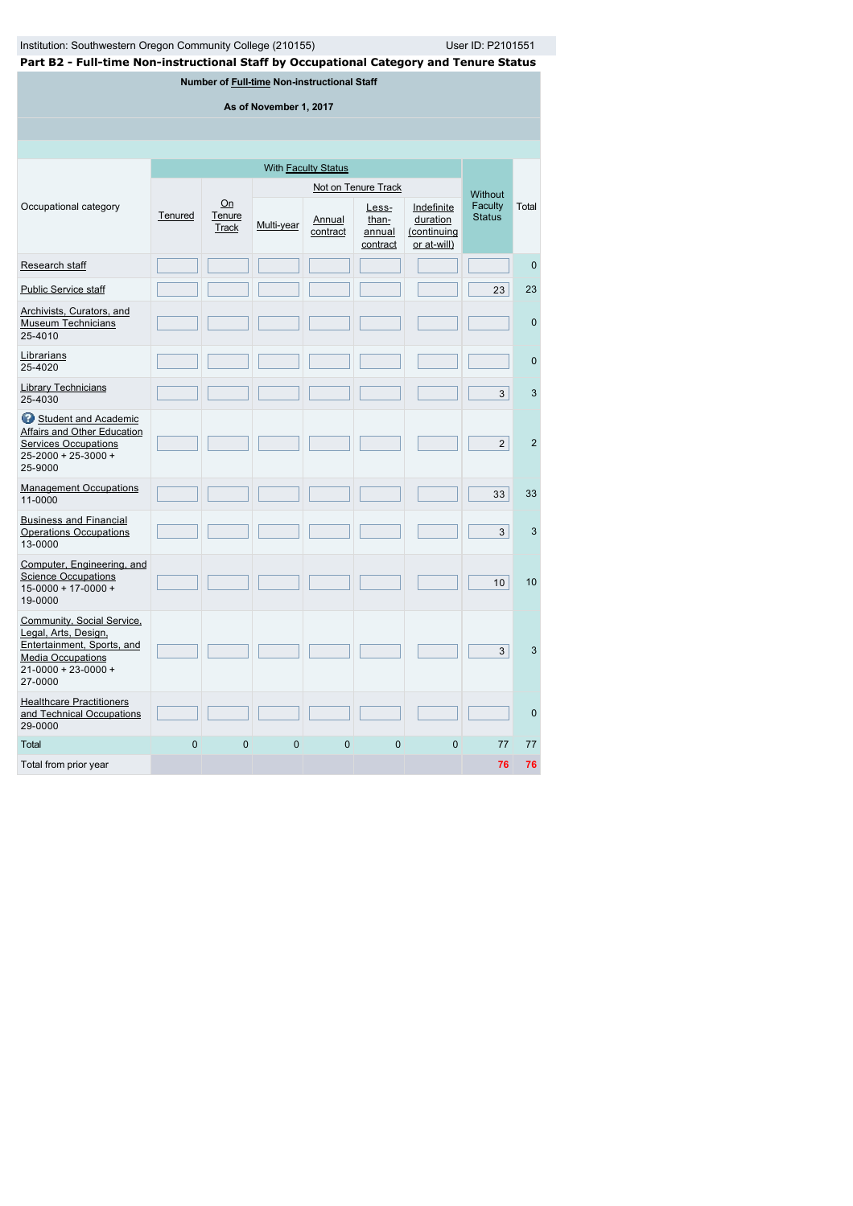|  | Part B2 - Full-time Non-instructional Staff by Occupational Category and Tenure Status |
|--|----------------------------------------------------------------------------------------|
|  |                                                                                        |

**Number of [Full-time](javascript:openglossary(257)) Non-instructional Staff**

**As of November 1, 2017**

|                                                                                                                                                      |          |                       |            |                    | Not on Tenure Track                  |                                                      | <b>Without</b>           |                |
|------------------------------------------------------------------------------------------------------------------------------------------------------|----------|-----------------------|------------|--------------------|--------------------------------------|------------------------------------------------------|--------------------------|----------------|
| Occupational category                                                                                                                                | Tenured  | On<br>Tenure<br>Track | Multi-year | Annual<br>contract | Less-<br>than-<br>annual<br>contract | Indefinite<br>duration<br>(continuing<br>or at-will) | Faculty<br><b>Status</b> | Total          |
| Research staff                                                                                                                                       |          |                       |            |                    |                                      |                                                      |                          | $\mathbf{0}$   |
| <b>Public Service staff</b>                                                                                                                          |          |                       |            |                    |                                      |                                                      | 23                       | 23             |
| Archivists, Curators, and<br><b>Museum Technicians</b><br>25-4010                                                                                    |          |                       |            |                    |                                      |                                                      |                          | $\mathbf{0}$   |
| Librarians<br>25-4020                                                                                                                                |          |                       |            |                    |                                      |                                                      |                          | $\mathbf 0$    |
| <b>Library Technicians</b><br>25-4030                                                                                                                |          |                       |            |                    |                                      |                                                      | 3                        | 3              |
| Student and Academic<br>Affairs and Other Education<br><b>Services Occupations</b><br>$25 - 2000 + 25 - 3000 +$<br>25-9000                           |          |                       |            |                    |                                      |                                                      | 2                        | $\overline{2}$ |
| <b>Management Occupations</b><br>11-0000                                                                                                             |          |                       |            |                    |                                      |                                                      | 33                       | 33             |
| <b>Business and Financial</b><br><b>Operations Occupations</b><br>13-0000                                                                            |          |                       |            |                    |                                      |                                                      | 3 <sup>1</sup>           | 3              |
| Computer, Engineering, and<br><b>Science Occupations</b><br>$15 - 0000 + 17 - 0000 +$<br>19-0000                                                     |          |                       |            |                    |                                      |                                                      | 10 <sup>1</sup>          | 10             |
| Community, Social Service,<br>Legal, Arts, Design,<br>Entertainment, Sports, and<br><b>Media Occupations</b><br>$21 - 0000 + 23 - 0000 +$<br>27-0000 |          |                       |            |                    |                                      |                                                      | 3                        | 3              |
| <b>Healthcare Practitioners</b><br>and Technical Occupations<br>29-0000                                                                              |          |                       |            |                    |                                      |                                                      |                          | $\mathbf{0}$   |
| Total                                                                                                                                                | $\Omega$ | $\Omega$              | $\Omega$   | $\Omega$           | $\mathbf{0}$                         | $\Omega$                                             | 77                       | 77             |
| Total from prior year                                                                                                                                |          |                       |            |                    |                                      |                                                      | 76                       | 76             |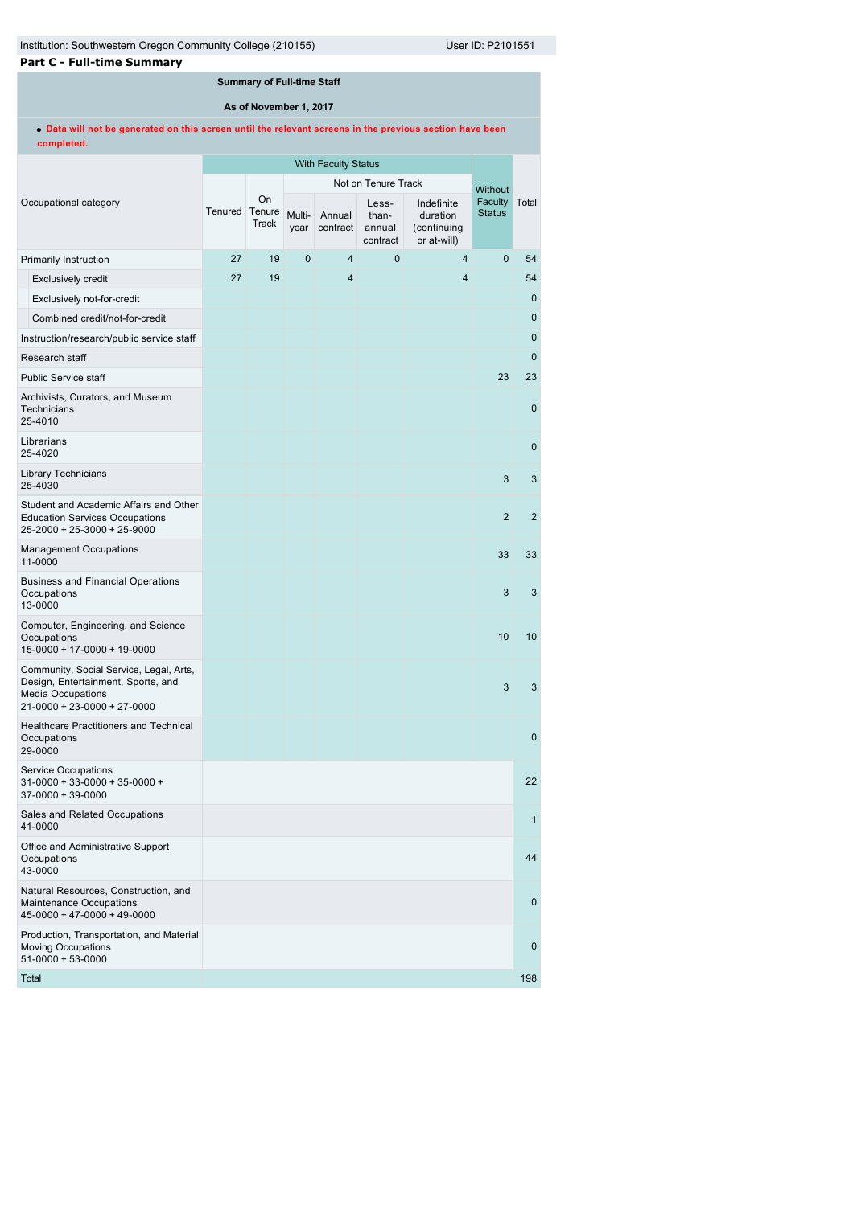| <b>Part C - Full-time Summary</b> |  |
|-----------------------------------|--|
|-----------------------------------|--|

# **Summary of Full-time Staff**

**As of November 1, 2017**

**Data will not be generated on this screen until the relevant screens in the previous section have been completed.**

|  |                                                                                                                                          | <b>With Faculty Status</b> |                       |                |                    |                                      |                                                      |                          |                |
|--|------------------------------------------------------------------------------------------------------------------------------------------|----------------------------|-----------------------|----------------|--------------------|--------------------------------------|------------------------------------------------------|--------------------------|----------------|
|  |                                                                                                                                          |                            |                       |                |                    | Not on Tenure Track                  |                                                      | <b>Without</b>           |                |
|  | Occupational category                                                                                                                    | Tenured                    | On<br>Tenure<br>Track | Multi-<br>year | Annual<br>contract | Less-<br>than-<br>annual<br>contract | Indefinite<br>duration<br>(continuing<br>or at-will) | Faculty<br><b>Status</b> | Total          |
|  | <b>Primarily Instruction</b>                                                                                                             | 27                         | 19                    | 0              | $\overline{4}$     | $\mathbf{0}$                         | 4                                                    | $\mathbf{0}$             | 54             |
|  | <b>Exclusively credit</b>                                                                                                                | 27                         | 19                    |                | $\overline{4}$     |                                      | 4                                                    |                          | 54             |
|  | Exclusively not-for-credit                                                                                                               |                            |                       |                |                    |                                      |                                                      |                          | $\mathbf 0$    |
|  | Combined credit/not-for-credit                                                                                                           |                            |                       |                |                    |                                      |                                                      |                          | $\mathbf 0$    |
|  | Instruction/research/public service staff                                                                                                |                            |                       |                |                    |                                      |                                                      |                          | $\mathbf 0$    |
|  | Research staff                                                                                                                           |                            |                       |                |                    |                                      |                                                      |                          | $\mathbf{0}$   |
|  | <b>Public Service staff</b>                                                                                                              |                            |                       |                |                    |                                      |                                                      | 23                       | 23             |
|  | Archivists, Curators, and Museum<br>Technicians<br>25-4010                                                                               |                            |                       |                |                    |                                      |                                                      |                          | $\mathbf{0}$   |
|  | Librarians<br>25-4020                                                                                                                    |                            |                       |                |                    |                                      |                                                      |                          | $\mathbf 0$    |
|  | <b>Library Technicians</b><br>25-4030                                                                                                    |                            |                       |                |                    |                                      |                                                      | 3                        | 3              |
|  | Student and Academic Affairs and Other<br><b>Education Services Occupations</b><br>25-2000 + 25-3000 + 25-9000                           |                            |                       |                |                    |                                      |                                                      | 2                        | $\overline{2}$ |
|  | <b>Management Occupations</b><br>11-0000                                                                                                 |                            |                       |                |                    |                                      |                                                      | 33                       | 33             |
|  | <b>Business and Financial Operations</b><br>Occupations<br>13-0000                                                                       |                            |                       |                |                    |                                      |                                                      | 3                        | 3              |
|  | Computer, Engineering, and Science<br>Occupations<br>15-0000 + 17-0000 + 19-0000                                                         |                            |                       |                |                    |                                      |                                                      | 10                       | 10             |
|  | Community, Social Service, Legal, Arts,<br>Design, Entertainment, Sports, and<br><b>Media Occupations</b><br>21-0000 + 23-0000 + 27-0000 |                            |                       |                |                    |                                      |                                                      | 3                        | 3              |
|  | Healthcare Practitioners and Technical<br>Occupations<br>29-0000                                                                         |                            |                       |                |                    |                                      |                                                      |                          | $\mathbf 0$    |
|  | <b>Service Occupations</b><br>31-0000 + 33-0000 + 35-0000 +<br>37-0000 + 39-0000                                                         |                            |                       |                |                    |                                      |                                                      |                          | 22             |
|  | Sales and Related Occupations<br>41-0000                                                                                                 |                            |                       |                |                    |                                      |                                                      |                          | 1              |
|  | Office and Administrative Support<br>Occupations<br>43-0000                                                                              |                            |                       |                |                    |                                      |                                                      |                          | 44             |
|  | Natural Resources, Construction, and<br>Maintenance Occupations<br>$45-0000 + 47-0000 + 49-0000$                                         |                            |                       |                |                    |                                      |                                                      |                          | $\mathbf 0$    |
|  | Production, Transportation, and Material<br><b>Moving Occupations</b><br>$51 - 0000 + 53 - 0000$                                         |                            |                       |                |                    |                                      |                                                      |                          | $\mathbf 0$    |
|  | Total                                                                                                                                    |                            |                       |                |                    |                                      |                                                      |                          | 198            |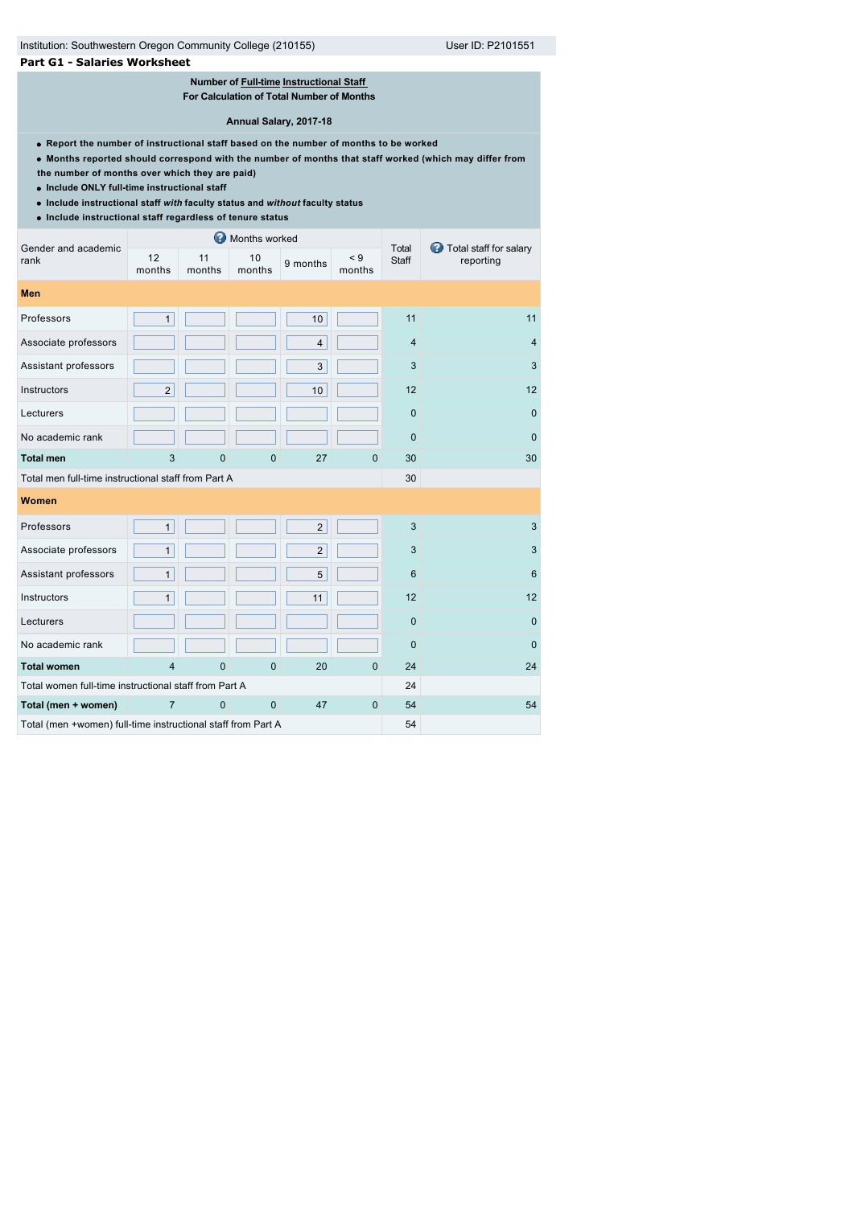# Institution: Southwestern Oregon Community College (210155) User ID: P2101551

### **Part G1 - Salaries Worksheet**

# **Number of [Full-time](javascript:openglossary(257)) [Instructional Staff](javascript:openglossary(996))**

**For Calculation of Total Number of Months**

#### **Annual Salary, 2017-18**

- **Report the number of instructional staff based on the number of months to be worked**
- **Months reported should correspond with the number of months that staff worked (which may differ from**
- **the number of months over which they are paid)**
- **Include ONLY full-time instructional staff**
- **Include instructional staff** *with* **faculty status and** *without* **faculty status**
- **Include instructional staff regardless of tenure status**

| Gender and academic                                          | ◶<br>Months worked |              |              |                |                    |                 | Total staff for salary |  |
|--------------------------------------------------------------|--------------------|--------------|--------------|----------------|--------------------|-----------------|------------------------|--|
| rank                                                         | 12<br>months       | 11<br>months | 10<br>months | 9 months       | $\leq 9$<br>months | Total<br>Staff  | reporting              |  |
| Men                                                          |                    |              |              |                |                    |                 |                        |  |
| Professors                                                   | $\mathbf{1}$       |              |              | 10             |                    | 11              | 11                     |  |
| Associate professors                                         |                    |              |              | 4              |                    | $\overline{4}$  | $\overline{4}$         |  |
| Assistant professors                                         |                    |              |              | 3              |                    | 3               | 3                      |  |
| Instructors                                                  | $\overline{2}$     |              |              | 10             |                    | 12              | 12                     |  |
| Lecturers                                                    |                    |              |              |                |                    | $\mathbf 0$     | $\mathbf{0}$           |  |
| No academic rank                                             |                    |              |              |                |                    | $\Omega$        | $\Omega$               |  |
| <b>Total men</b>                                             | 3                  | 0            | 0            | 27             | $\mathbf{0}$       | 30              | 30                     |  |
| Total men full-time instructional staff from Part A          |                    |              |              |                |                    | 30              |                        |  |
| Women                                                        |                    |              |              |                |                    |                 |                        |  |
| Professors                                                   | 1                  |              |              | $\overline{2}$ |                    | 3               | 3                      |  |
| Associate professors                                         | $\mathbf{1}$       |              |              | $\overline{2}$ |                    | 3               | 3                      |  |
| Assistant professors                                         | $\mathbf{1}$       |              |              | 5              |                    | $6\phantom{1}6$ | $6\phantom{1}6$        |  |
| Instructors                                                  | $\mathbf{1}$       |              |              | 11             |                    | 12              | 12                     |  |
| Lecturers                                                    |                    |              |              |                |                    | $\overline{0}$  | $\mathbf{0}$           |  |
| No academic rank                                             |                    |              |              |                |                    | $\mathbf 0$     | $\mathbf{0}$           |  |
| <b>Total women</b>                                           | 4                  | 0            | 0            | 20             | $\mathbf{0}$       | 24              | 24                     |  |
| Total women full-time instructional staff from Part A        |                    |              |              |                |                    | 24              |                        |  |
| Total (men + women)                                          | 7                  | $\mathbf{0}$ | $\mathbf{0}$ | 47             | $\mathbf{0}$       | 54              | 54                     |  |
| Total (men +women) full-time instructional staff from Part A |                    |              |              |                |                    | 54              |                        |  |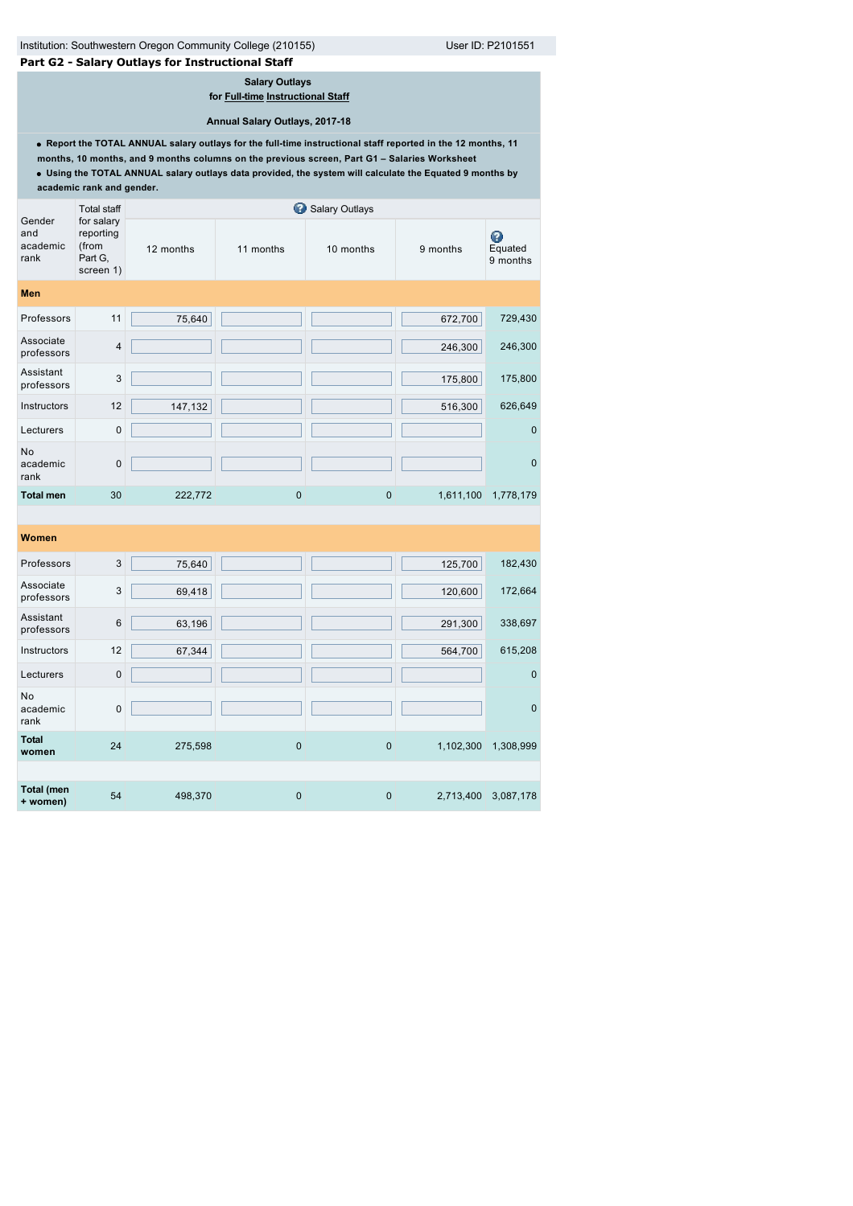# **Part G2 - Salary Outlays for Instructional Staff**

**Salary Outlays** 

**for [Full-time](javascript:openglossary(257)) [Instructional Staff](javascript:openglossary(996))**

**Annual Salary Outlays, 2017-18**

**Report the TOTAL ANNUAL salary outlays for the full-time instructional staff reported in the 12 months, 11 months, 10 months, and 9 months columns on the previous screen, Part G1 – Salaries Worksheet**

**Using the TOTAL ANNUAL salary outlays data provided, the system will calculate the Equated 9 months by academic rank and gender.**

|                                   | <b>Total staff</b>                                       |           |             | Salary Outlays |           |                          |
|-----------------------------------|----------------------------------------------------------|-----------|-------------|----------------|-----------|--------------------------|
| Gender<br>and<br>academic<br>rank | for salary<br>reporting<br>(from<br>Part G,<br>screen 1) | 12 months | 11 months   | 10 months      | 9 months  | ◉<br>Equated<br>9 months |
| <b>Men</b>                        |                                                          |           |             |                |           |                          |
| Professors                        | 11                                                       | 75,640    |             |                | 672,700   | 729,430                  |
| Associate<br>professors           | $\overline{4}$                                           |           |             |                | 246,300   | 246,300                  |
| Assistant<br>professors           | 3                                                        |           |             |                | 175,800   | 175,800                  |
| Instructors                       | 12                                                       | 147,132   |             |                | 516,300   | 626,649                  |
| Lecturers                         | $\mathbf 0$                                              |           |             |                |           | $\mathbf 0$              |
| No<br>academic<br>rank            | $\mathbf 0$                                              |           |             |                |           | $\mathbf 0$              |
| <b>Total men</b>                  | 30                                                       | 222,772   | 0           | $\mathbf 0$    | 1,611,100 | 1,778,179                |
|                                   |                                                          |           |             |                |           |                          |
| Women                             |                                                          |           |             |                |           |                          |
| Professors                        | 3                                                        | 75,640    |             |                | 125,700   | 182,430                  |
| Associate<br>professors           | 3                                                        | 69,418    |             |                | 120,600   | 172,664                  |
| Assistant<br>professors           | 6                                                        | 63,196    |             |                | 291,300   | 338,697                  |
| Instructors                       | 12                                                       | 67,344    |             |                | 564,700   | 615,208                  |
| Lecturers                         | $\mathbf 0$                                              |           |             |                |           | $\mathbf 0$              |
| No<br>academic<br>rank            | $\mathbf 0$                                              |           |             |                |           | $\mathbf 0$              |
| <b>Total</b><br>women             | 24                                                       | 275,598   | 0           | $\pmb{0}$      | 1,102,300 | 1,308,999                |
|                                   |                                                          |           |             |                |           |                          |
| <b>Total (men</b><br>+ women)     | 54                                                       | 498,370   | $\mathbf 0$ | $\mathbf 0$    | 2,713,400 | 3,087,178                |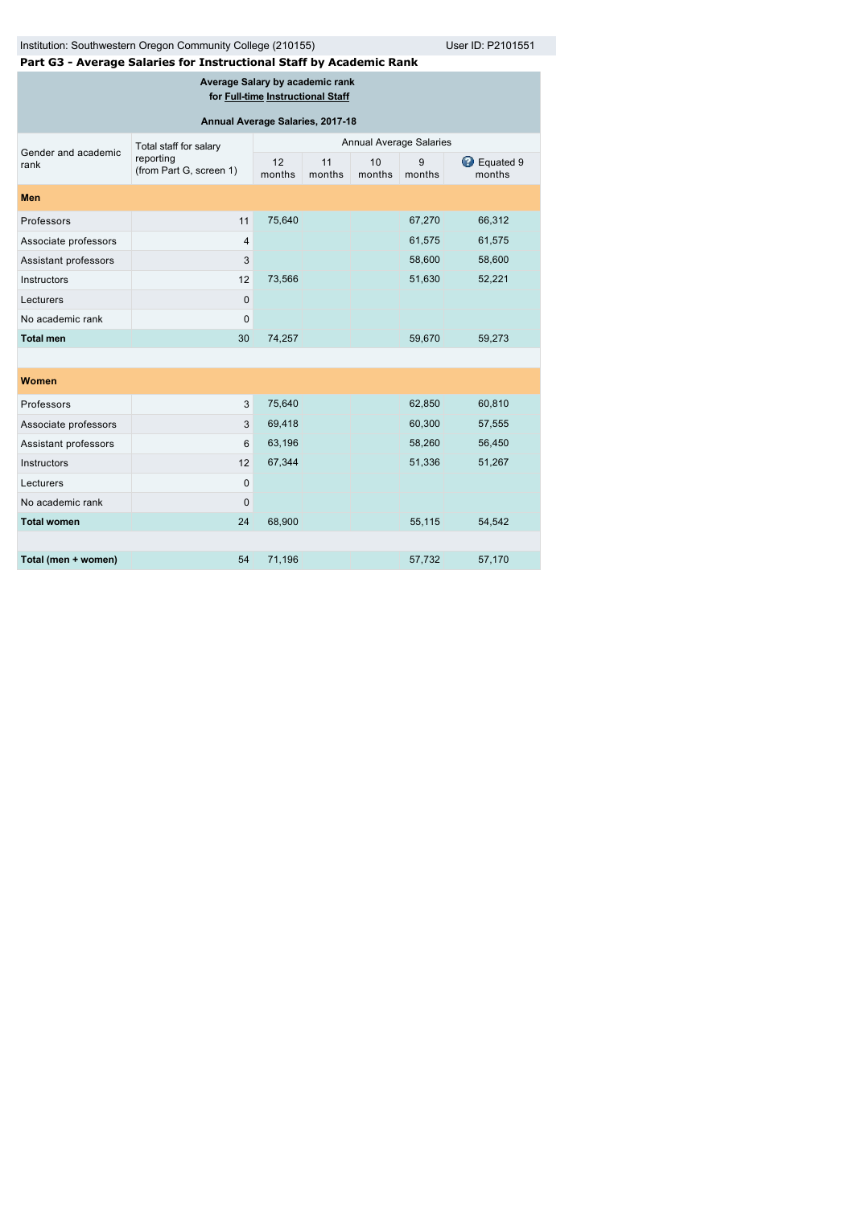# Institution: Southwestern Oregon Community College (210155) User ID: P2101551

**Part G3 - Average Salaries for Instructional Staff by Academic Rank**

**Average Salary by academic rank** 

**for [Full-time](javascript:openglossary(257)) [Instructional Staff](javascript:openglossary(996))**

| Annual Average Salaries, 2017-18 |                                      |                                |              |              |             |                              |  |  |
|----------------------------------|--------------------------------------|--------------------------------|--------------|--------------|-------------|------------------------------|--|--|
| Gender and academic              | Total staff for salary               | <b>Annual Average Salaries</b> |              |              |             |                              |  |  |
| rank                             | reporting<br>(from Part G, screen 1) | 12<br>months                   | 11<br>months | 10<br>months | 9<br>months | <b>B</b> Equated 9<br>months |  |  |
| <b>Men</b>                       |                                      |                                |              |              |             |                              |  |  |
| Professors                       | 11                                   | 75,640                         |              |              | 67,270      | 66,312                       |  |  |
| Associate professors             | $\overline{4}$                       |                                |              |              | 61,575      | 61,575                       |  |  |
| Assistant professors             | 3                                    |                                |              |              | 58,600      | 58,600                       |  |  |
| Instructors                      | 12                                   | 73,566                         |              |              | 51,630      | 52,221                       |  |  |
| Lecturers                        | 0                                    |                                |              |              |             |                              |  |  |
| No academic rank                 | $\pmb{0}$                            |                                |              |              |             |                              |  |  |
| <b>Total men</b>                 | 30                                   | 74,257                         |              |              | 59,670      | 59,273                       |  |  |
|                                  |                                      |                                |              |              |             |                              |  |  |
| Women                            |                                      |                                |              |              |             |                              |  |  |
| Professors                       | 3                                    | 75,640                         |              |              | 62,850      | 60,810                       |  |  |
| Associate professors             | 3                                    | 69,418                         |              |              | 60,300      | 57,555                       |  |  |
| Assistant professors             | 6                                    | 63,196                         |              |              | 58,260      | 56,450                       |  |  |
| Instructors                      | 12                                   | 67,344                         |              |              | 51,336      | 51,267                       |  |  |
| Lecturers                        | $\pmb{0}$                            |                                |              |              |             |                              |  |  |
| No academic rank                 | 0                                    |                                |              |              |             |                              |  |  |
| <b>Total women</b>               | 24                                   | 68,900                         |              |              | 55,115      | 54,542                       |  |  |
|                                  |                                      |                                |              |              |             |                              |  |  |
| Total (men + women)              | 54                                   | 71,196                         |              |              | 57,732      | 57,170                       |  |  |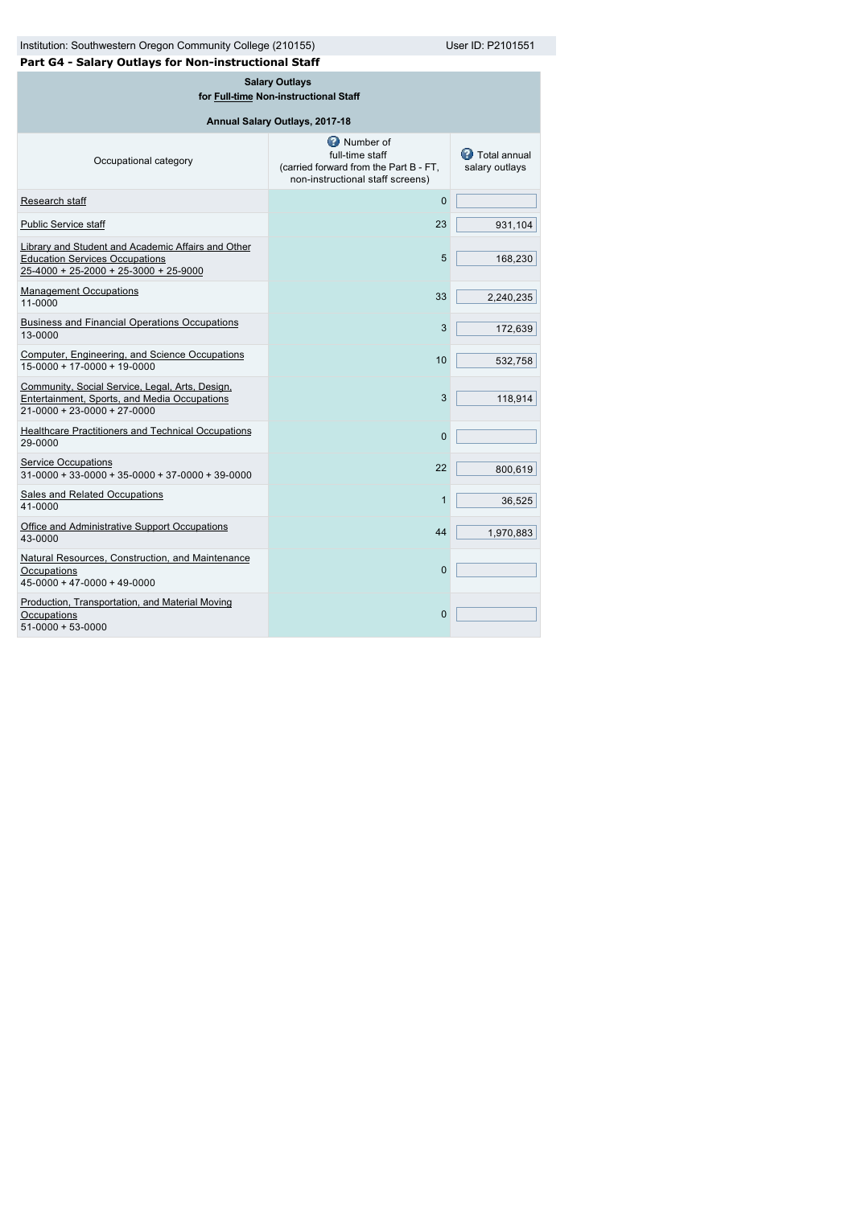| Institution: Southwestern Oregon Community College (210155)                                                                          | User ID: P2101551                                                                                                   |                                         |  |  |  |  |
|--------------------------------------------------------------------------------------------------------------------------------------|---------------------------------------------------------------------------------------------------------------------|-----------------------------------------|--|--|--|--|
| Part G4 - Salary Outlays for Non-instructional Staff                                                                                 |                                                                                                                     |                                         |  |  |  |  |
| <b>Salary Outlays</b><br>for Full-time Non-instructional Staff                                                                       |                                                                                                                     |                                         |  |  |  |  |
|                                                                                                                                      | Annual Salary Outlays, 2017-18                                                                                      |                                         |  |  |  |  |
| Occupational category                                                                                                                | <b>D</b> Number of<br>full-time staff<br>(carried forward from the Part B - FT,<br>non-instructional staff screens) | <b>B</b> Total annual<br>salary outlays |  |  |  |  |
| Research staff                                                                                                                       | 0                                                                                                                   |                                         |  |  |  |  |
| <b>Public Service staff</b>                                                                                                          | 23                                                                                                                  | 931,104                                 |  |  |  |  |
| Library and Student and Academic Affairs and Other<br><b>Education Services Occupations</b><br>25-4000 + 25-2000 + 25-3000 + 25-9000 | 5                                                                                                                   | 168,230                                 |  |  |  |  |
| <b>Management Occupations</b><br>11-0000                                                                                             | 33                                                                                                                  | 2,240,235                               |  |  |  |  |
| <b>Business and Financial Operations Occupations</b><br>13-0000                                                                      | 3                                                                                                                   | 172,639                                 |  |  |  |  |
| Computer, Engineering, and Science Occupations<br>$15 - 0000 + 17 - 0000 + 19 - 0000$                                                | 10                                                                                                                  | 532,758                                 |  |  |  |  |
| Community, Social Service, Legal, Arts, Design,<br>Entertainment, Sports, and Media Occupations<br>$21-0000 + 23-0000 + 27-0000$     | 3                                                                                                                   | 118,914                                 |  |  |  |  |
| <b>Healthcare Practitioners and Technical Occupations</b><br>29-0000                                                                 | $\overline{0}$                                                                                                      |                                         |  |  |  |  |
| <b>Service Occupations</b><br>$31-0000+33-0000+35-0000+37-0000+39-0000$                                                              | 22                                                                                                                  | 800,619                                 |  |  |  |  |
| <b>Sales and Related Occupations</b><br>41-0000                                                                                      | 1                                                                                                                   | 36,525                                  |  |  |  |  |
| Office and Administrative Support Occupations<br>43-0000                                                                             | 44                                                                                                                  | 1,970,883                               |  |  |  |  |
| Natural Resources, Construction, and Maintenance<br>Occupations<br>$45 - 0000 + 47 - 0000 + 49 - 0000$                               | $\Omega$                                                                                                            |                                         |  |  |  |  |
| Production, Transportation, and Material Moving<br>Occupations<br>$51-0000+53-0000$                                                  | $\overline{0}$                                                                                                      |                                         |  |  |  |  |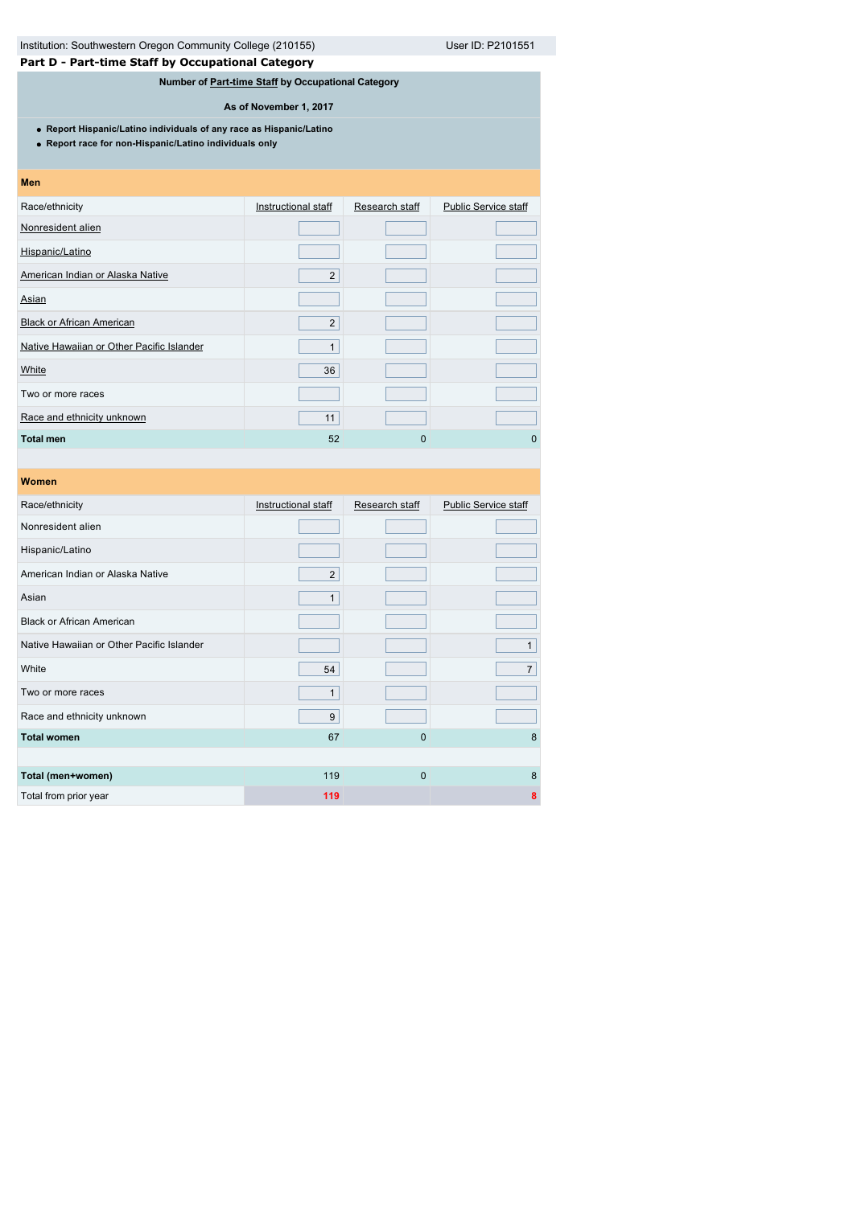# **Part D - Part-time Staff by Occupational Category**

# **Number of [Part-time Staff](javascript:openglossary(467)) by Occupational Category**

**As of November 1, 2017**

**Report Hispanic/Latino individuals of any race as Hispanic/Latino**

**Report race for non-Hispanic/Latino individuals only**

| Men                                       |                     |                |                             |
|-------------------------------------------|---------------------|----------------|-----------------------------|
| Race/ethnicity                            | Instructional staff | Research staff | <b>Public Service staff</b> |
| Nonresident alien                         |                     |                |                             |
| Hispanic/Latino                           |                     |                |                             |
| American Indian or Alaska Native          | $\overline{2}$      |                |                             |
| Asian                                     |                     |                |                             |
| <b>Black or African American</b>          | $\overline{2}$      |                |                             |
| Native Hawaiian or Other Pacific Islander | $\mathbf{1}$        |                |                             |
| White                                     | 36                  |                |                             |
| Two or more races                         |                     |                |                             |
| Race and ethnicity unknown                | 11                  |                |                             |
| <b>Total men</b>                          | 52                  | 0              | $\Omega$                    |

| Women                                     |                     |                |                             |
|-------------------------------------------|---------------------|----------------|-----------------------------|
| Race/ethnicity                            | Instructional staff | Research staff | <b>Public Service staff</b> |
| Nonresident alien                         |                     |                |                             |
| Hispanic/Latino                           |                     |                |                             |
| American Indian or Alaska Native          | $\overline{2}$      |                |                             |
| Asian                                     | $\mathbf{1}$        |                |                             |
| <b>Black or African American</b>          |                     |                |                             |
| Native Hawaiian or Other Pacific Islander |                     |                | $\mathbf{1}$                |
| White                                     | 54                  |                | $\overline{7}$              |
| Two or more races                         | $\mathbf{1}$        |                |                             |
| Race and ethnicity unknown                | 9                   |                |                             |
| <b>Total women</b>                        | 67                  | $\overline{0}$ | 8                           |
|                                           |                     |                |                             |
| Total (men+women)                         | 119                 | $\mathbf 0$    | 8                           |
| Total from prior year                     | 119                 |                | 8                           |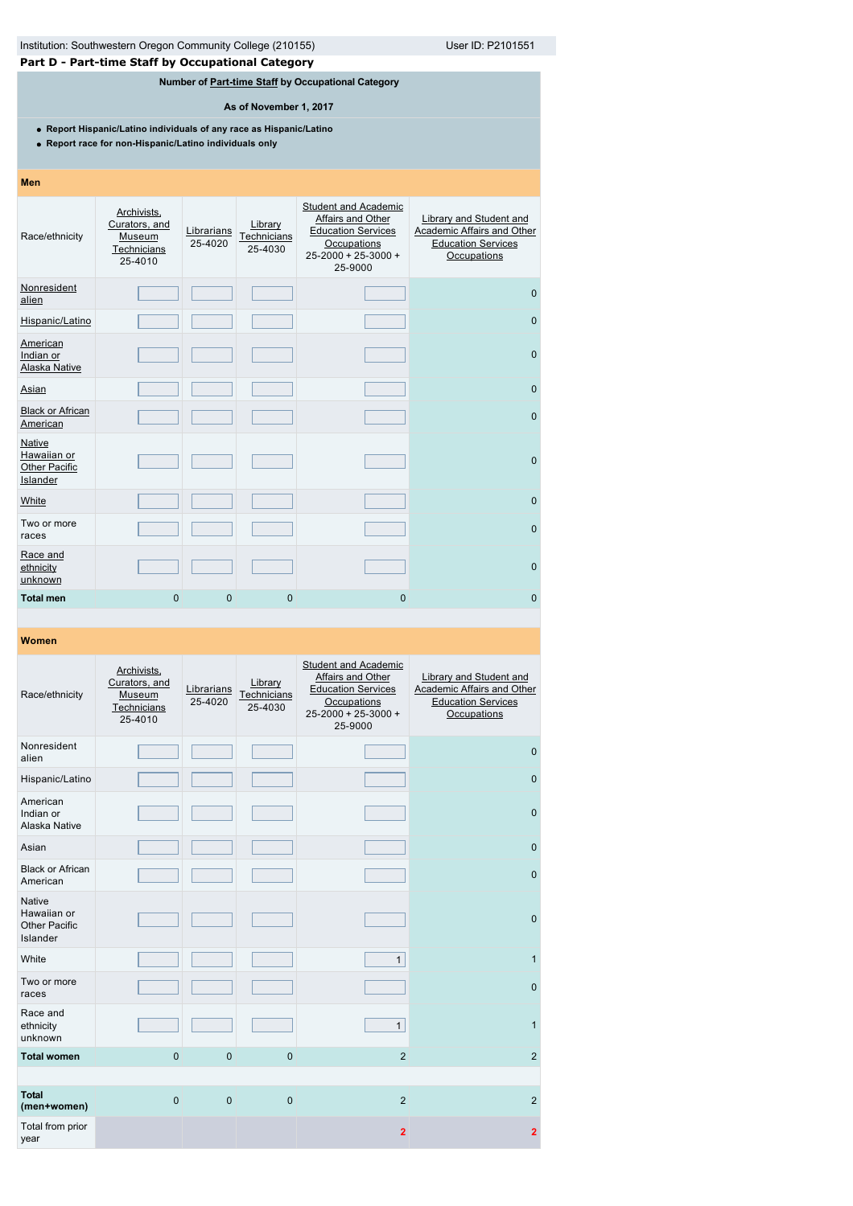# **Part D - Part-time Staff by Occupational Category**

# **Number of [Part-time Staff](javascript:openglossary(467)) by Occupational Category**

**As of November 1, 2017**

**Report Hispanic/Latino individuals of any race as Hispanic/Latino**

**Report race for non-Hispanic/Latino individuals only**

| Men                                                       |                                                                  |                       |                                   |                                                                                                                                      |                                                                                                   |
|-----------------------------------------------------------|------------------------------------------------------------------|-----------------------|-----------------------------------|--------------------------------------------------------------------------------------------------------------------------------------|---------------------------------------------------------------------------------------------------|
| Race/ethnicity                                            | Archivists,<br>Curators, and<br>Museum<br>Technicians<br>25-4010 | Librarians<br>25-4020 | Library<br>Technicians<br>25-4030 | <b>Student and Academic</b><br>Affairs and Other<br><b>Education Services</b><br>Occupations<br>$25 - 2000 + 25 - 3000 +$<br>25-9000 | Library and Student and<br>Academic Affairs and Other<br><b>Education Services</b><br>Occupations |
| Nonresident<br>alien                                      |                                                                  |                       |                                   |                                                                                                                                      | $\mathbf{0}$                                                                                      |
| Hispanic/Latino                                           |                                                                  |                       |                                   |                                                                                                                                      | $\mathbf{0}$                                                                                      |
| American<br>Indian or<br>Alaska Native                    |                                                                  |                       |                                   |                                                                                                                                      | $\mathbf{0}$                                                                                      |
| Asian                                                     |                                                                  |                       |                                   |                                                                                                                                      | $\mathbf{0}$                                                                                      |
| <b>Black or African</b><br>American                       |                                                                  |                       |                                   |                                                                                                                                      | $\mathbf{0}$                                                                                      |
| Native<br>Hawaiian or<br><b>Other Pacific</b><br>Islander |                                                                  |                       |                                   |                                                                                                                                      | $\mathbf{0}$                                                                                      |
| White                                                     |                                                                  |                       |                                   |                                                                                                                                      | $\mathbf{0}$                                                                                      |
| Two or more<br>races                                      |                                                                  |                       |                                   |                                                                                                                                      | $\mathbf{0}$                                                                                      |
| Race and<br>ethnicity<br>unknown                          |                                                                  |                       |                                   |                                                                                                                                      | $\mathbf{0}$                                                                                      |
| <b>Total men</b>                                          | $\overline{0}$                                                   | $\overline{0}$        | $\mathbf{0}$                      | $\mathbf 0$                                                                                                                          | $\mathbf 0$                                                                                       |

| Race/ethnicity                                                   | Archivists,<br>Curators, and<br>Museum<br>Technicians<br>25-4010 | Librarians<br>25-4020 | Library<br>Technicians<br>25-4030 | <b>Student and Academic</b><br>Affairs and Other<br><b>Education Services</b><br>Occupations<br>25-2000 + 25-3000 +<br>25-9000 | Library and Student and<br>Academic Affairs and Other<br><b>Education Services</b><br>Occupations |
|------------------------------------------------------------------|------------------------------------------------------------------|-----------------------|-----------------------------------|--------------------------------------------------------------------------------------------------------------------------------|---------------------------------------------------------------------------------------------------|
| Nonresident<br>alien                                             |                                                                  |                       |                                   |                                                                                                                                | $\mathbf{0}$                                                                                      |
| Hispanic/Latino                                                  |                                                                  |                       |                                   |                                                                                                                                | $\mathbf 0$                                                                                       |
| American<br>Indian or<br>Alaska Native                           |                                                                  |                       |                                   |                                                                                                                                | $\overline{0}$                                                                                    |
| Asian                                                            |                                                                  |                       |                                   |                                                                                                                                | $\mathbf{0}$                                                                                      |
| <b>Black or African</b><br>American                              |                                                                  |                       |                                   |                                                                                                                                | $\mathbf 0$                                                                                       |
| <b>Native</b><br>Hawaiian or<br><b>Other Pacific</b><br>Islander |                                                                  |                       |                                   |                                                                                                                                | $\mathbf{0}$                                                                                      |
| White                                                            |                                                                  |                       |                                   | $\mathbf{1}$                                                                                                                   | $\mathbf{1}$                                                                                      |
| Two or more<br>races                                             |                                                                  |                       |                                   |                                                                                                                                | $\mathbf 0$                                                                                       |
| Race and<br>ethnicity<br>unknown                                 |                                                                  |                       |                                   | $\mathbf{1}$                                                                                                                   | $\mathbf{1}$                                                                                      |
| <b>Total women</b>                                               | $\mathbf 0$                                                      | $\overline{0}$        | $\mathbf 0$                       | $\overline{2}$                                                                                                                 | 2                                                                                                 |
|                                                                  |                                                                  |                       |                                   |                                                                                                                                |                                                                                                   |
| <b>Total</b><br>(men+women)                                      | $\mathbf 0$                                                      | $\mathbf 0$           | $\mathbf 0$                       | $\overline{2}$                                                                                                                 | $\overline{2}$                                                                                    |
| Total from prior<br>year                                         |                                                                  |                       |                                   | $\overline{2}$                                                                                                                 | $\overline{2}$                                                                                    |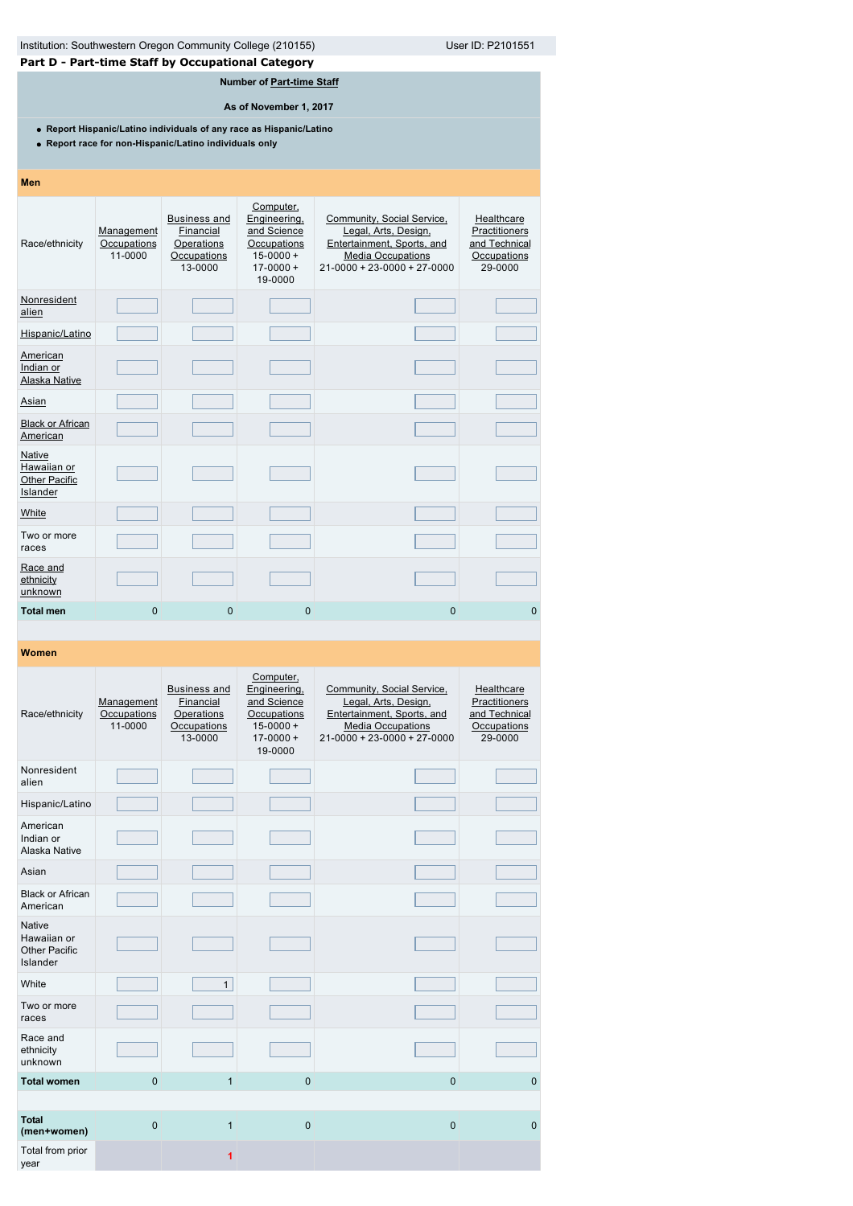|                                                                                                                               | User ID: P2101551<br>Institution: Southwestern Oregon Community College (210155)<br>Part D - Part-time Staff by Occupational Category |                                                                          |                                                                                                      |                                                                                                                                               |                                                                        |  |  |  |  |  |
|-------------------------------------------------------------------------------------------------------------------------------|---------------------------------------------------------------------------------------------------------------------------------------|--------------------------------------------------------------------------|------------------------------------------------------------------------------------------------------|-----------------------------------------------------------------------------------------------------------------------------------------------|------------------------------------------------------------------------|--|--|--|--|--|
| Number of Part-time Staff                                                                                                     |                                                                                                                                       |                                                                          |                                                                                                      |                                                                                                                                               |                                                                        |  |  |  |  |  |
| As of November 1, 2017                                                                                                        |                                                                                                                                       |                                                                          |                                                                                                      |                                                                                                                                               |                                                                        |  |  |  |  |  |
| • Report Hispanic/Latino individuals of any race as Hispanic/Latino<br>• Report race for non-Hispanic/Latino individuals only |                                                                                                                                       |                                                                          |                                                                                                      |                                                                                                                                               |                                                                        |  |  |  |  |  |
| <b>Men</b>                                                                                                                    |                                                                                                                                       |                                                                          |                                                                                                      |                                                                                                                                               |                                                                        |  |  |  |  |  |
| Race/ethnicity                                                                                                                | Management<br>Occupations<br>11-0000                                                                                                  | <b>Business and</b><br>Financial<br>Operations<br>Occupations<br>13-0000 | Computer,<br>Engineering,<br>and Science<br>Occupations<br>$15 - 0000 +$<br>$17 - 0000 +$<br>19-0000 | Community, Social Service,<br>Legal, Arts, Design,<br>Entertainment, Sports, and<br><b>Media Occupations</b><br>$21-0000 + 23-0000 + 27-0000$ | Healthcare<br>Practitioners<br>and Technical<br>Occupations<br>29-0000 |  |  |  |  |  |
| Nonresident<br>alien                                                                                                          |                                                                                                                                       |                                                                          |                                                                                                      |                                                                                                                                               |                                                                        |  |  |  |  |  |
| Hispanic/Latino                                                                                                               |                                                                                                                                       |                                                                          |                                                                                                      |                                                                                                                                               |                                                                        |  |  |  |  |  |
| American<br>Indian or<br>Alaska Native                                                                                        |                                                                                                                                       |                                                                          |                                                                                                      |                                                                                                                                               |                                                                        |  |  |  |  |  |
| Asian                                                                                                                         |                                                                                                                                       |                                                                          |                                                                                                      |                                                                                                                                               |                                                                        |  |  |  |  |  |
| <b>Black or African</b><br>American                                                                                           |                                                                                                                                       |                                                                          |                                                                                                      |                                                                                                                                               |                                                                        |  |  |  |  |  |
| Native<br>Hawaiian or<br><b>Other Pacific</b><br>Islander                                                                     |                                                                                                                                       |                                                                          |                                                                                                      |                                                                                                                                               |                                                                        |  |  |  |  |  |
| White                                                                                                                         |                                                                                                                                       |                                                                          |                                                                                                      |                                                                                                                                               |                                                                        |  |  |  |  |  |
| Two or more<br>races                                                                                                          |                                                                                                                                       |                                                                          |                                                                                                      |                                                                                                                                               |                                                                        |  |  |  |  |  |
| Race and<br>ethnicity<br>unknown                                                                                              |                                                                                                                                       |                                                                          |                                                                                                      |                                                                                                                                               |                                                                        |  |  |  |  |  |
| <b>Total men</b>                                                                                                              | 0                                                                                                                                     | $\mathbf{0}$                                                             | 0                                                                                                    | 0                                                                                                                                             | 0                                                                      |  |  |  |  |  |

| Race/ethnicity                                                   | Management<br>Occupations<br>11-0000 | <b>Business and</b><br>Financial<br>Operations<br>Occupations<br>13-0000 | Computer,<br>Engineering,<br>and Science<br>Occupations<br>$15 - 0000 +$<br>$17 - 0000 +$<br>19-0000 | Community, Social Service,<br>Legal, Arts, Design,<br>Entertainment, Sports, and<br><b>Media Occupations</b><br>$21 - 0000 + 23 - 0000 + 27 - 0000$ | Healthcare<br>Practitioners<br>and Technical<br>Occupations<br>29-0000 |
|------------------------------------------------------------------|--------------------------------------|--------------------------------------------------------------------------|------------------------------------------------------------------------------------------------------|-----------------------------------------------------------------------------------------------------------------------------------------------------|------------------------------------------------------------------------|
| Nonresident<br>alien                                             |                                      |                                                                          |                                                                                                      |                                                                                                                                                     |                                                                        |
| Hispanic/Latino                                                  |                                      |                                                                          |                                                                                                      |                                                                                                                                                     |                                                                        |
| American<br>Indian or<br>Alaska Native                           |                                      |                                                                          |                                                                                                      |                                                                                                                                                     |                                                                        |
| Asian                                                            |                                      |                                                                          |                                                                                                      |                                                                                                                                                     |                                                                        |
| <b>Black or African</b><br>American                              |                                      |                                                                          |                                                                                                      |                                                                                                                                                     |                                                                        |
| <b>Native</b><br>Hawaiian or<br><b>Other Pacific</b><br>Islander |                                      |                                                                          |                                                                                                      |                                                                                                                                                     |                                                                        |
| White                                                            |                                      | 1                                                                        |                                                                                                      |                                                                                                                                                     |                                                                        |
| Two or more<br>races                                             |                                      |                                                                          |                                                                                                      |                                                                                                                                                     |                                                                        |
| Race and<br>ethnicity<br>unknown                                 |                                      |                                                                          |                                                                                                      |                                                                                                                                                     |                                                                        |
| <b>Total women</b>                                               | $\Omega$                             | $\mathbf{1}$                                                             | $\mathbf{0}$                                                                                         | $\overline{0}$                                                                                                                                      | $\mathbf 0$                                                            |
|                                                                  |                                      |                                                                          |                                                                                                      |                                                                                                                                                     |                                                                        |
| <b>Total</b><br>(men+women)                                      | $\Omega$                             | $\mathbf{1}$                                                             | $\overline{0}$                                                                                       | $\mathbf 0$                                                                                                                                         | $\mathbf 0$                                                            |
| Total from prior<br>year                                         |                                      | 1                                                                        |                                                                                                      |                                                                                                                                                     |                                                                        |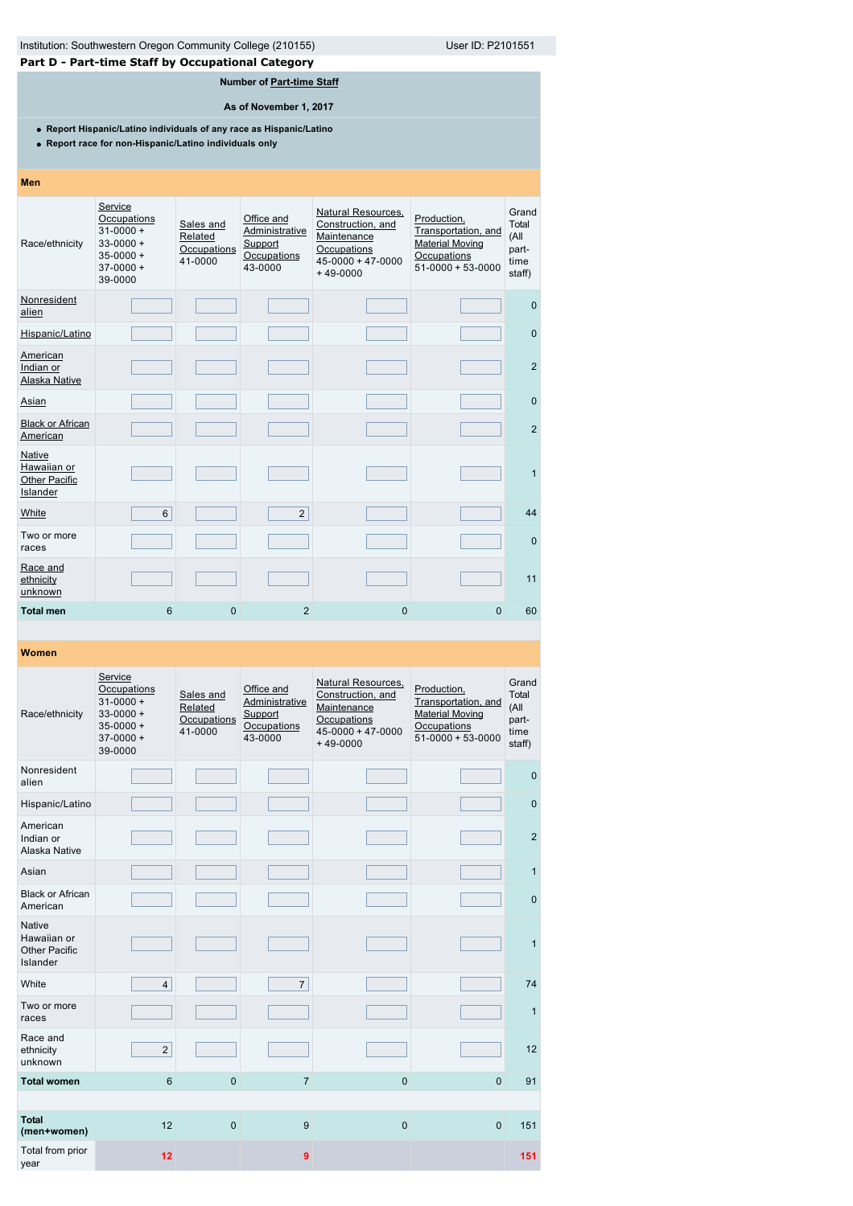| Institution: Southwestern Oregon Community College (210155) | User ID: P2101551 |
|-------------------------------------------------------------|-------------------|

**Part D - Part-time Staff by Occupational Category**

# **Number of [Part-time Staff](javascript:openglossary(467))**

**As of November 1, 2017**

**Report Hispanic/Latino individuals of any race as Hispanic/Latino**

**Report race for non-Hispanic/Latino individuals only**

| <b>Men</b>                                                |                                                                                                    |                                                |                                                                   |                                                                                                                       |                                                                                                        |                                                   |
|-----------------------------------------------------------|----------------------------------------------------------------------------------------------------|------------------------------------------------|-------------------------------------------------------------------|-----------------------------------------------------------------------------------------------------------------------|--------------------------------------------------------------------------------------------------------|---------------------------------------------------|
| Race/ethnicity                                            | Service<br>Occupations<br>$31 - 0000 +$<br>$33 - 0000 +$<br>$35 - 0000 +$<br>$37-0000+$<br>39-0000 | Sales and<br>Related<br>Occupations<br>41-0000 | Office and<br>Administrative<br>Support<br>Occupations<br>43-0000 | <b>Natural Resources,</b><br>Construction, and<br>Maintenance<br>Occupations<br>$45 - 0000 + 47 - 0000$<br>$+49-0000$ | Production,<br>Transportation, and<br><b>Material Moving</b><br>Occupations<br>$51 - 0000 + 53 - 0000$ | Grand<br>Total<br>(All<br>part-<br>time<br>staff) |
| Nonresident<br>alien                                      |                                                                                                    |                                                |                                                                   |                                                                                                                       |                                                                                                        | $\mathbf{0}$                                      |
| Hispanic/Latino                                           |                                                                                                    |                                                |                                                                   |                                                                                                                       |                                                                                                        | $\mathbf 0$                                       |
| American<br>Indian or<br>Alaska Native                    |                                                                                                    |                                                |                                                                   |                                                                                                                       |                                                                                                        | $\overline{2}$                                    |
| Asian                                                     |                                                                                                    |                                                |                                                                   |                                                                                                                       |                                                                                                        | $\mathbf{0}$                                      |
| <b>Black or African</b><br>American                       |                                                                                                    |                                                |                                                                   |                                                                                                                       |                                                                                                        | $\overline{2}$                                    |
| Native<br>Hawaiian or<br><b>Other Pacific</b><br>Islander |                                                                                                    |                                                |                                                                   |                                                                                                                       |                                                                                                        | $\mathbf{1}$                                      |
| White                                                     | 6                                                                                                  |                                                | $\overline{2}$                                                    |                                                                                                                       |                                                                                                        | 44                                                |
| Two or more<br>races                                      |                                                                                                    |                                                |                                                                   |                                                                                                                       |                                                                                                        | $\mathbf{0}$                                      |
| Race and<br>ethnicity<br>unknown                          |                                                                                                    |                                                |                                                                   |                                                                                                                       |                                                                                                        | 11                                                |
| <b>Total men</b>                                          | 6                                                                                                  | 0                                              | $\overline{2}$                                                    | $\mathbf{0}$                                                                                                          | $\Omega$                                                                                               | 60                                                |

| Race/ethnicity                                            | Service<br>Occupations<br>$31 - 0000 +$<br>$33 - 0000 +$<br>$35 - 0000 +$<br>$37-0000+$<br>39-0000 | Sales and<br>Related<br>Occupations<br>41-0000 | Office and<br>Administrative<br>Support<br>Occupations<br>43-0000 | Natural Resources,<br>Construction, and<br>Maintenance<br>Occupations<br>$45 - 0000 + 47 - 0000$<br>$+49-0000$ | Production,<br>Transportation, and<br><b>Material Moving</b><br>Occupations<br>$51 - 0000 + 53 - 0000$ | Grand<br>Total<br>(All<br>part-<br>time<br>staff) |
|-----------------------------------------------------------|----------------------------------------------------------------------------------------------------|------------------------------------------------|-------------------------------------------------------------------|----------------------------------------------------------------------------------------------------------------|--------------------------------------------------------------------------------------------------------|---------------------------------------------------|
| Nonresident<br>alien                                      |                                                                                                    |                                                |                                                                   |                                                                                                                |                                                                                                        | $\mathbf 0$                                       |
| Hispanic/Latino                                           |                                                                                                    |                                                |                                                                   |                                                                                                                |                                                                                                        | $\mathbf{0}$                                      |
| American<br>Indian or<br>Alaska Native                    |                                                                                                    |                                                |                                                                   |                                                                                                                |                                                                                                        | $\overline{2}$                                    |
| Asian                                                     |                                                                                                    |                                                |                                                                   |                                                                                                                |                                                                                                        | $\mathbf{1}$                                      |
| <b>Black or African</b><br>American                       |                                                                                                    |                                                |                                                                   |                                                                                                                |                                                                                                        | $\mathbf{0}$                                      |
| <b>Native</b><br>Hawaiian or<br>Other Pacific<br>Islander |                                                                                                    |                                                |                                                                   |                                                                                                                |                                                                                                        | $\mathbf{1}$                                      |
| White                                                     | $\overline{4}$                                                                                     |                                                | $\overline{7}$                                                    |                                                                                                                |                                                                                                        | 74                                                |
| Two or more<br>races                                      |                                                                                                    |                                                |                                                                   |                                                                                                                |                                                                                                        | $\mathbf{1}$                                      |
| Race and<br>ethnicity<br>unknown                          | $\overline{2}$                                                                                     |                                                |                                                                   |                                                                                                                |                                                                                                        | 12                                                |
| <b>Total women</b>                                        | $6\phantom{1}$                                                                                     | $\mathbf 0$                                    | $\overline{7}$                                                    | $\overline{0}$                                                                                                 | $\Omega$                                                                                               | 91                                                |
|                                                           |                                                                                                    |                                                |                                                                   |                                                                                                                |                                                                                                        |                                                   |
| <b>Total</b><br>(men+women)                               | 12                                                                                                 | $\mathbf 0$                                    | 9                                                                 | $\mathbf 0$                                                                                                    | $\mathbf{0}$                                                                                           | 151                                               |
| Total from prior<br>year                                  | 12                                                                                                 |                                                | 9                                                                 |                                                                                                                |                                                                                                        | 151                                               |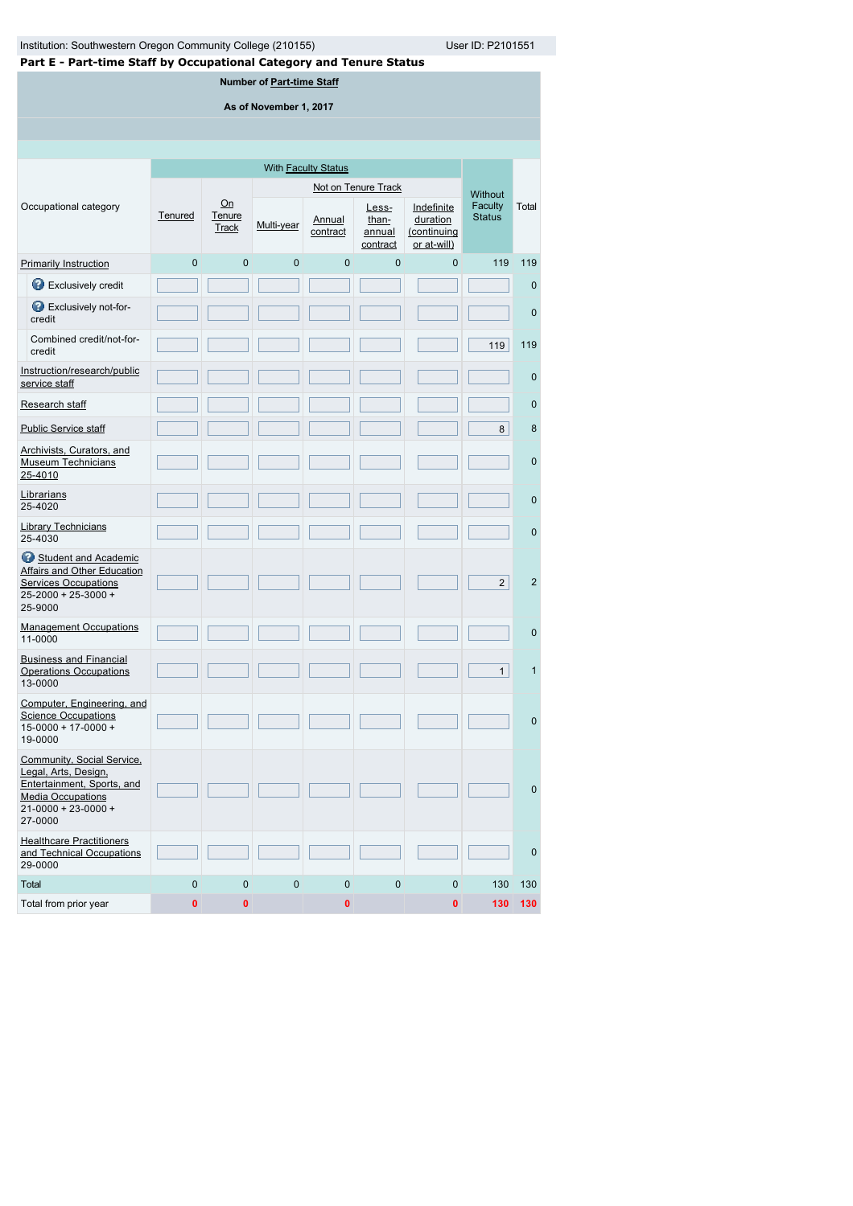| Institution: Southwestern Oregon Community College (210155)<br>User ID: P2101551                                                                     |                |                              |                |                            |                                      |             |                          |                |  |  |  |
|------------------------------------------------------------------------------------------------------------------------------------------------------|----------------|------------------------------|----------------|----------------------------|--------------------------------------|-------------|--------------------------|----------------|--|--|--|
| Part E - Part-time Staff by Occupational Category and Tenure Status<br>Number of Part-time Staff                                                     |                |                              |                |                            |                                      |             |                          |                |  |  |  |
| As of November 1, 2017                                                                                                                               |                |                              |                |                            |                                      |             |                          |                |  |  |  |
|                                                                                                                                                      |                |                              |                |                            |                                      |             |                          |                |  |  |  |
|                                                                                                                                                      |                |                              |                |                            |                                      |             |                          |                |  |  |  |
|                                                                                                                                                      |                |                              |                | With <b>Faculty Status</b> |                                      |             |                          |                |  |  |  |
|                                                                                                                                                      |                |                              |                |                            | Not on Tenure Track                  |             | Without                  |                |  |  |  |
| Occupational category                                                                                                                                | Tenured        | Qn<br>Tenure<br><b>Track</b> | Multi-year     | Annual<br>contract         | Less-<br>than-<br>annual<br>contract |             | Faculty<br><b>Status</b> | Total          |  |  |  |
| <b>Primarily Instruction</b>                                                                                                                         | $\mathbf 0$    | $\overline{0}$               | $\mathbf{0}$   | $\mathbf{0}$               | $\mathbf 0$                          | 0           | 119                      | 119            |  |  |  |
| Exclusively credit                                                                                                                                   |                |                              |                |                            |                                      |             |                          | 0              |  |  |  |
| Exclusively not-for-<br>credit                                                                                                                       |                |                              |                |                            |                                      |             |                          | $\mathbf 0$    |  |  |  |
| Combined credit/not-for-<br>credit                                                                                                                   |                |                              |                |                            |                                      |             | 119                      | 119            |  |  |  |
| Instruction/research/public<br>service staff                                                                                                         |                |                              |                |                            |                                      |             |                          | $\mathbf{0}$   |  |  |  |
| Research staff                                                                                                                                       |                |                              |                |                            |                                      |             |                          | $\mathbf 0$    |  |  |  |
| <b>Public Service staff</b>                                                                                                                          |                |                              |                |                            |                                      |             | 8                        | 8              |  |  |  |
| Archivists, Curators, and<br><b>Museum Technicians</b><br>25-4010                                                                                    |                |                              |                |                            |                                      |             |                          | $\mathbf 0$    |  |  |  |
| Librarians<br>25-4020                                                                                                                                |                |                              |                |                            |                                      |             |                          | $\mathbf 0$    |  |  |  |
| <b>Library Technicians</b><br>25-4030                                                                                                                |                |                              |                |                            |                                      |             |                          | $\mathbf 0$    |  |  |  |
| Student and Academic<br><b>Affairs and Other Education</b><br><b>Services Occupations</b><br>25-2000 + 25-3000 +<br>25-9000                          |                |                              |                |                            |                                      |             | $\overline{2}$           | $\overline{2}$ |  |  |  |
| <b>Management Occupations</b><br>11-0000                                                                                                             |                |                              |                |                            |                                      |             |                          | $\mathbf 0$    |  |  |  |
| <b>Business and Financial</b><br><b>Operations Occupations</b><br>13-0000                                                                            |                |                              |                |                            |                                      |             | $\mathbf{1}$             | $\mathbf{1}$   |  |  |  |
| Computer, Engineering, and<br><b>Science Occupations</b><br>$15 - 0000 + 17 - 0000 +$<br>19-0000                                                     |                |                              |                |                            |                                      |             |                          | $\mathbf{0}$   |  |  |  |
| Community, Social Service,<br>Legal, Arts, Design,<br>Entertainment, Sports, and<br><b>Media Occupations</b><br>$21 - 0000 + 23 - 0000 +$<br>27-0000 |                |                              |                |                            |                                      |             |                          | $\mathbf{0}$   |  |  |  |
| <b>Healthcare Practitioners</b><br>and Technical Occupations<br>29-0000                                                                              |                |                              |                |                            |                                      |             |                          | $\mathbf{0}$   |  |  |  |
| Total                                                                                                                                                | $\overline{0}$ | $\overline{0}$               | $\overline{0}$ | $\mathbf{0}$               | $\mathbf 0$                          | $\mathbf 0$ | 130                      | 130            |  |  |  |
| Total from prior year                                                                                                                                | $\mathbf{0}$   | $\bf{0}$                     |                | 0                          |                                      | 0           | 130                      | 130            |  |  |  |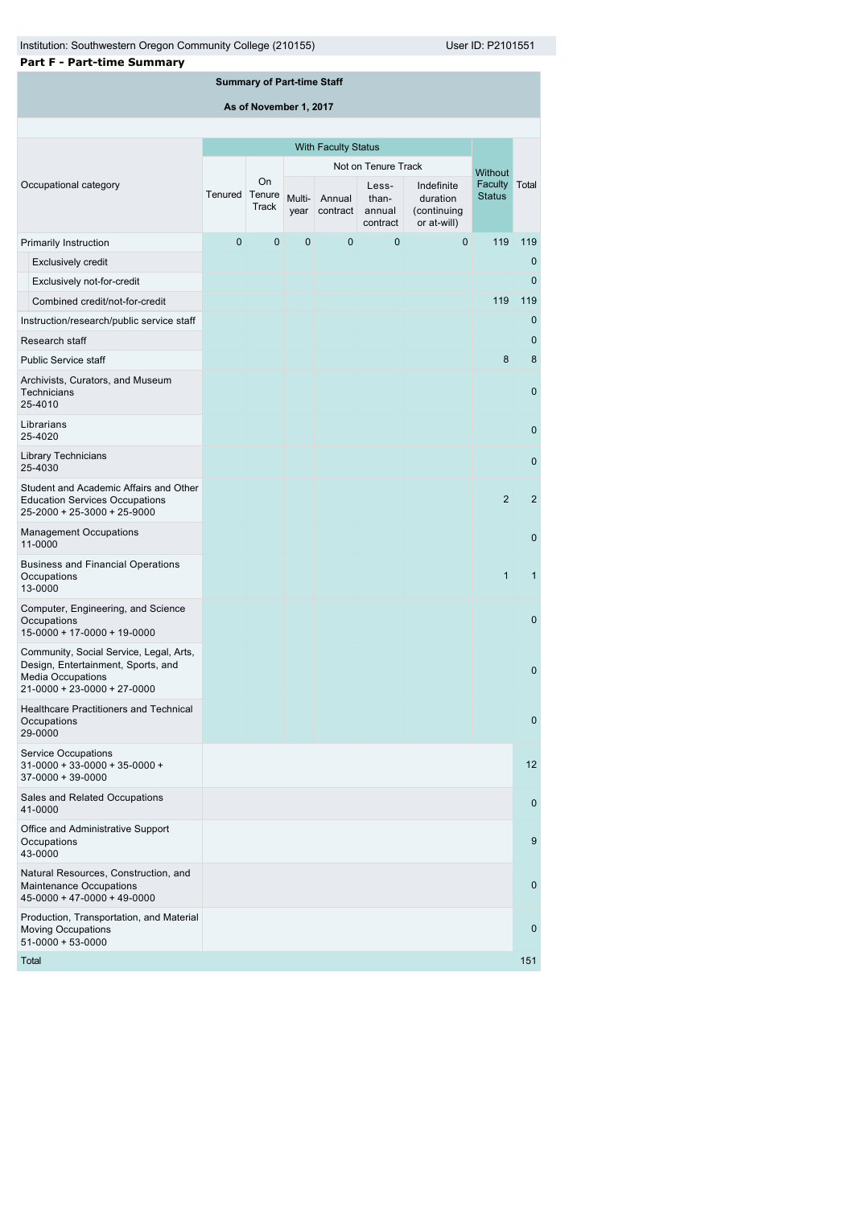| <b>Part F - Part-time Summary</b>                                                                                                        |                            |                                   |        |                         |                                      |                                                      |                          |              |
|------------------------------------------------------------------------------------------------------------------------------------------|----------------------------|-----------------------------------|--------|-------------------------|--------------------------------------|------------------------------------------------------|--------------------------|--------------|
|                                                                                                                                          |                            | <b>Summary of Part-time Staff</b> |        |                         |                                      |                                                      |                          |              |
|                                                                                                                                          |                            | As of November 1, 2017            |        |                         |                                      |                                                      |                          |              |
|                                                                                                                                          |                            |                                   |        |                         |                                      |                                                      |                          |              |
|                                                                                                                                          | <b>With Faculty Status</b> |                                   |        |                         |                                      |                                                      |                          |              |
|                                                                                                                                          |                            |                                   |        |                         | Not on Tenure Track                  |                                                      | <b>Without</b>           |              |
| Occupational category                                                                                                                    | Tenured                    | On<br>Tenure<br><b>Track</b>      | Multi- | Annual<br>year contract | Less-<br>than-<br>annual<br>contract | Indefinite<br>duration<br>(continuing<br>or at-will) | Faculty<br><b>Status</b> | Total        |
| Primarily Instruction                                                                                                                    | 0                          | $\mathbf 0$                       | 0      | $\mathbf 0$             | 0                                    | 0                                                    | 119                      | 119          |
| <b>Exclusively credit</b>                                                                                                                |                            |                                   |        |                         |                                      |                                                      |                          | $\mathbf{0}$ |
| Exclusively not-for-credit                                                                                                               |                            |                                   |        |                         |                                      |                                                      |                          | $\mathbf 0$  |
| Combined credit/not-for-credit                                                                                                           |                            |                                   |        |                         |                                      |                                                      | 119                      | 119          |
| Instruction/research/public service staff                                                                                                |                            |                                   |        |                         |                                      |                                                      |                          | $\mathbf 0$  |
| Research staff                                                                                                                           |                            |                                   |        |                         |                                      |                                                      |                          | $\mathbf{0}$ |
| <b>Public Service staff</b>                                                                                                              |                            |                                   |        |                         |                                      |                                                      | 8                        | 8            |
| Archivists, Curators, and Museum<br>Technicians<br>25-4010                                                                               |                            |                                   |        |                         |                                      |                                                      |                          | $\mathbf{0}$ |
| Librarians<br>25-4020                                                                                                                    |                            |                                   |        |                         |                                      |                                                      |                          | $\mathbf 0$  |
| <b>Library Technicians</b><br>25-4030                                                                                                    |                            |                                   |        |                         |                                      |                                                      |                          | $\mathbf 0$  |
| Student and Academic Affairs and Other<br><b>Education Services Occupations</b><br>25-2000 + 25-3000 + 25-9000                           |                            |                                   |        |                         |                                      |                                                      | 2                        | 2            |
| <b>Management Occupations</b><br>11-0000                                                                                                 |                            |                                   |        |                         |                                      |                                                      |                          | $\mathbf 0$  |
| <b>Business and Financial Operations</b><br>Occupations<br>13-0000                                                                       |                            |                                   |        |                         |                                      |                                                      | $\mathbf{1}$             | $\mathbf{1}$ |
| Computer, Engineering, and Science<br>Occupations<br>15-0000 + 17-0000 + 19-0000                                                         |                            |                                   |        |                         |                                      |                                                      |                          | $\mathbf 0$  |
| Community, Social Service, Legal, Arts,<br>Design, Entertainment, Sports, and<br><b>Media Occupations</b><br>21-0000 + 23-0000 + 27-0000 |                            |                                   |        |                         |                                      |                                                      |                          | $\mathbf{0}$ |
| Healthcare Practitioners and Technical<br>Occupations<br>29-0000                                                                         |                            |                                   |        |                         |                                      |                                                      |                          | $\mathbf{0}$ |
| <b>Service Occupations</b><br>$31 - 0000 + 33 - 0000 + 35 - 0000 +$<br>$37 - 0000 + 39 - 0000$                                           |                            |                                   |        |                         |                                      |                                                      |                          | 12           |
| Sales and Related Occupations<br>41-0000                                                                                                 |                            |                                   |        |                         |                                      |                                                      |                          | $\mathbf{0}$ |
| Office and Administrative Support<br>Occupations<br>43-0000                                                                              |                            |                                   |        |                         |                                      |                                                      |                          | 9            |
| Natural Resources, Construction, and<br>Maintenance Occupations<br>$45 - 0000 + 47 - 0000 + 49 - 0000$                                   |                            |                                   |        |                         |                                      |                                                      |                          | $\mathbf{0}$ |
| Production, Transportation, and Material<br><b>Moving Occupations</b><br>$51-0000+53-0000$                                               |                            |                                   |        |                         |                                      |                                                      |                          | $\mathbf 0$  |

Total 151 | 151 | 152 | 152 | 152 | 153 | 153 | 154 | 155 | 156 | 157 | 158 | 159 | 151 | 151 | 151 | 151 | 15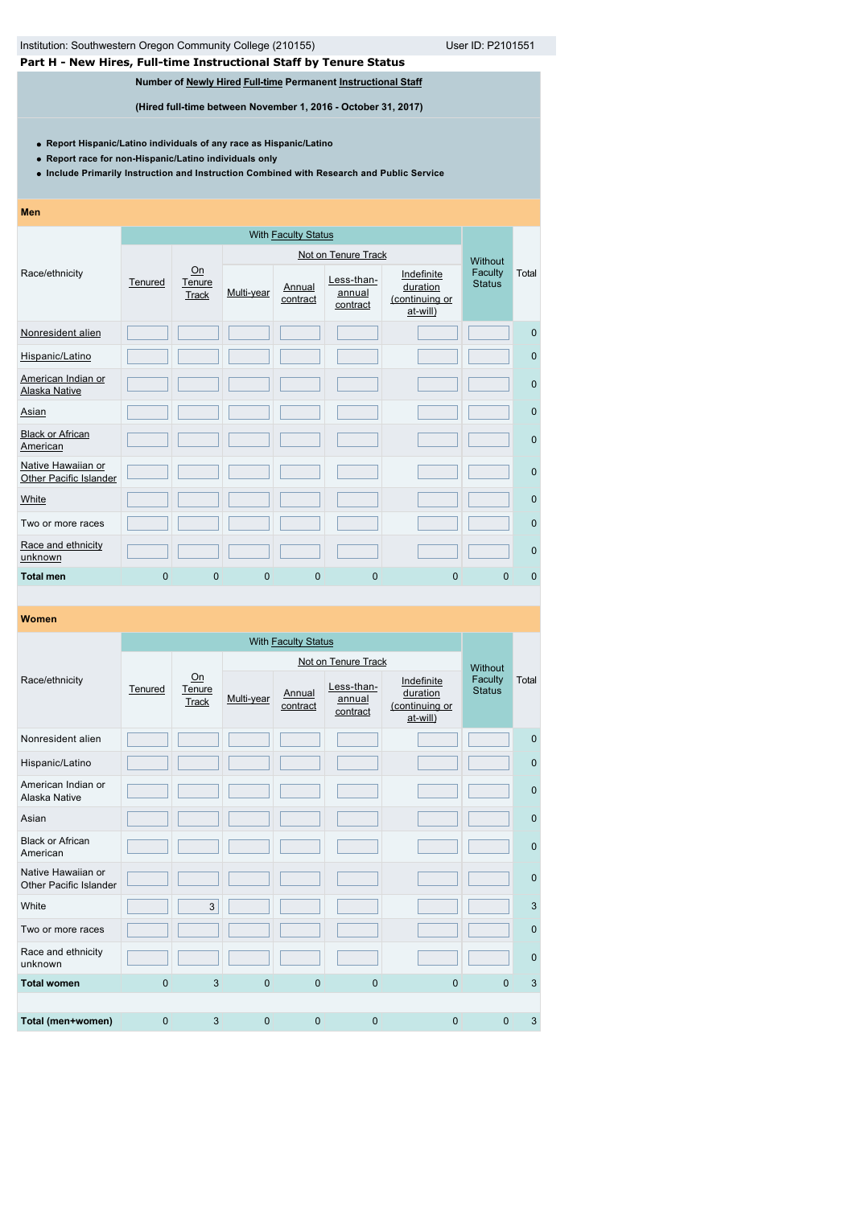# **Part H - New Hires, Full-time Instructional Staff by Tenure Status**

# **Number of [Newly Hired](javascript:openglossary(407)) [Full-time](javascript:openglossary(257)) Permanent [Instructional Staff](javascript:openglossary(996))**

**(Hired full-time between November 1, 2016 - October 31, 2017)**

**Report Hispanic/Latino individuals of any race as Hispanic/Latino**

**Report race for non-Hispanic/Latino individuals only**

**Include Primarily Instruction and Instruction Combined with Research and Public Service**

#### **Men**

|                                                     |              |                              |                | Not on Tenure Track |                                  |                                                      |                          |              |  |
|-----------------------------------------------------|--------------|------------------------------|----------------|---------------------|----------------------------------|------------------------------------------------------|--------------------------|--------------|--|
| Race/ethnicity                                      | Tenured      | Qn<br>Tenure<br><b>Track</b> | Multi-year     | Annual<br>contract  | Less-than-<br>annual<br>contract | Indefinite<br>duration<br>(continuing or<br>at-will) | Faculty<br><b>Status</b> | Total        |  |
| Nonresident alien                                   |              |                              |                |                     |                                  |                                                      |                          | $\mathbf{0}$ |  |
| Hispanic/Latino                                     |              |                              |                |                     |                                  |                                                      |                          | $\mathbf 0$  |  |
| American Indian or<br><b>Alaska Native</b>          |              |                              |                |                     |                                  |                                                      |                          | $\mathbf{0}$ |  |
| Asian                                               |              |                              |                |                     |                                  |                                                      |                          | $\mathbf{0}$ |  |
| <b>Black or African</b><br>American                 |              |                              |                |                     |                                  |                                                      |                          | $\mathbf{0}$ |  |
| Native Hawaiian or<br><b>Other Pacific Islander</b> |              |                              |                |                     |                                  |                                                      |                          | $\mathbf{0}$ |  |
| White                                               |              |                              |                |                     |                                  |                                                      |                          | $\mathbf{0}$ |  |
| Two or more races                                   |              |                              |                |                     |                                  |                                                      |                          | $\mathbf{0}$ |  |
| Race and ethnicity<br>unknown                       |              |                              |                |                     |                                  |                                                      |                          | $\mathbf{0}$ |  |
| <b>Total men</b>                                    | $\mathbf{0}$ | 0                            | $\overline{0}$ | $\mathbf{0}$        | $\mathbf{0}$                     | $\overline{0}$                                       | $\Omega$                 | $\mathbf{0}$ |  |

|                                                     |             |                              |                | Not on Tenure Track |                                  |                                                      |                                     |              |  |
|-----------------------------------------------------|-------------|------------------------------|----------------|---------------------|----------------------------------|------------------------------------------------------|-------------------------------------|--------------|--|
| Race/ethnicity                                      | Tenured     | On<br>Tenure<br><b>Track</b> | Multi-year     | Annual<br>contract  | Less-than-<br>annual<br>contract | Indefinite<br>duration<br>(continuing or<br>at-will) | Without<br>Faculty<br><b>Status</b> | Total        |  |
| Nonresident alien                                   |             |                              |                |                     |                                  |                                                      |                                     | $\mathbf{0}$ |  |
| Hispanic/Latino                                     |             |                              |                |                     |                                  |                                                      |                                     | $\mathbf 0$  |  |
| American Indian or<br>Alaska Native                 |             |                              |                |                     |                                  |                                                      |                                     | $\mathbf 0$  |  |
| Asian                                               |             |                              |                |                     |                                  |                                                      |                                     | $\mathbf{0}$ |  |
| <b>Black or African</b><br>American                 |             |                              |                |                     |                                  |                                                      |                                     | $\mathbf 0$  |  |
| Native Hawaiian or<br><b>Other Pacific Islander</b> |             |                              |                |                     |                                  |                                                      |                                     | $\mathbf 0$  |  |
| White                                               |             | 3                            |                |                     |                                  |                                                      |                                     | 3            |  |
| Two or more races                                   |             |                              |                |                     |                                  |                                                      |                                     | $\mathbf 0$  |  |
| Race and ethnicity<br>unknown                       |             |                              |                |                     |                                  |                                                      |                                     | $\mathbf 0$  |  |
| <b>Total women</b>                                  | $\mathbf 0$ | 3                            | $\mathbf 0$    | $\mathbf{0}$        | $\overline{0}$                   | $\overline{0}$                                       | $\Omega$                            | 3            |  |
|                                                     |             |                              |                |                     |                                  |                                                      |                                     |              |  |
| Total (men+women)                                   | 0           | 3                            | $\overline{0}$ | $\Omega$            | $\overline{0}$                   | $\overline{0}$                                       | $\mathbf{0}$                        | 3            |  |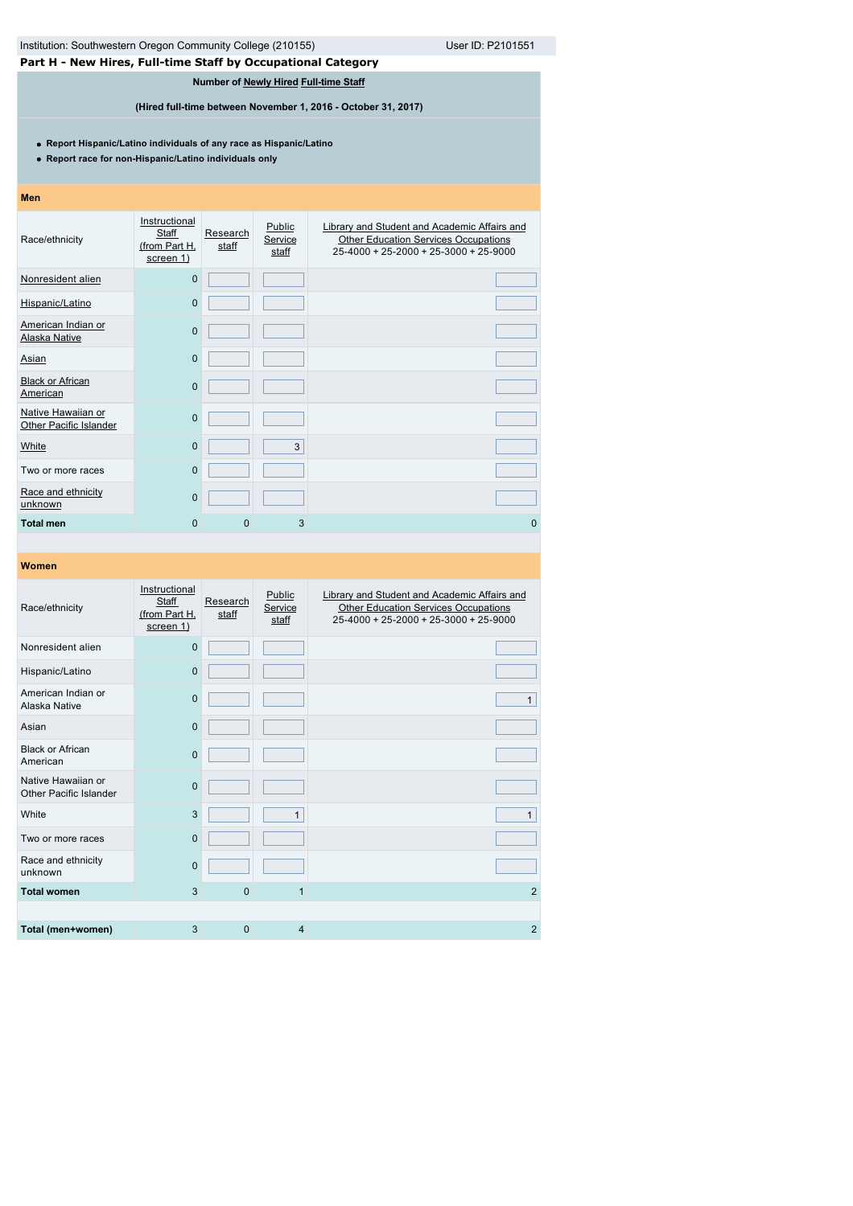| Institution: Southwestern Oregon Community College (210155)<br>User ID: P2101551                                              |                                                      |                   |                            |                                                                                                                                      |  |  |  |  |
|-------------------------------------------------------------------------------------------------------------------------------|------------------------------------------------------|-------------------|----------------------------|--------------------------------------------------------------------------------------------------------------------------------------|--|--|--|--|
| Part H - New Hires, Full-time Staff by Occupational Category                                                                  |                                                      |                   |                            |                                                                                                                                      |  |  |  |  |
| Number of Newly Hired Full-time Staff                                                                                         |                                                      |                   |                            |                                                                                                                                      |  |  |  |  |
| (Hired full-time between November 1, 2016 - October 31, 2017)                                                                 |                                                      |                   |                            |                                                                                                                                      |  |  |  |  |
| • Report Hispanic/Latino individuals of any race as Hispanic/Latino<br>• Report race for non-Hispanic/Latino individuals only |                                                      |                   |                            |                                                                                                                                      |  |  |  |  |
| <b>Men</b>                                                                                                                    |                                                      |                   |                            |                                                                                                                                      |  |  |  |  |
| Race/ethnicity                                                                                                                | Instructional<br>Staff<br>(from Part H,<br>screen 1) | Research<br>staff | Public<br>Service<br>staff | Library and Student and Academic Affairs and<br><b>Other Education Services Occupations</b><br>25-4000 + 25-2000 + 25-3000 + 25-9000 |  |  |  |  |
| Nonresident alien                                                                                                             | $\overline{0}$                                       |                   |                            |                                                                                                                                      |  |  |  |  |
| Hispanic/Latino                                                                                                               | $\overline{0}$                                       |                   |                            |                                                                                                                                      |  |  |  |  |
| American Indian or<br>Alaska Native                                                                                           | $\overline{0}$                                       |                   |                            |                                                                                                                                      |  |  |  |  |
| Asian                                                                                                                         | 0                                                    |                   |                            |                                                                                                                                      |  |  |  |  |
| <b>Black or African</b><br>American                                                                                           | $\overline{0}$                                       |                   |                            |                                                                                                                                      |  |  |  |  |
| Native Hawaiian or<br>Other Pacific Islander                                                                                  | $\mathbf 0$                                          |                   |                            |                                                                                                                                      |  |  |  |  |
| White                                                                                                                         | $\overline{0}$                                       |                   | 3                          |                                                                                                                                      |  |  |  |  |
| Two or more races                                                                                                             | 0                                                    |                   |                            |                                                                                                                                      |  |  |  |  |
| Race and ethnicity<br>unknown                                                                                                 | 0                                                    |                   |                            |                                                                                                                                      |  |  |  |  |
| <b>Total men</b>                                                                                                              | $\overline{0}$                                       | $\mathbf{0}$      | 3                          | $\overline{0}$                                                                                                                       |  |  |  |  |
|                                                                                                                               |                                                      |                   |                            |                                                                                                                                      |  |  |  |  |
| Women                                                                                                                         |                                                      |                   |                            |                                                                                                                                      |  |  |  |  |

| Race/ethnicity                               | Instructional<br>Staff<br>(from Part H,<br>screen 1) | Research<br>staff | Public<br>Service<br>staff | Library and Student and Academic Affairs and<br><b>Other Education Services Occupations</b><br>25-4000 + 25-2000 + 25-3000 + 25-9000 |
|----------------------------------------------|------------------------------------------------------|-------------------|----------------------------|--------------------------------------------------------------------------------------------------------------------------------------|
| Nonresident alien                            | $\mathbf 0$                                          |                   |                            |                                                                                                                                      |
| Hispanic/Latino                              | $\Omega$                                             |                   |                            |                                                                                                                                      |
| American Indian or<br>Alaska Native          | $\Omega$                                             |                   |                            | $\mathbf{1}$                                                                                                                         |
| Asian                                        | $\mathbf 0$                                          |                   |                            |                                                                                                                                      |
| <b>Black or African</b><br>American          | $\mathbf{0}$                                         |                   |                            |                                                                                                                                      |
| Native Hawaiian or<br>Other Pacific Islander | $\mathbf 0$                                          |                   |                            |                                                                                                                                      |
| White                                        | 3                                                    |                   | $\mathbf{1}$               | $\mathbf{1}$                                                                                                                         |
| Two or more races                            | $\Omega$                                             |                   |                            |                                                                                                                                      |
| Race and ethnicity<br>unknown                | $\mathbf 0$                                          |                   |                            |                                                                                                                                      |
| <b>Total women</b>                           | 3                                                    | $\Omega$          | 1                          | 2                                                                                                                                    |
|                                              |                                                      |                   |                            |                                                                                                                                      |
| Total (men+women)                            | 3                                                    | $\mathbf{0}$      | 4                          | $\overline{2}$                                                                                                                       |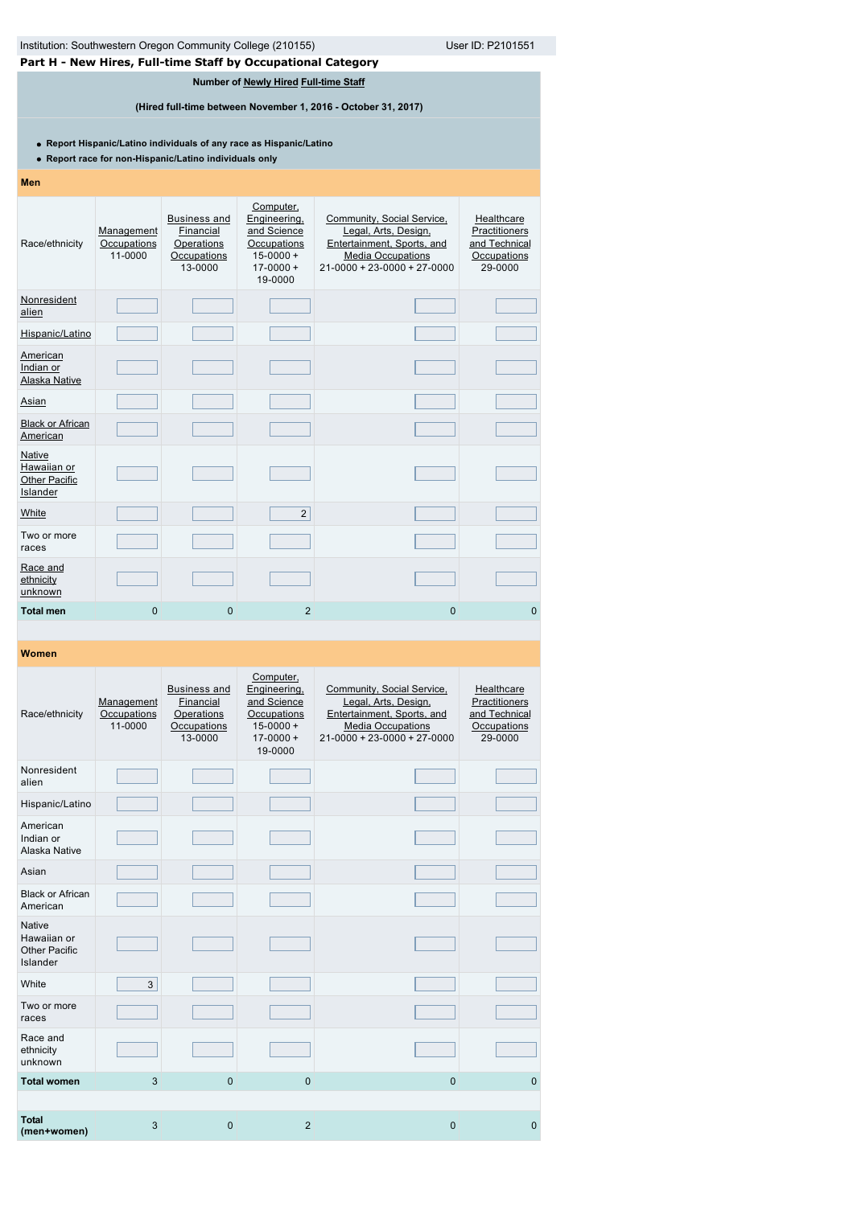| Institution: Southwestern Oregon Community College (210155)<br>User ID: P2101551                                              |                                      |                                                                          |                                                                                                      |                                                                                                                                               |                                                                        |  |  |  |  |  |
|-------------------------------------------------------------------------------------------------------------------------------|--------------------------------------|--------------------------------------------------------------------------|------------------------------------------------------------------------------------------------------|-----------------------------------------------------------------------------------------------------------------------------------------------|------------------------------------------------------------------------|--|--|--|--|--|
| Part H - New Hires, Full-time Staff by Occupational Category                                                                  |                                      |                                                                          |                                                                                                      |                                                                                                                                               |                                                                        |  |  |  |  |  |
| Number of Newly Hired Full-time Staff<br>(Hired full-time between November 1, 2016 - October 31, 2017)                        |                                      |                                                                          |                                                                                                      |                                                                                                                                               |                                                                        |  |  |  |  |  |
| • Report Hispanic/Latino individuals of any race as Hispanic/Latino<br>• Report race for non-Hispanic/Latino individuals only |                                      |                                                                          |                                                                                                      |                                                                                                                                               |                                                                        |  |  |  |  |  |
| Men                                                                                                                           |                                      |                                                                          |                                                                                                      |                                                                                                                                               |                                                                        |  |  |  |  |  |
| Race/ethnicity                                                                                                                | Management<br>Occupations<br>11-0000 | <b>Business and</b><br>Financial<br>Operations<br>Occupations<br>13-0000 | Computer,<br>Engineering,<br>and Science<br>Occupations<br>$15 - 0000 +$<br>$17 - 0000 +$<br>19-0000 | Community, Social Service,<br>Legal, Arts, Design,<br>Entertainment, Sports, and<br><b>Media Occupations</b><br>$21-0000 + 23-0000 + 27-0000$ | Healthcare<br>Practitioners<br>and Technical<br>Occupations<br>29-0000 |  |  |  |  |  |
| Nonresident<br>alien                                                                                                          |                                      |                                                                          |                                                                                                      |                                                                                                                                               |                                                                        |  |  |  |  |  |
| Hispanic/Latino                                                                                                               |                                      |                                                                          |                                                                                                      |                                                                                                                                               |                                                                        |  |  |  |  |  |
| <b>American</b><br>Indian or<br>Alaska Native                                                                                 |                                      |                                                                          |                                                                                                      |                                                                                                                                               |                                                                        |  |  |  |  |  |
| <b>Asian</b>                                                                                                                  |                                      |                                                                          |                                                                                                      |                                                                                                                                               |                                                                        |  |  |  |  |  |
| <b>Black or African</b><br>American                                                                                           |                                      |                                                                          |                                                                                                      |                                                                                                                                               |                                                                        |  |  |  |  |  |
| Native<br>Hawaiian or<br><b>Other Pacific</b><br>Islander                                                                     |                                      |                                                                          |                                                                                                      |                                                                                                                                               |                                                                        |  |  |  |  |  |
| <b>White</b>                                                                                                                  |                                      |                                                                          | $\overline{2}$                                                                                       |                                                                                                                                               |                                                                        |  |  |  |  |  |
| Two or more<br>races                                                                                                          |                                      |                                                                          |                                                                                                      |                                                                                                                                               |                                                                        |  |  |  |  |  |
| Race and<br>ethnicity<br>unknown                                                                                              |                                      |                                                                          |                                                                                                      |                                                                                                                                               |                                                                        |  |  |  |  |  |
| <b>Total men</b>                                                                                                              | 0                                    | $\overline{0}$                                                           | $\overline{2}$                                                                                       | $\mathbf{0}$                                                                                                                                  | $\overline{0}$                                                         |  |  |  |  |  |

| Race/ethnicity                                                   | Management<br>Occupations<br>11-0000 | <b>Business and</b><br>Financial<br>Operations<br>Occupations<br>13-0000 | Computer,<br>Engineering,<br>and Science<br>Occupations<br>$15 - 0000 +$<br>$17 - 0000 +$<br>19-0000 | Community, Social Service,<br>Legal, Arts, Design,<br>Entertainment, Sports, and<br><b>Media Occupations</b><br>$21 - 0000 + 23 - 0000 + 27 - 0000$ | Healthcare<br>Practitioners<br>and Technical<br>Occupations<br>29-0000 |
|------------------------------------------------------------------|--------------------------------------|--------------------------------------------------------------------------|------------------------------------------------------------------------------------------------------|-----------------------------------------------------------------------------------------------------------------------------------------------------|------------------------------------------------------------------------|
| Nonresident<br>alien                                             |                                      |                                                                          |                                                                                                      |                                                                                                                                                     |                                                                        |
| Hispanic/Latino                                                  |                                      |                                                                          |                                                                                                      |                                                                                                                                                     |                                                                        |
| American<br>Indian or<br>Alaska Native                           |                                      |                                                                          |                                                                                                      |                                                                                                                                                     |                                                                        |
| Asian                                                            |                                      |                                                                          |                                                                                                      |                                                                                                                                                     |                                                                        |
| <b>Black or African</b><br>American                              |                                      |                                                                          |                                                                                                      |                                                                                                                                                     |                                                                        |
| <b>Native</b><br>Hawaiian or<br><b>Other Pacific</b><br>Islander |                                      |                                                                          |                                                                                                      |                                                                                                                                                     |                                                                        |
| White                                                            | 3                                    |                                                                          |                                                                                                      |                                                                                                                                                     |                                                                        |
| Two or more<br>races                                             |                                      |                                                                          |                                                                                                      |                                                                                                                                                     |                                                                        |
| Race and<br>ethnicity<br>unknown                                 |                                      |                                                                          |                                                                                                      |                                                                                                                                                     |                                                                        |
| <b>Total women</b>                                               | 3                                    | $\mathbf 0$                                                              | $\Omega$                                                                                             | $\mathbf{0}$                                                                                                                                        | $\mathbf 0$                                                            |
|                                                                  |                                      |                                                                          |                                                                                                      |                                                                                                                                                     |                                                                        |
| <b>Total</b><br>(men+women)                                      | 3                                    | $\overline{0}$                                                           | $\overline{2}$                                                                                       | $\mathbf{0}$                                                                                                                                        | $\mathbf{0}$                                                           |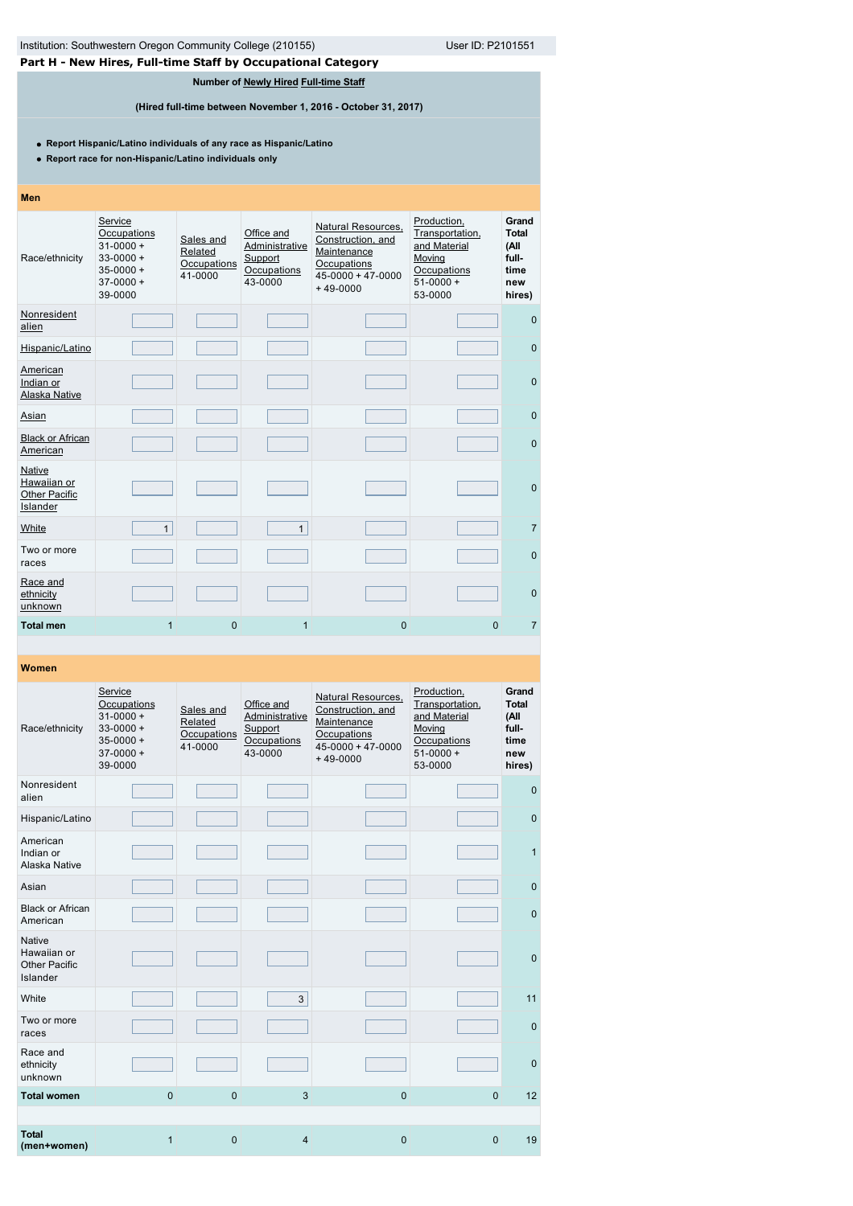# **Part H - New Hires, Full-time Staff by Occupational Category**

**Number of [Newly Hired](javascript:openglossary(407)) [Full-time Staff](javascript:openglossary(257))**

**(Hired full-time between November 1, 2016 - October 31, 2017)**

**Report Hispanic/Latino individuals of any race as Hispanic/Latino**

**Report race for non-Hispanic/Latino individuals only**

# **Men**

| Race/ethnicity                                                   | Service<br>Occupations<br>$31 - 0000 +$<br>$33 - 0000 +$<br>$35 - 0000 +$<br>$37-0000+$<br>39-0000 | Sales and<br>Related<br>Occupations<br>41-0000 | Office and<br>Administrative<br>Support<br>Occupations<br>43-0000 | Natural Resources,<br>Construction, and<br>Maintenance<br>Occupations<br>$45 - 0000 + 47 - 0000$<br>$+49-0000$ | Production,<br>Transportation,<br>and Material<br>Moving<br>Occupations<br>$51-0000+$<br>53-0000 | Grand<br><b>Total</b><br>(All<br>full-<br>time<br>new<br>hires) |
|------------------------------------------------------------------|----------------------------------------------------------------------------------------------------|------------------------------------------------|-------------------------------------------------------------------|----------------------------------------------------------------------------------------------------------------|--------------------------------------------------------------------------------------------------|-----------------------------------------------------------------|
| Nonresident<br>alien                                             |                                                                                                    |                                                |                                                                   |                                                                                                                |                                                                                                  | $\Omega$                                                        |
| Hispanic/Latino                                                  |                                                                                                    |                                                |                                                                   |                                                                                                                |                                                                                                  | $\mathbf{0}$                                                    |
| American<br>Indian or<br>Alaska Native                           |                                                                                                    |                                                |                                                                   |                                                                                                                |                                                                                                  | $\mathbf{0}$                                                    |
| Asian                                                            |                                                                                                    |                                                |                                                                   |                                                                                                                |                                                                                                  | $\pmb{0}$                                                       |
| <b>Black or African</b><br>American                              |                                                                                                    |                                                |                                                                   |                                                                                                                |                                                                                                  | $\mathbf{0}$                                                    |
| <b>Native</b><br>Hawaiian or<br><b>Other Pacific</b><br>Islander |                                                                                                    |                                                |                                                                   |                                                                                                                |                                                                                                  | $\mathbf{0}$                                                    |
| White                                                            | $\mathbf{1}$                                                                                       |                                                | $\mathbf{1}$                                                      |                                                                                                                |                                                                                                  | $\overline{7}$                                                  |
| Two or more<br>races                                             |                                                                                                    |                                                |                                                                   |                                                                                                                |                                                                                                  | $\mathbf{0}$                                                    |
| Race and<br>ethnicity<br>unknown                                 |                                                                                                    |                                                |                                                                   |                                                                                                                |                                                                                                  | $\mathbf{0}$                                                    |
| <b>Total men</b>                                                 | $\mathbf{1}$                                                                                       | $\overline{0}$                                 | $\mathbf{1}$                                                      | $\mathbf{0}$                                                                                                   | $\mathbf{0}$                                                                                     | $\overline{7}$                                                  |

| Race/ethnicity                                                   | Service<br>Occupations<br>$31 - 0000 +$<br>$33 - 0000 +$<br>$35 - 0000 +$<br>$37-0000+$<br>39-0000 | Sales and<br>Related<br>Occupations<br>41-0000 | Office and<br>Administrative<br>Support<br>Occupations<br>43-0000 | Natural Resources,<br>Construction, and<br>Maintenance<br>Occupations<br>$45 - 0000 + 47 - 0000$<br>$+49-0000$ | Production,<br>Transportation,<br>and Material<br>Moving<br>Occupations<br>$51-0000+$<br>53-0000 | Grand<br><b>Total</b><br>(All<br>full-<br>time<br>new<br>hires) |
|------------------------------------------------------------------|----------------------------------------------------------------------------------------------------|------------------------------------------------|-------------------------------------------------------------------|----------------------------------------------------------------------------------------------------------------|--------------------------------------------------------------------------------------------------|-----------------------------------------------------------------|
| Nonresident<br>alien                                             |                                                                                                    |                                                |                                                                   |                                                                                                                |                                                                                                  | $\mathbf{0}$                                                    |
| Hispanic/Latino                                                  |                                                                                                    |                                                |                                                                   |                                                                                                                |                                                                                                  | $\mathbf 0$                                                     |
| American<br>Indian or<br>Alaska Native                           |                                                                                                    |                                                |                                                                   |                                                                                                                |                                                                                                  | $\mathbf{1}$                                                    |
| Asian                                                            |                                                                                                    |                                                |                                                                   |                                                                                                                |                                                                                                  | $\mathbf{0}$                                                    |
| <b>Black or African</b><br>American                              |                                                                                                    |                                                |                                                                   |                                                                                                                |                                                                                                  | $\mathbf{0}$                                                    |
| <b>Native</b><br>Hawaiian or<br><b>Other Pacific</b><br>Islander |                                                                                                    |                                                |                                                                   |                                                                                                                |                                                                                                  | $\mathbf{0}$                                                    |
| White                                                            |                                                                                                    |                                                | 3                                                                 |                                                                                                                |                                                                                                  | 11                                                              |
| Two or more<br>races                                             |                                                                                                    |                                                |                                                                   |                                                                                                                |                                                                                                  | $\mathbf{0}$                                                    |
| Race and<br>ethnicity<br>unknown                                 |                                                                                                    |                                                |                                                                   |                                                                                                                |                                                                                                  | $\Omega$                                                        |
| <b>Total women</b>                                               | $\mathbf{0}$                                                                                       | $\mathbf 0$                                    | 3                                                                 | $\mathbf{0}$                                                                                                   | $\mathbf{0}$                                                                                     | 12                                                              |
|                                                                  |                                                                                                    |                                                |                                                                   |                                                                                                                |                                                                                                  |                                                                 |
| <b>Total</b><br>(men+women)                                      | $\mathbf{1}$                                                                                       | $\mathbf 0$                                    | 4                                                                 | $\mathbf 0$                                                                                                    | 0                                                                                                | 19                                                              |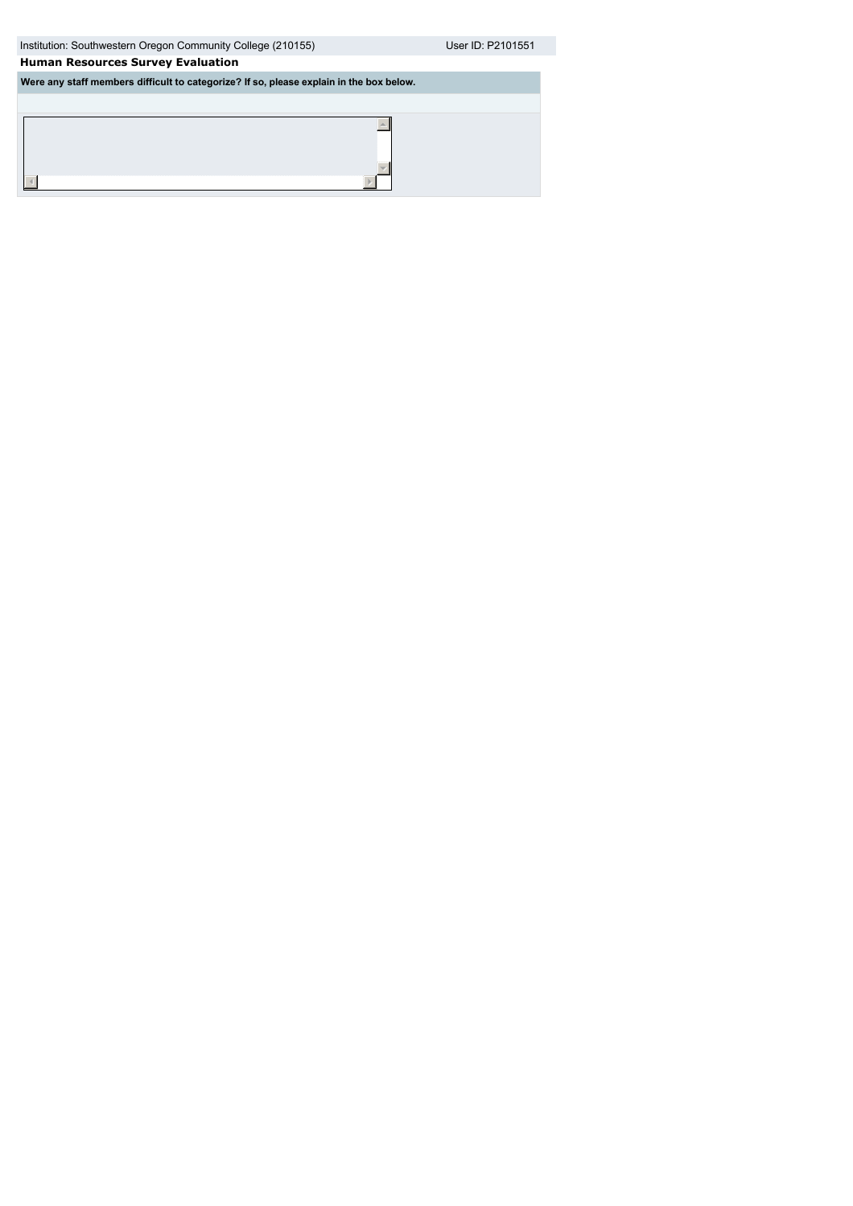Institution: Southwestern Oregon Community College (210155) User ID: P2101551

 $\blacktriangle$ 

 $\overline{\mathbf{v}}$  $\mathbb{F}$ 

# **Human Resources Survey Evaluation**

**Were any staff members difficult to categorize? If so, please explain in the box below.**

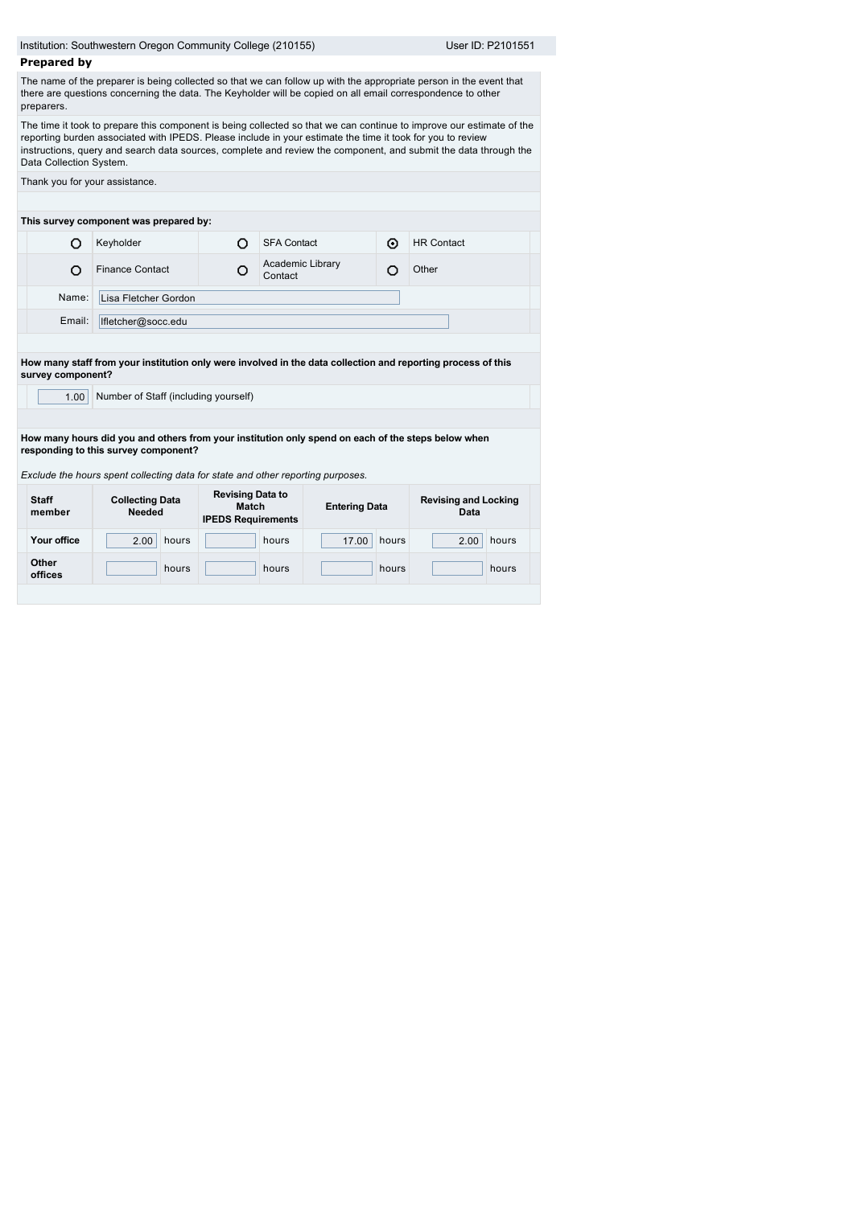|                         | Institution: Southwestern Oregon Community College (210155)                                                                                                                                                                   |                                                               |                             |                      |       |                                                                                                                                                                                                                                         |  |  |  |
|-------------------------|-------------------------------------------------------------------------------------------------------------------------------------------------------------------------------------------------------------------------------|---------------------------------------------------------------|-----------------------------|----------------------|-------|-----------------------------------------------------------------------------------------------------------------------------------------------------------------------------------------------------------------------------------------|--|--|--|
|                         |                                                                                                                                                                                                                               |                                                               |                             |                      |       | User ID: P2101551                                                                                                                                                                                                                       |  |  |  |
| <b>Prepared by</b>      |                                                                                                                                                                                                                               |                                                               |                             |                      |       |                                                                                                                                                                                                                                         |  |  |  |
| preparers.              | there are questions concerning the data. The Keyholder will be copied on all email correspondence to other                                                                                                                    |                                                               |                             |                      |       | The name of the preparer is being collected so that we can follow up with the appropriate person in the event that                                                                                                                      |  |  |  |
| Data Collection System. | reporting burden associated with IPEDS. Please include in your estimate the time it took for you to review                                                                                                                    |                                                               |                             |                      |       | The time it took to prepare this component is being collected so that we can continue to improve our estimate of the<br>instructions, query and search data sources, complete and review the component, and submit the data through the |  |  |  |
|                         | Thank you for your assistance.                                                                                                                                                                                                |                                                               |                             |                      |       |                                                                                                                                                                                                                                         |  |  |  |
|                         | This survey component was prepared by:                                                                                                                                                                                        |                                                               |                             |                      |       |                                                                                                                                                                                                                                         |  |  |  |
| O                       | Keyholder                                                                                                                                                                                                                     | O<br><b>SFA Contact</b><br>⊙                                  |                             |                      |       | <b>HR Contact</b>                                                                                                                                                                                                                       |  |  |  |
| O                       | <b>Finance Contact</b>                                                                                                                                                                                                        | О                                                             | Academic Library<br>Contact |                      | О     | Other                                                                                                                                                                                                                                   |  |  |  |
| Name:                   | Lisa Fletcher Gordon                                                                                                                                                                                                          |                                                               |                             |                      |       |                                                                                                                                                                                                                                         |  |  |  |
| Email:                  | lfletcher@socc.edu                                                                                                                                                                                                            |                                                               |                             |                      |       |                                                                                                                                                                                                                                         |  |  |  |
| survey component?       | How many staff from your institution only were involved in the data collection and reporting process of this                                                                                                                  |                                                               |                             |                      |       |                                                                                                                                                                                                                                         |  |  |  |
| 1.00                    | Number of Staff (including yourself)                                                                                                                                                                                          |                                                               |                             |                      |       |                                                                                                                                                                                                                                         |  |  |  |
|                         | How many hours did you and others from your institution only spend on each of the steps below when<br>responding to this survey component?<br>Exclude the hours spent collecting data for state and other reporting purposes. |                                                               |                             |                      |       |                                                                                                                                                                                                                                         |  |  |  |
| <b>Staff</b><br>member  | <b>Collecting Data</b><br><b>Needed</b>                                                                                                                                                                                       | <b>Revising Data to</b><br>Match<br><b>IPEDS Requirements</b> |                             | <b>Entering Data</b> |       | <b>Revising and Locking</b><br>Data                                                                                                                                                                                                     |  |  |  |
| Your office             | 2.00<br>hours                                                                                                                                                                                                                 |                                                               | hours                       | 17.00                | hours | hours<br>2.00                                                                                                                                                                                                                           |  |  |  |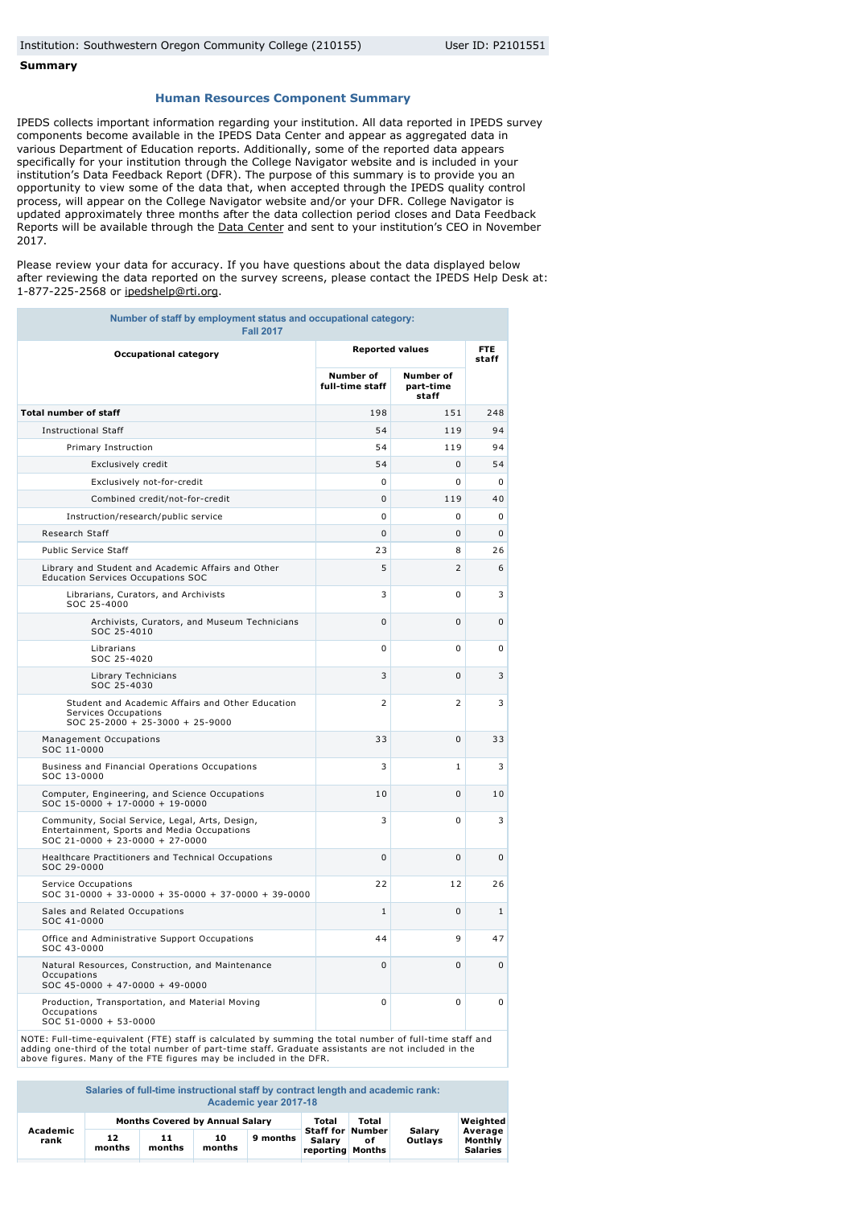#### **Summary**

#### **Human Resources Component Summary**

IPEDS collects important information regarding your institution. All data reported in IPEDS survey components become available in the IPEDS Data Center and appear as aggregated data in various Department of Education reports. Additionally, some of the reported data appears specifically for your institution through the College Navigator website and is included in your institution's Data Feedback Report (DFR). The purpose of this summary is to provide you an opportunity to view some of the data that, when accepted through the IPEDS quality control process, will appear on the College Navigator website and/or your DFR. College Navigator is updated approximately three months after the data collection period closes and Data Feedback Reports will be available through the [Data Center](http://nces.ed.gov/ipeds/datacenter/) and sent to your institution's CEO in November 2017.

Please review your data for accuracy. If you have questions about the data displayed below after reviewing the data reported on the survey screens, please contact the IPEDS Help Desk at: 1-877-225-2568 or [ipedshelp@rti.org](mailto:ipedshelp@rti.org).

| Number of staff by employment status and occupational category:<br><b>Fall 2017</b>                                                 |                              |                                        |                     |
|-------------------------------------------------------------------------------------------------------------------------------------|------------------------------|----------------------------------------|---------------------|
| <b>Occupational category</b>                                                                                                        | <b>Reported values</b>       |                                        | <b>FTE</b><br>staff |
|                                                                                                                                     | Number of<br>full-time staff | <b>Number of</b><br>part-time<br>staff |                     |
| <b>Total number of staff</b>                                                                                                        | 198                          | 151                                    | 248                 |
| <b>Instructional Staff</b>                                                                                                          | 54                           | 119                                    | 94                  |
| Primary Instruction                                                                                                                 | 54                           | 119                                    | 94                  |
| Exclusively credit                                                                                                                  | 54                           | 0                                      | 54                  |
| Exclusively not-for-credit                                                                                                          | $\mathbf 0$                  | 0                                      | $\mathbf 0$         |
| Combined credit/not-for-credit                                                                                                      | 0                            | 119                                    | 40                  |
| Instruction/research/public service                                                                                                 | $\mathbf 0$                  | 0                                      | 0                   |
| Research Staff                                                                                                                      | $\mathbf 0$                  | 0                                      | $\mathbf{0}$        |
| <b>Public Service Staff</b>                                                                                                         | 23                           | 8                                      | 26                  |
| Library and Student and Academic Affairs and Other<br>Education Services Occupations SOC                                            | 5                            | 2                                      | 6                   |
| Librarians, Curators, and Archivists<br>SOC 25-4000                                                                                 | 3                            | 0                                      | 3                   |
| Archivists, Curators, and Museum Technicians<br>SOC 25-4010                                                                         | $\Omega$                     | $\Omega$                               | 0                   |
| Librarians<br>SOC 25-4020                                                                                                           | 0                            | 0                                      | 0                   |
| Library Technicians<br>SOC 25-4030                                                                                                  | 3                            | 0                                      | 3                   |
| Student and Academic Affairs and Other Education<br>Services Occupations<br>SOC 25-2000 + 25-3000 + 25-9000                         | 2                            | 2                                      | 3                   |
| Management Occupations<br>SOC 11-0000                                                                                               | 33                           | 0                                      | 33                  |
| Business and Financial Operations Occupations<br>SOC 13-0000                                                                        | 3                            | $\mathbf{1}$                           | 3                   |
| Computer, Engineering, and Science Occupations<br>SOC 15-0000 + 17-0000 + 19-0000                                                   | 10                           | 0                                      | 10                  |
| Community, Social Service, Legal, Arts, Design,<br>Entertainment, Sports and Media Occupations<br>$SOC 21-0000 + 23-0000 + 27-0000$ | 3                            | 0                                      | 3                   |
| Healthcare Practitioners and Technical Occupations<br>SOC 29-0000                                                                   | 0                            | 0                                      | 0                   |
| Service Occupations<br>$SOC 31-0000 + 33-0000 + 35-0000 + 37-0000 + 39-0000$                                                        | 22                           | 12                                     | 26                  |
| Sales and Related Occupations<br>SOC 41-0000                                                                                        | $\mathbf{1}$                 | 0                                      | $\mathbf{1}$        |
| Office and Administrative Support Occupations<br>SOC 43-0000                                                                        | 44                           | 9                                      | 47                  |
| Natural Resources, Construction, and Maintenance<br>Occupations<br>SOC 45-0000 + 47-0000 + 49-0000                                  | $\Omega$                     | $\Omega$                               | $\Omega$            |
| Production, Transportation, and Material Moving<br>Occupations<br>SOC 51-0000 + 53-0000                                             | 0                            | 0                                      | 0                   |

NOTE: Full-time-equivalent (FTE) staff is calculated by summing the total number of full-time staff and<br>adding one-third of the total number of part-time staff. Graduate assistants are not included in the<br>above figures. Ma

**Salaries of full-time instructional staff by contract length and academic rank: Academic year 2017-18**

| Academic |              | <b>Months Covered by Annual Salary</b> |              | Total<br><b>Staff for Number</b> | Total                             | Salarv | Weighted<br>Average |                            |
|----------|--------------|----------------------------------------|--------------|----------------------------------|-----------------------------------|--------|---------------------|----------------------------|
| rank     | 12<br>months | 11<br>months                           | 10<br>months | 9 months                         | Salary<br><b>reporting Months</b> | ٥f     | Outlavs             | Monthly<br><b>Salaries</b> |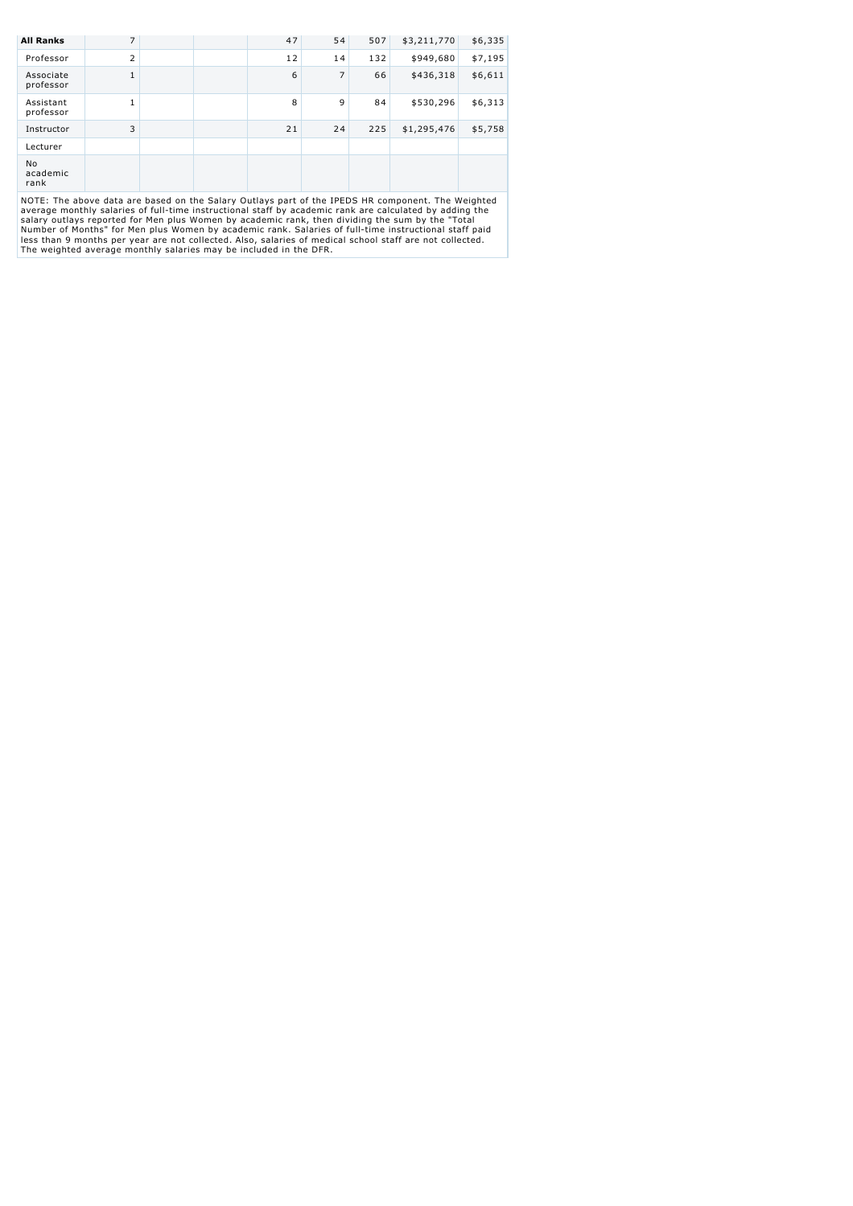| <b>All Ranks</b>       | 7              |   | 47 | 54 | 507     | \$3,211,770 | \$6,335 |
|------------------------|----------------|---|----|----|---------|-------------|---------|
| Professor              | $\overline{2}$ |   | 12 | 14 | 132     | \$949,680   | \$7,195 |
| Associate<br>professor | $\mathbf{1}$   |   | 6  | 7  | 66      | \$436,318   | \$6,611 |
| Assistant<br>professor | $\mathbf{1}$   |   | 8  | 9  | 84      | \$530,296   | \$6,313 |
| Instructor             | 3              |   | 21 | 24 | 225     | \$1,295,476 | \$5,758 |
| Lecturer               |                |   |    |    |         |             |         |
| No<br>academic<br>rank |                |   |    |    |         |             |         |
|                        |                | . |    | .  | ------- |             | .       |

NOTE: The above data are based on the Salary Outlays part of the IPEDS HR component. The Weighted<br>average monthly salaries of full-time instructional staff by academic rank are calculated by adding the<br>salary outlays repor